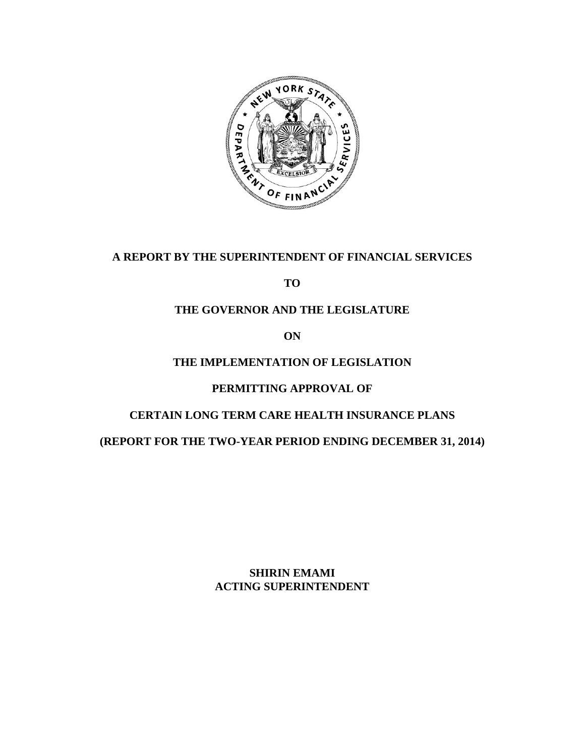

## **A REPORT BY THE SUPERINTENDENT OF FINANCIAL SERVICES**

**TO** 

## **THE GOVERNOR AND THE LEGISLATURE**

**ON** 

## **THE IMPLEMENTATION OF LEGISLATION**

## **PERMITTING APPROVAL OF**

## **CERTAIN LONG TERM CARE HEALTH INSURANCE PLANS**

**(REPORT FOR THE TWO-YEAR PERIOD ENDING DECEMBER 31, 2014)** 

**SHIRIN EMAMI ACTING SUPERINTENDENT**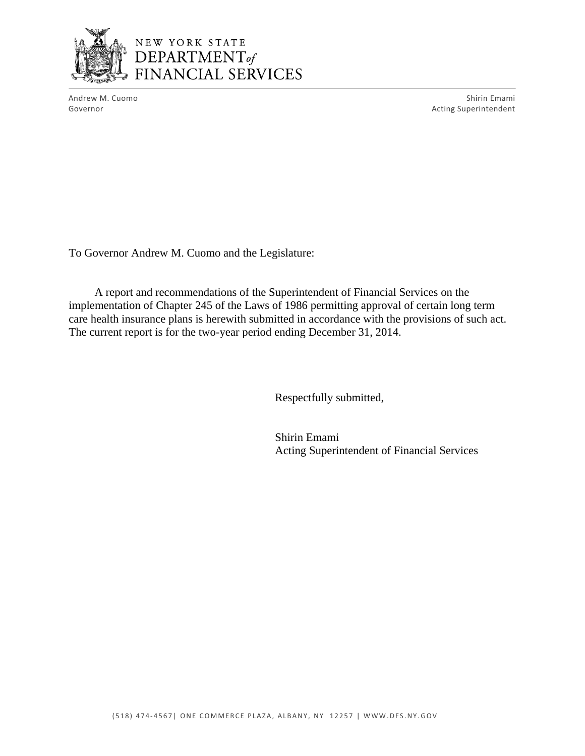

Andrew M. Cuomo Shirin Emami Governor **Acting Superintendent Contract Contract Contract Contract Contract Contract Contract Contract Contract Contract Contract Contract Contract Contract Contract Contract Contract Contract Contract Contract Contract** 

To Governor Andrew M. Cuomo and the Legislature:

A report and recommendations of the Superintendent of Financial Services on the implementation of Chapter 245 of the Laws of 1986 permitting approval of certain long term care health insurance plans is herewith submitted in accordance with the provisions of such act. The current report is for the two-year period ending December 31, 2014.

Respectfully submitted,

Shirin Emami Acting Superintendent of Financial Services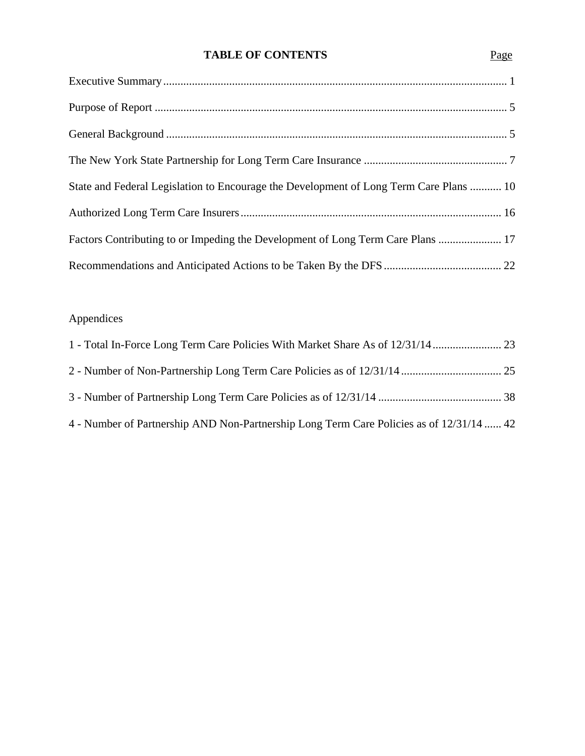## **TABLE OF CONTENTS**

| State and Federal Legislation to Encourage the Development of Long Term Care Plans  10 |
|----------------------------------------------------------------------------------------|
|                                                                                        |
| Factors Contributing to or Impeding the Development of Long Term Care Plans  17        |
|                                                                                        |

# Appendices

| 4 - Number of Partnership AND Non-Partnership Long Term Care Policies as of 12/31/14  42 |  |
|------------------------------------------------------------------------------------------|--|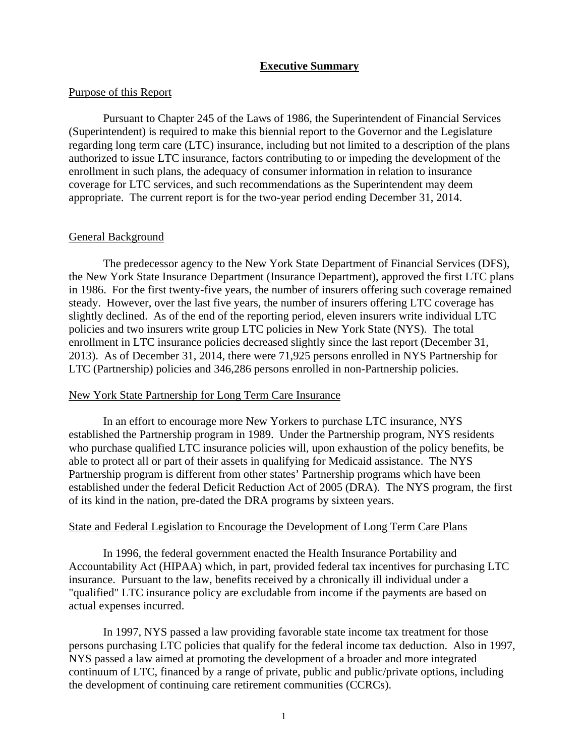### **Executive Summary**

#### <span id="page-3-0"></span>Purpose of this Report

Pursuant to Chapter 245 of the Laws of 1986, the Superintendent of Financial Services (Superintendent) is required to make this biennial report to the Governor and the Legislature regarding long term care (LTC) insurance, including but not limited to a description of the plans authorized to issue LTC insurance, factors contributing to or impeding the development of the enrollment in such plans, the adequacy of consumer information in relation to insurance coverage for LTC services, and such recommendations as the Superintendent may deem appropriate. The current report is for the two-year period ending December 31, 2014.

#### General Background

The predecessor agency to the New York State Department of Financial Services (DFS), the New York State Insurance Department (Insurance Department), approved the first LTC plans in 1986. For the first twenty-five years, the number of insurers offering such coverage remained steady. However, over the last five years, the number of insurers offering LTC coverage has slightly declined. As of the end of the reporting period, eleven insurers write individual LTC policies and two insurers write group LTC policies in New York State (NYS). The total enrollment in LTC insurance policies decreased slightly since the last report (December 31, 2013). As of December 31, 2014, there were 71,925 persons enrolled in NYS Partnership for LTC (Partnership) policies and 346,286 persons enrolled in non-Partnership policies.

#### New York State Partnership for Long Term Care Insurance

In an effort to encourage more New Yorkers to purchase LTC insurance, NYS established the Partnership program in 1989. Under the Partnership program, NYS residents who purchase qualified LTC insurance policies will, upon exhaustion of the policy benefits, be able to protect all or part of their assets in qualifying for Medicaid assistance. The NYS Partnership program is different from other states' Partnership programs which have been established under the federal Deficit Reduction Act of 2005 (DRA). The NYS program, the first of its kind in the nation, pre-dated the DRA programs by sixteen years.

#### State and Federal Legislation to Encourage the Development of Long Term Care Plans

In 1996, the federal government enacted the Health Insurance Portability and Accountability Act (HIPAA) which, in part, provided federal tax incentives for purchasing LTC insurance. Pursuant to the law, benefits received by a chronically ill individual under a "qualified" LTC insurance policy are excludable from income if the payments are based on actual expenses incurred.

In 1997, NYS passed a law providing favorable state income tax treatment for those persons purchasing LTC policies that qualify for the federal income tax deduction. Also in 1997, NYS passed a law aimed at promoting the development of a broader and more integrated continuum of LTC, financed by a range of private, public and public/private options, including the development of continuing care retirement communities (CCRCs).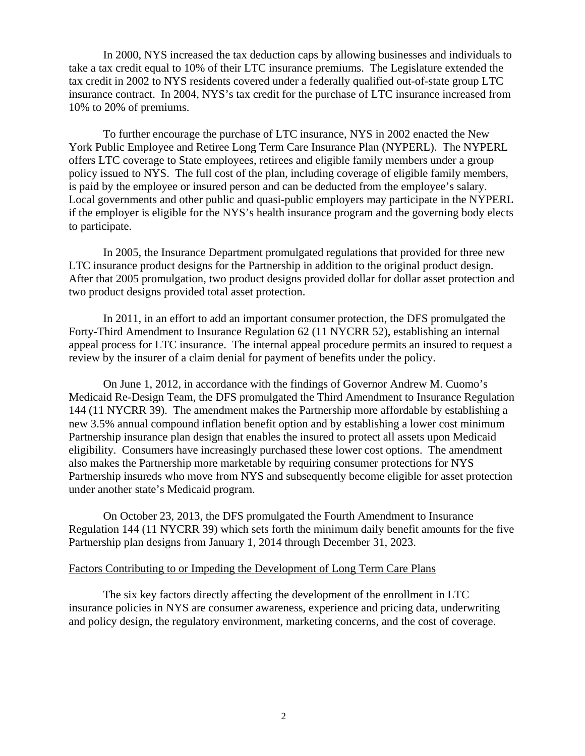In 2000, NYS increased the tax deduction caps by allowing businesses and individuals to take a tax credit equal to 10% of their LTC insurance premiums. The Legislature extended the tax credit in 2002 to NYS residents covered under a federally qualified out-of-state group LTC insurance contract. In 2004, NYS's tax credit for the purchase of LTC insurance increased from 10% to 20% of premiums.

To further encourage the purchase of LTC insurance, NYS in 2002 enacted the New York Public Employee and Retiree Long Term Care Insurance Plan (NYPERL). The NYPERL offers LTC coverage to State employees, retirees and eligible family members under a group policy issued to NYS. The full cost of the plan, including coverage of eligible family members, is paid by the employee or insured person and can be deducted from the employee's salary. Local governments and other public and quasi-public employers may participate in the NYPERL if the employer is eligible for the NYS's health insurance program and the governing body elects to participate.

In 2005, the Insurance Department promulgated regulations that provided for three new LTC insurance product designs for the Partnership in addition to the original product design. After that 2005 promulgation, two product designs provided dollar for dollar asset protection and two product designs provided total asset protection.

In 2011, in an effort to add an important consumer protection, the DFS promulgated the Forty-Third Amendment to Insurance Regulation 62 (11 NYCRR 52), establishing an internal appeal process for LTC insurance. The internal appeal procedure permits an insured to request a review by the insurer of a claim denial for payment of benefits under the policy.

under another state's Medicaid program. On June 1, 2012, in accordance with the findings of Governor Andrew M. Cuomo's Medicaid Re-Design Team, the DFS promulgated the Third Amendment to Insurance Regulation 144 (11 NYCRR 39). The amendment makes the Partnership more affordable by establishing a new 3.5% annual compound inflation benefit option and by establishing a lower cost minimum Partnership insurance plan design that enables the insured to protect all assets upon Medicaid eligibility. Consumers have increasingly purchased these lower cost options. The amendment also makes the Partnership more marketable by requiring consumer protections for NYS Partnership insureds who move from NYS and subsequently become eligible for asset protection

On October 23, 2013, the DFS promulgated the Fourth Amendment to Insurance Regulation 144 (11 NYCRR 39) which sets forth the minimum daily benefit amounts for the five Partnership plan designs from January 1, 2014 through December 31, 2023.

#### Factors Contributing to or Impeding the Development of Long Term Care Plans

The six key factors directly affecting the development of the enrollment in LTC insurance policies in NYS are consumer awareness, experience and pricing data, underwriting and policy design, the regulatory environment, marketing concerns, and the cost of coverage.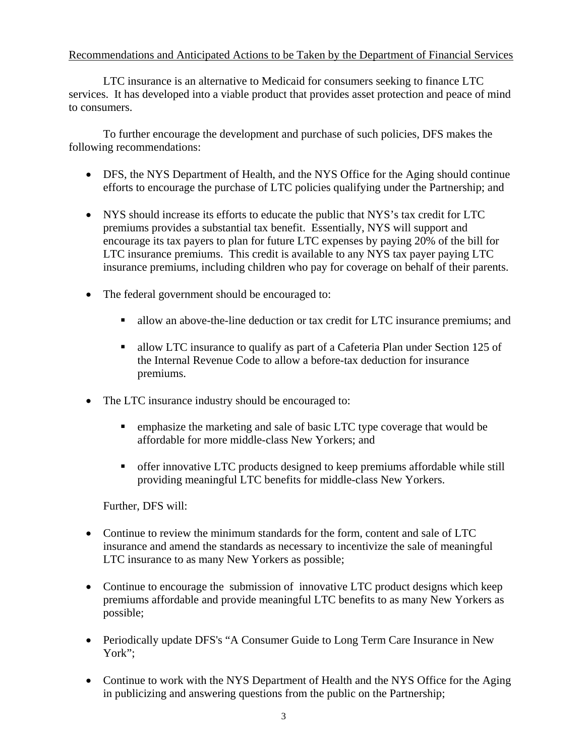### Recommendations and Anticipated Actions to be Taken by the Department of Financial Services

LTC insurance is an alternative to Medicaid for consumers seeking to finance LTC services. It has developed into a viable product that provides asset protection and peace of mind to consumers.

To further encourage the development and purchase of such policies, DFS makes the following recommendations:

- DFS, the NYS Department of Health, and the NYS Office for the Aging should continue efforts to encourage the purchase of LTC policies qualifying under the Partnership; and
- NYS should increase its efforts to educate the public that NYS's tax credit for LTC premiums provides a substantial tax benefit. Essentially, NYS will support and encourage its tax payers to plan for future LTC expenses by paying 20% of the bill for LTC insurance premiums. This credit is available to any NYS tax payer paying LTC insurance premiums, including children who pay for coverage on behalf of their parents.
- The federal government should be encouraged to:
	- allow an above-the-line deduction or tax credit for LTC insurance premiums; and
	- allow LTC insurance to qualify as part of a Cafeteria Plan under Section 125 of the Internal Revenue Code to allow a before-tax deduction for insurance premiums.
- The LTC insurance industry should be encouraged to:
	- **EXECUTE:** emphasize the marketing and sale of basic LTC type coverage that would be affordable for more middle-class New Yorkers; and
	- offer innovative LTC products designed to keep premiums affordable while still providing meaningful LTC benefits for middle-class New Yorkers.

Further, DFS will:

- Continue to review the minimum standards for the form, content and sale of LTC insurance and amend the standards as necessary to incentivize the sale of meaningful LTC insurance to as many New Yorkers as possible;
- Continue to encourage the submission of innovative LTC product designs which keep premiums affordable and provide meaningful LTC benefits to as many New Yorkers as possible;
- Periodically update DFS's "A Consumer Guide to Long Term Care Insurance in New York";
- Continue to work with the NYS Department of Health and the NYS Office for the Aging in publicizing and answering questions from the public on the Partnership;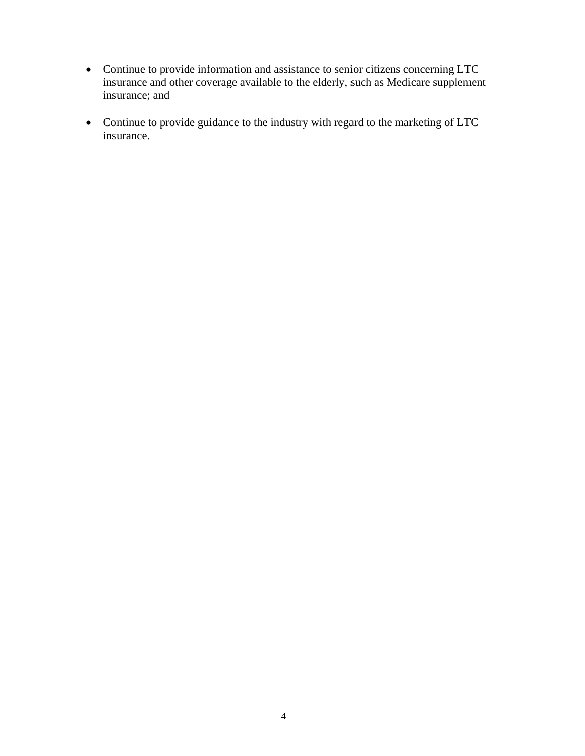- Continue to provide information and assistance to senior citizens concerning LTC insurance and other coverage available to the elderly, such as Medicare supplement insurance; and
- Continue to provide guidance to the industry with regard to the marketing of LTC insurance.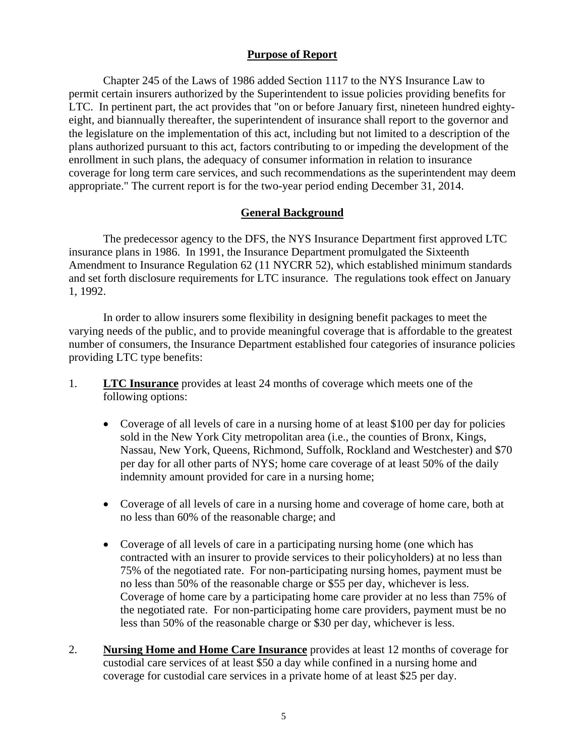### **Purpose of Report**

<span id="page-7-0"></span>Chapter 245 of the Laws of 1986 added Section 1117 to the NYS Insurance Law to permit certain insurers authorized by the Superintendent to issue policies providing benefits for LTC. In pertinent part, the act provides that "on or before January first, nineteen hundred eightyeight, and biannually thereafter, the superintendent of insurance shall report to the governor and the legislature on the implementation of this act, including but not limited to a description of the plans authorized pursuant to this act, factors contributing to or impeding the development of the enrollment in such plans, the adequacy of consumer information in relation to insurance coverage for long term care services, and such recommendations as the superintendent may deem appropriate." The current report is for the two-year period ending December 31, 2014.

### **General Background**

The predecessor agency to the DFS, the NYS Insurance Department first approved LTC insurance plans in 1986. In 1991, the Insurance Department promulgated the Sixteenth Amendment to Insurance Regulation 62 (11 NYCRR 52), which established minimum standards and set forth disclosure requirements for LTC insurance. The regulations took effect on January 1, 1992.

In order to allow insurers some flexibility in designing benefit packages to meet the varying needs of the public, and to provide meaningful coverage that is affordable to the greatest number of consumers, the Insurance Department established four categories of insurance policies providing LTC type benefits:

- 1. **LTC Insurance** provides at least 24 months of coverage which meets one of the following options:
	- Coverage of all levels of care in a nursing home of at least \$100 per day for policies sold in the New York City metropolitan area (i.e., the counties of Bronx, Kings, Nassau, New York, Queens, Richmond, Suffolk, Rockland and Westchester) and \$70 per day for all other parts of NYS; home care coverage of at least 50% of the daily indemnity amount provided for care in a nursing home;
	- Coverage of all levels of care in a nursing home and coverage of home care, both at no less than 60% of the reasonable charge; and
	- Coverage of all levels of care in a participating nursing home (one which has contracted with an insurer to provide services to their policyholders) at no less than 75% of the negotiated rate. For non-participating nursing homes, payment must be no less than 50% of the reasonable charge or \$55 per day, whichever is less. Coverage of home care by a participating home care provider at no less than 75% of the negotiated rate. For non-participating home care providers, payment must be no less than 50% of the reasonable charge or \$30 per day, whichever is less.
- 2. **Nursing Home and Home Care Insurance** provides at least 12 months of coverage for custodial care services of at least \$50 a day while confined in a nursing home and coverage for custodial care services in a private home of at least \$25 per day.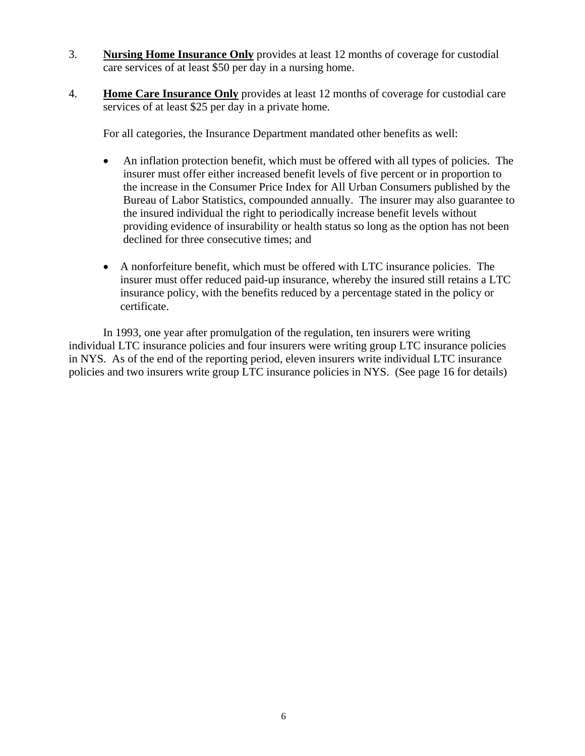- 3. **Nursing Home Insurance Only** provides at least 12 months of coverage for custodial care services of at least \$50 per day in a nursing home.
- 4. **Home Care Insurance Only** provides at least 12 months of coverage for custodial care services of at least \$25 per day in a private home.

For all categories, the Insurance Department mandated other benefits as well:

- An inflation protection benefit, which must be offered with all types of policies. The insurer must offer either increased benefit levels of five percent or in proportion to the increase in the Consumer Price Index for All Urban Consumers published by the Bureau of Labor Statistics, compounded annually. The insurer may also guarantee to the insured individual the right to periodically increase benefit levels without providing evidence of insurability or health status so long as the option has not been declined for three consecutive times; and
- A nonforfeiture benefit, which must be offered with LTC insurance policies. The insurer must offer reduced paid-up insurance, whereby the insured still retains a LTC insurance policy, with the benefits reduced by a percentage stated in the policy or certificate.

In 1993, one year after promulgation of the regulation, ten insurers were writing individual LTC insurance policies and four insurers were writing group LTC insurance policies in NYS. As of the end of the reporting period, eleven insurers write individual LTC insurance policies and two insurers write group LTC insurance policies in NYS. (See page 16 for details)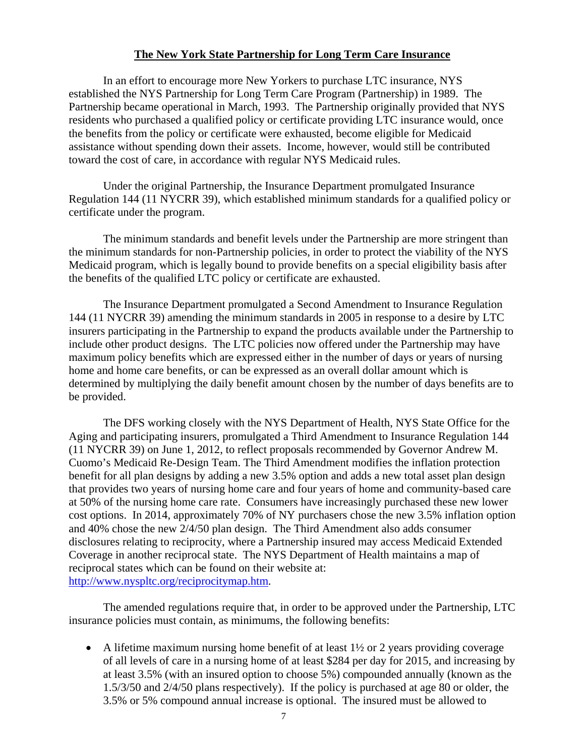### **The New York State Partnership for Long Term Care Insurance**

<span id="page-9-0"></span>In an effort to encourage more New Yorkers to purchase LTC insurance, NYS established the NYS Partnership for Long Term Care Program (Partnership) in 1989. The Partnership became operational in March, 1993. The Partnership originally provided that NYS residents who purchased a qualified policy or certificate providing LTC insurance would, once the benefits from the policy or certificate were exhausted, become eligible for Medicaid assistance without spending down their assets. Income, however, would still be contributed toward the cost of care, in accordance with regular NYS Medicaid rules.

Under the original Partnership, the Insurance Department promulgated Insurance Regulation 144 (11 NYCRR 39), which established minimum standards for a qualified policy or certificate under the program.

The minimum standards and benefit levels under the Partnership are more stringent than the minimum standards for non-Partnership policies, in order to protect the viability of the NYS Medicaid program, which is legally bound to provide benefits on a special eligibility basis after the benefits of the qualified LTC policy or certificate are exhausted.

The Insurance Department promulgated a Second Amendment to Insurance Regulation 144 (11 NYCRR 39) amending the minimum standards in 2005 in response to a desire by LTC insurers participating in the Partnership to expand the products available under the Partnership to include other product designs. The LTC policies now offered under the Partnership may have maximum policy benefits which are expressed either in the number of days or years of nursing home and home care benefits, or can be expressed as an overall dollar amount which is determined by multiplying the daily benefit amount chosen by the number of days benefits are to be provided.

The DFS working closely with the NYS Department of Health, NYS State Office for the Aging and participating insurers, promulgated a Third Amendment to Insurance Regulation 144 (11 NYCRR 39) on June 1, 2012, to reflect proposals recommended by Governor Andrew M. Cuomo's Medicaid Re-Design Team. The Third Amendment modifies the inflation protection benefit for all plan designs by adding a new 3.5% option and adds a new total asset plan design that provides two years of nursing home care and four years of home and community-based care at 50% of the nursing home care rate. Consumers have increasingly purchased these new lower cost options. In 2014, approximately 70% of NY purchasers chose the new 3.5% inflation option and 40% chose the new 2/4/50 plan design. The Third Amendment also adds consumer disclosures relating to reciprocity, where a Partnership insured may access Medicaid Extended Coverage in another reciprocal state. The NYS Department of Health maintains a map of reciprocal states which can be found on their website at: http://www.nyspltc.org/reciprocitymap.htm.

The amended regulations require that, in order to be approved under the Partnership, LTC insurance policies must contain, as minimums, the following benefits:

A lifetime maximum nursing home benefit of at least  $1\frac{1}{2}$  or 2 years providing coverage of all levels of care in a nursing home of at least \$284 per day for 2015, and increasing by at least 3.5% (with an insured option to choose 5%) compounded annually (known as the 1.5/3/50 and 2/4/50 plans respectively). If the policy is purchased at age 80 or older, the 3.5% or 5% compound annual increase is optional. The insured must be allowed to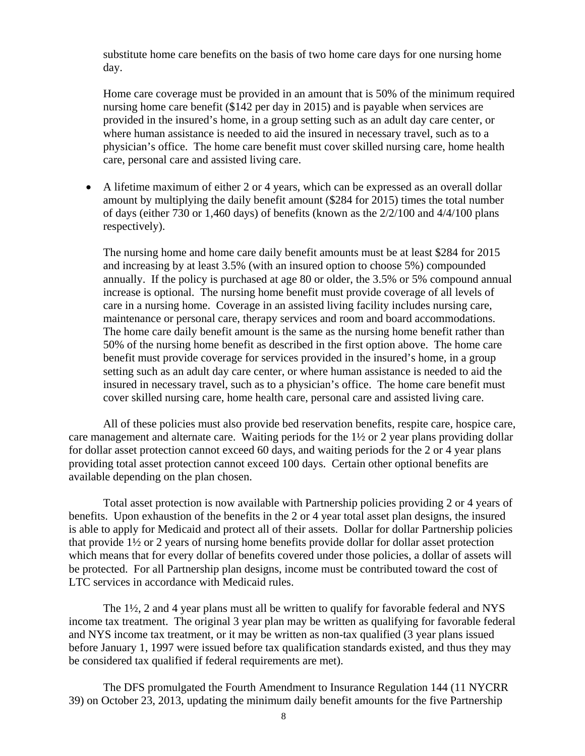substitute home care benefits on the basis of two home care days for one nursing home day.

Home care coverage must be provided in an amount that is 50% of the minimum required nursing home care benefit (\$142 per day in 2015) and is payable when services are provided in the insured's home, in a group setting such as an adult day care center, or where human assistance is needed to aid the insured in necessary travel, such as to a physician's office. The home care benefit must cover skilled nursing care, home health care, personal care and assisted living care.

 A lifetime maximum of either 2 or 4 years, which can be expressed as an overall dollar amount by multiplying the daily benefit amount (\$284 for 2015) times the total number of days (either 730 or 1,460 days) of benefits (known as the  $2/2/100$  and  $4/4/100$  plans respectively).

The nursing home and home care daily benefit amounts must be at least \$284 for 2015 and increasing by at least 3.5% (with an insured option to choose 5%) compounded annually. If the policy is purchased at age 80 or older, the 3.5% or 5% compound annual increase is optional. The nursing home benefit must provide coverage of all levels of care in a nursing home. Coverage in an assisted living facility includes nursing care, maintenance or personal care, therapy services and room and board accommodations. The home care daily benefit amount is the same as the nursing home benefit rather than 50% of the nursing home benefit as described in the first option above. The home care benefit must provide coverage for services provided in the insured's home, in a group setting such as an adult day care center, or where human assistance is needed to aid the insured in necessary travel, such as to a physician's office. The home care benefit must cover skilled nursing care, home health care, personal care and assisted living care.

All of these policies must also provide bed reservation benefits, respite care, hospice care, care management and alternate care. Waiting periods for the 1½ or 2 year plans providing dollar for dollar asset protection cannot exceed 60 days, and waiting periods for the 2 or 4 year plans providing total asset protection cannot exceed 100 days. Certain other optional benefits are available depending on the plan chosen.

Total asset protection is now available with Partnership policies providing 2 or 4 years of benefits. Upon exhaustion of the benefits in the 2 or 4 year total asset plan designs, the insured is able to apply for Medicaid and protect all of their assets. Dollar for dollar Partnership policies that provide  $1\frac{1}{2}$  or 2 years of nursing home benefits provide dollar for dollar asset protection which means that for every dollar of benefits covered under those policies, a dollar of assets will be protected. For all Partnership plan designs, income must be contributed toward the cost of LTC services in accordance with Medicaid rules.

The  $1\frac{1}{2}$ , 2 and 4 year plans must all be written to qualify for favorable federal and NYS income tax treatment. The original 3 year plan may be written as qualifying for favorable federal and NYS income tax treatment, or it may be written as non-tax qualified (3 year plans issued before January 1, 1997 were issued before tax qualification standards existed, and thus they may be considered tax qualified if federal requirements are met).

The DFS promulgated the Fourth Amendment to Insurance Regulation 144 (11 NYCRR 39) on October 23, 2013, updating the minimum daily benefit amounts for the five Partnership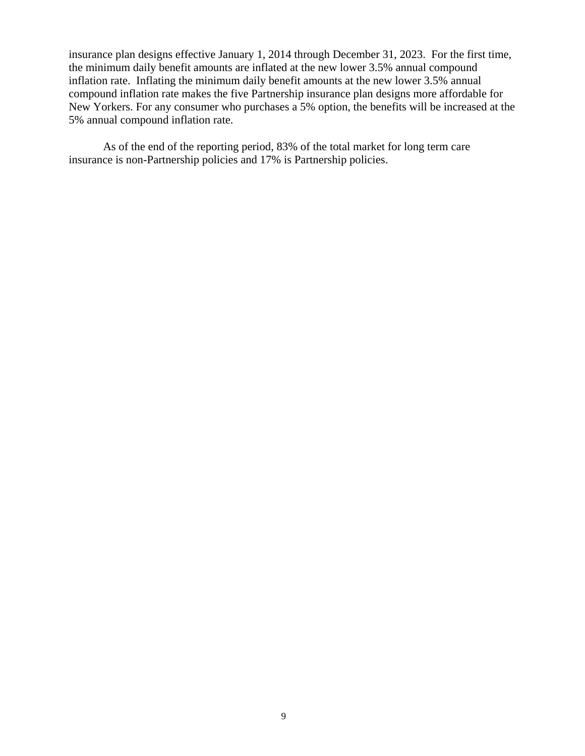insurance plan designs effective January 1, 2014 through December 31, 2023. For the first time, the minimum daily benefit amounts are inflated at the new lower 3.5% annual compound inflation rate. Inflating the minimum daily benefit amounts at the new lower 3.5% annual compound inflation rate makes the five Partnership insurance plan designs more affordable for New Yorkers. For any consumer who purchases a 5% option, the benefits will be increased at the 5% annual compound inflation rate.

As of the end of the reporting period, 83% of the total market for long term care insurance is non-Partnership policies and 17% is Partnership policies.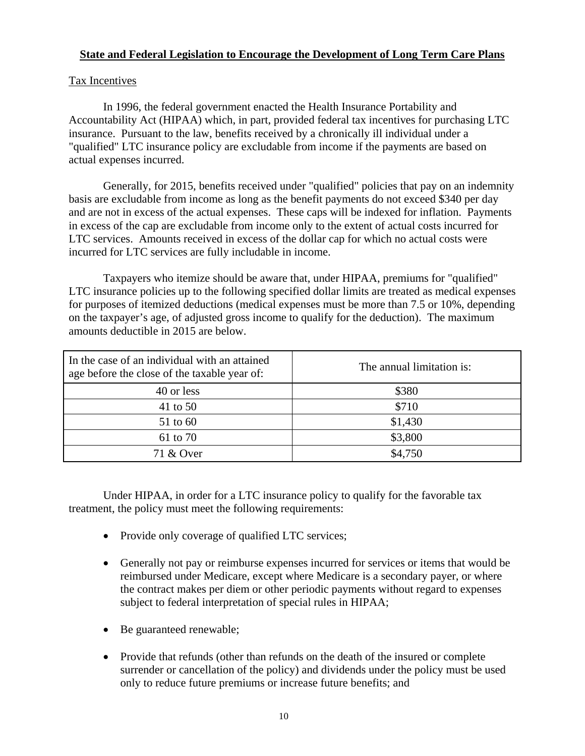### **State and Federal Legislation to Encourage the Development of Long Term Care Plans**

### Tax Incentives

In 1996, the federal government enacted the Health Insurance Portability and Accountability Act (HIPAA) which, in part, provided federal tax incentives for purchasing LTC insurance. Pursuant to the law, benefits received by a chronically ill individual under a "qualified" LTC insurance policy are excludable from income if the payments are based on actual expenses incurred.

Generally, for 2015, benefits received under "qualified" policies that pay on an indemnity basis are excludable from income as long as the benefit payments do not exceed \$340 per day and are not in excess of the actual expenses. These caps will be indexed for inflation. Payments in excess of the cap are excludable from income only to the extent of actual costs incurred for LTC services. Amounts received in excess of the dollar cap for which no actual costs were incurred for LTC services are fully includable in income.

Taxpayers who itemize should be aware that, under HIPAA, premiums for "qualified" LTC insurance policies up to the following specified dollar limits are treated as medical expenses for purposes of itemized deductions (medical expenses must be more than 7.5 or 10%, depending on the taxpayer's age, of adjusted gross income to qualify for the deduction). The maximum amounts deductible in 2015 are below.

| In the case of an individual with an attained<br>age before the close of the taxable year of: | The annual limitation is: |
|-----------------------------------------------------------------------------------------------|---------------------------|
| 40 or less                                                                                    | \$380                     |
| 41 to 50                                                                                      | \$710                     |
| 51 to 60                                                                                      | \$1,430                   |
| 61 to 70                                                                                      | \$3,800                   |
| 71 & Over                                                                                     | \$4,750                   |

Under HIPAA, in order for a LTC insurance policy to qualify for the favorable tax treatment, the policy must meet the following requirements:

- Provide only coverage of qualified LTC services;
- Generally not pay or reimburse expenses incurred for services or items that would be reimbursed under Medicare, except where Medicare is a secondary payer, or where the contract makes per diem or other periodic payments without regard to expenses subject to federal interpretation of special rules in HIPAA;
- Be guaranteed renewable;
- Provide that refunds (other than refunds on the death of the insured or complete surrender or cancellation of the policy) and dividends under the policy must be used only to reduce future premiums or increase future benefits; and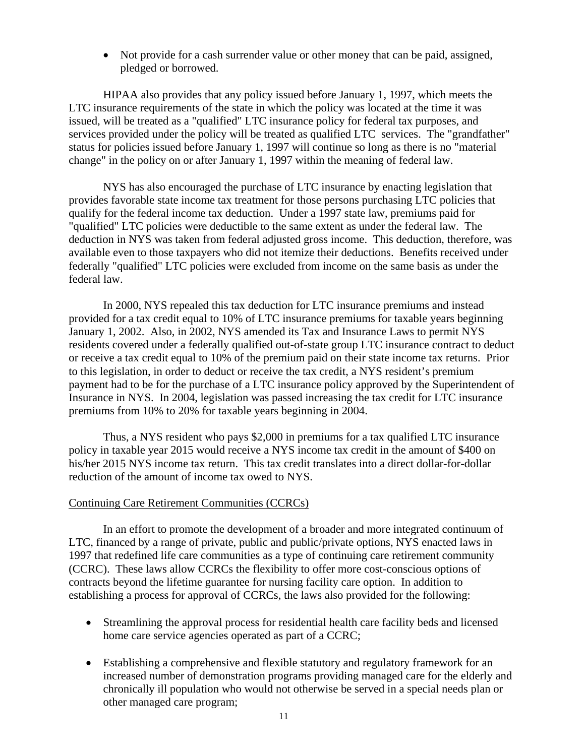Not provide for a cash surrender value or other money that can be paid, assigned, pledged or borrowed.

HIPAA also provides that any policy issued before January 1, 1997, which meets the LTC insurance requirements of the state in which the policy was located at the time it was issued, will be treated as a "qualified" LTC insurance policy for federal tax purposes, and services provided under the policy will be treated as qualified LTC services. The "grandfather" status for policies issued before January 1, 1997 will continue so long as there is no "material change" in the policy on or after January 1, 1997 within the meaning of federal law.

NYS has also encouraged the purchase of LTC insurance by enacting legislation that provides favorable state income tax treatment for those persons purchasing LTC policies that qualify for the federal income tax deduction. Under a 1997 state law, premiums paid for "qualified" LTC policies were deductible to the same extent as under the federal law. The deduction in NYS was taken from federal adjusted gross income. This deduction, therefore, was available even to those taxpayers who did not itemize their deductions. Benefits received under federally "qualified" LTC policies were excluded from income on the same basis as under the federal law.

In 2000, NYS repealed this tax deduction for LTC insurance premiums and instead provided for a tax credit equal to 10% of LTC insurance premiums for taxable years beginning January 1, 2002. Also, in 2002, NYS amended its Tax and Insurance Laws to permit NYS residents covered under a federally qualified out-of-state group LTC insurance contract to deduct or receive a tax credit equal to 10% of the premium paid on their state income tax returns. Prior to this legislation, in order to deduct or receive the tax credit, a NYS resident's premium payment had to be for the purchase of a LTC insurance policy approved by the Superintendent of Insurance in NYS. In 2004, legislation was passed increasing the tax credit for LTC insurance premiums from 10% to 20% for taxable years beginning in 2004.

Thus, a NYS resident who pays \$2,000 in premiums for a tax qualified LTC insurance policy in taxable year 2015 would receive a NYS income tax credit in the amount of \$400 on his/her 2015 NYS income tax return. This tax credit translates into a direct dollar-for-dollar reduction of the amount of income tax owed to NYS.

### Continuing Care Retirement Communities (CCRCs)

In an effort to promote the development of a broader and more integrated continuum of LTC, financed by a range of private, public and public/private options, NYS enacted laws in 1997 that redefined life care communities as a type of continuing care retirement community (CCRC). These laws allow CCRCs the flexibility to offer more cost-conscious options of contracts beyond the lifetime guarantee for nursing facility care option. In addition to establishing a process for approval of CCRCs, the laws also provided for the following:

- Streamlining the approval process for residential health care facility beds and licensed home care service agencies operated as part of a CCRC;
- Establishing a comprehensive and flexible statutory and regulatory framework for an increased number of demonstration programs providing managed care for the elderly and chronically ill population who would not otherwise be served in a special needs plan or other managed care program;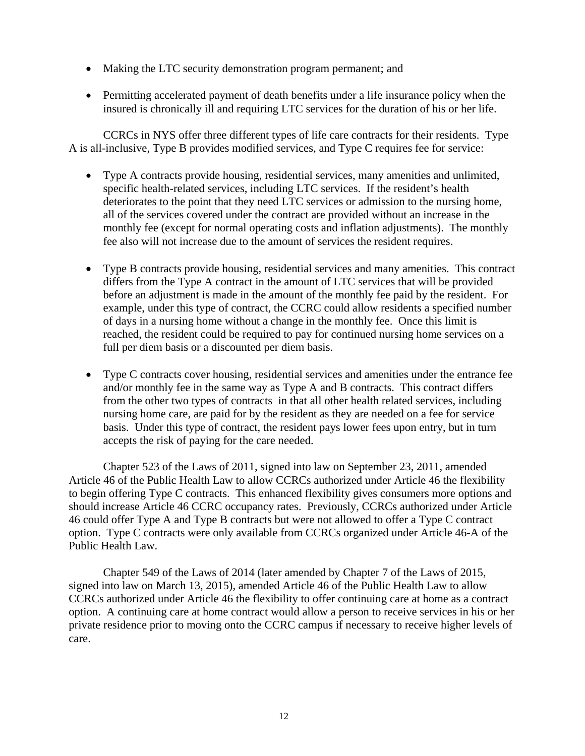- Making the LTC security demonstration program permanent; and
- Permitting accelerated payment of death benefits under a life insurance policy when the insured is chronically ill and requiring LTC services for the duration of his or her life.

CCRCs in NYS offer three different types of life care contracts for their residents. Type A is all-inclusive, Type B provides modified services, and Type C requires fee for service:

- Type A contracts provide housing, residential services, many amenities and unlimited, specific health-related services, including LTC services. If the resident's health deteriorates to the point that they need LTC services or admission to the nursing home, all of the services covered under the contract are provided without an increase in the monthly fee (except for normal operating costs and inflation adjustments). The monthly fee also will not increase due to the amount of services the resident requires.
- Type B contracts provide housing, residential services and many amenities. This contract differs from the Type A contract in the amount of LTC services that will be provided before an adjustment is made in the amount of the monthly fee paid by the resident. For example, under this type of contract, the CCRC could allow residents a specified number of days in a nursing home without a change in the monthly fee. Once this limit is reached, the resident could be required to pay for continued nursing home services on a full per diem basis or a discounted per diem basis.
- Type C contracts cover housing, residential services and amenities under the entrance fee and/or monthly fee in the same way as Type A and B contracts. This contract differs from the other two types of contracts in that all other health related services, including nursing home care, are paid for by the resident as they are needed on a fee for service basis. Under this type of contract, the resident pays lower fees upon entry, but in turn accepts the risk of paying for the care needed.

Chapter 523 of the Laws of 2011, signed into law on September 23, 2011, amended Article 46 of the Public Health Law to allow CCRCs authorized under Article 46 the flexibility to begin offering Type C contracts. This enhanced flexibility gives consumers more options and should increase Article 46 CCRC occupancy rates. Previously, CCRCs authorized under Article 46 could offer Type A and Type B contracts but were not allowed to offer a Type C contract option. Type C contracts were only available from CCRCs organized under Article 46-A of the Public Health Law.

Chapter 549 of the Laws of 2014 (later amended by Chapter 7 of the Laws of 2015, signed into law on March 13, 2015), amended Article 46 of the Public Health Law to allow CCRCs authorized under Article 46 the flexibility to offer continuing care at home as a contract option. A continuing care at home contract would allow a person to receive services in his or her private residence prior to moving onto the CCRC campus if necessary to receive higher levels of care.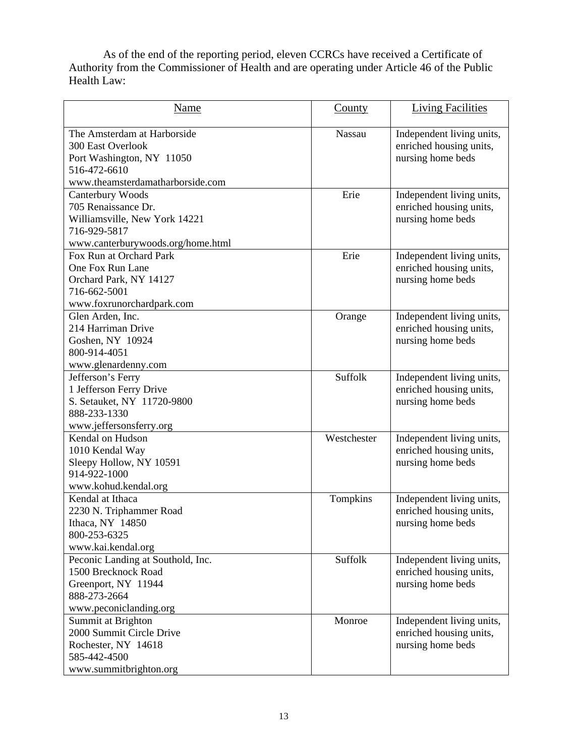As of the end of the reporting period, eleven CCRCs have received a Certificate of Authority from the Commissioner of Health and are operating under Article 46 of the Public Health Law:

| Name                                                                                                                                     | County      | <b>Living Facilities</b>                                                  |
|------------------------------------------------------------------------------------------------------------------------------------------|-------------|---------------------------------------------------------------------------|
| The Amsterdam at Harborside<br><b>300 East Overlook</b><br>Port Washington, NY 11050<br>516-472-6610<br>www.theamsterdamatharborside.com | Nassau      | Independent living units,<br>enriched housing units,<br>nursing home beds |
| Canterbury Woods<br>705 Renaissance Dr.<br>Williamsville, New York 14221<br>716-929-5817<br>www.canterburywoods.org/home.html            | Erie        | Independent living units,<br>enriched housing units,<br>nursing home beds |
| Fox Run at Orchard Park<br>One Fox Run Lane<br>Orchard Park, NY 14127<br>716-662-5001<br>www.foxrunorchardpark.com                       | Erie        | Independent living units,<br>enriched housing units,<br>nursing home beds |
| Glen Arden, Inc.<br>214 Harriman Drive<br>Goshen, NY 10924<br>800-914-4051<br>www.glenardenny.com                                        | Orange      | Independent living units,<br>enriched housing units,<br>nursing home beds |
| Jefferson's Ferry<br>1 Jefferson Ferry Drive<br>S. Setauket, NY 11720-9800<br>888-233-1330<br>www.jeffersonsferry.org                    | Suffolk     | Independent living units,<br>enriched housing units,<br>nursing home beds |
| Kendal on Hudson<br>1010 Kendal Way<br>Sleepy Hollow, NY 10591<br>914-922-1000<br>www.kohud.kendal.org                                   | Westchester | Independent living units,<br>enriched housing units,<br>nursing home beds |
| Kendal at Ithaca<br>2230 N. Triphammer Road<br>Ithaca, NY 14850<br>800-253-6325<br>www.kai.kendal.org                                    | Tompkins    | Independent living units,<br>enriched housing units,<br>nursing home beds |
| Peconic Landing at Southold, Inc.<br>1500 Brecknock Road<br>Greenport, NY 11944<br>888-273-2664<br>www.peconiclanding.org                | Suffolk     | Independent living units,<br>enriched housing units,<br>nursing home beds |
| Summit at Brighton<br>2000 Summit Circle Drive<br>Rochester, NY 14618<br>585-442-4500<br>www.summitbrighton.org                          | Monroe      | Independent living units,<br>enriched housing units,<br>nursing home beds |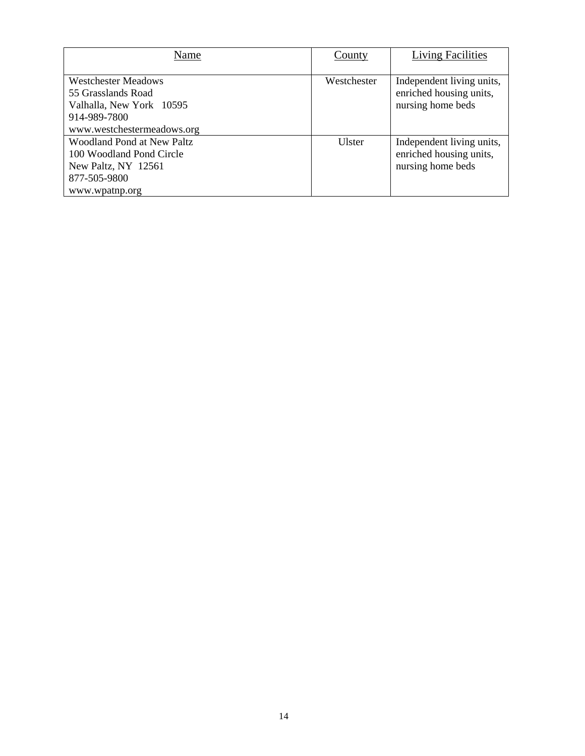| Name                                                                                                 | County      | <b>Living Facilities</b>                                                  |
|------------------------------------------------------------------------------------------------------|-------------|---------------------------------------------------------------------------|
| <b>Westchester Meadows</b><br>55 Grasslands Road<br>Valhalla, New York 10595<br>914-989-7800         | Westchester | Independent living units,<br>enriched housing units,<br>nursing home beds |
| www.westchestermeadows.org                                                                           |             |                                                                           |
| <b>Woodland Pond at New Paltz</b><br>100 Woodland Pond Circle<br>New Paltz, NY 12561<br>877-505-9800 | Ulster      | Independent living units,<br>enriched housing units,<br>nursing home beds |
| www.wpatnp.org                                                                                       |             |                                                                           |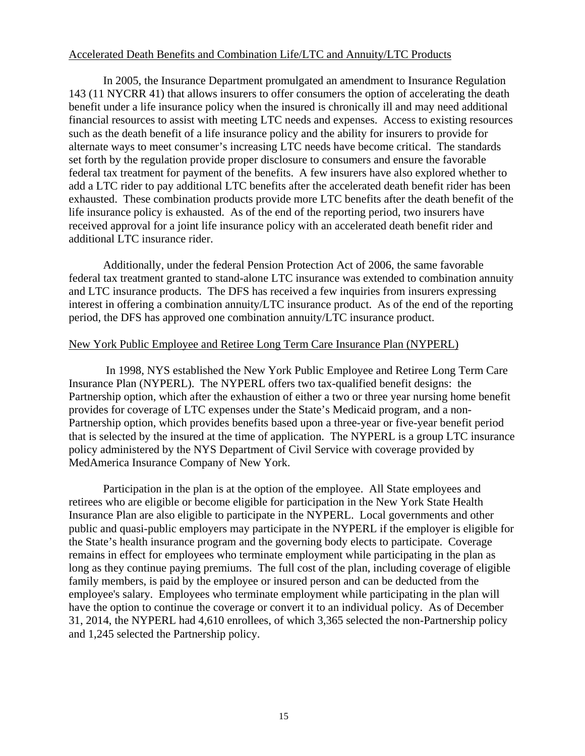### Accelerated Death Benefits and Combination Life/LTC and Annuity/LTC Products

In 2005, the Insurance Department promulgated an amendment to Insurance Regulation 143 (11 NYCRR 41) that allows insurers to offer consumers the option of accelerating the death benefit under a life insurance policy when the insured is chronically ill and may need additional financial resources to assist with meeting LTC needs and expenses. Access to existing resources such as the death benefit of a life insurance policy and the ability for insurers to provide for alternate ways to meet consumer's increasing LTC needs have become critical. The standards set forth by the regulation provide proper disclosure to consumers and ensure the favorable federal tax treatment for payment of the benefits. A few insurers have also explored whether to add a LTC rider to pay additional LTC benefits after the accelerated death benefit rider has been exhausted. These combination products provide more LTC benefits after the death benefit of the life insurance policy is exhausted. As of the end of the reporting period, two insurers have received approval for a joint life insurance policy with an accelerated death benefit rider and additional LTC insurance rider.

Additionally, under the federal Pension Protection Act of 2006, the same favorable federal tax treatment granted to stand-alone LTC insurance was extended to combination annuity and LTC insurance products. The DFS has received a few inquiries from insurers expressing interest in offering a combination annuity/LTC insurance product. As of the end of the reporting period, the DFS has approved one combination annuity/LTC insurance product.

### New York Public Employee and Retiree Long Term Care Insurance Plan (NYPERL)

 In 1998, NYS established the New York Public Employee and Retiree Long Term Care Insurance Plan (NYPERL). The NYPERL offers two tax-qualified benefit designs: the Partnership option, which after the exhaustion of either a two or three year nursing home benefit provides for coverage of LTC expenses under the State's Medicaid program, and a non-Partnership option, which provides benefits based upon a three-year or five-year benefit period that is selected by the insured at the time of application. The NYPERL is a group LTC insurance policy administered by the NYS Department of Civil Service with coverage provided by MedAmerica Insurance Company of New York.

Participation in the plan is at the option of the employee. All State employees and retirees who are eligible or become eligible for participation in the New York State Health Insurance Plan are also eligible to participate in the NYPERL. Local governments and other public and quasi-public employers may participate in the NYPERL if the employer is eligible for the State's health insurance program and the governing body elects to participate. Coverage remains in effect for employees who terminate employment while participating in the plan as long as they continue paying premiums. The full cost of the plan, including coverage of eligible family members, is paid by the employee or insured person and can be deducted from the employee's salary. Employees who terminate employment while participating in the plan will have the option to continue the coverage or convert it to an individual policy. As of December 31, 2014, the NYPERL had 4,610 enrollees, of which 3,365 selected the non-Partnership policy and 1,245 selected the Partnership policy.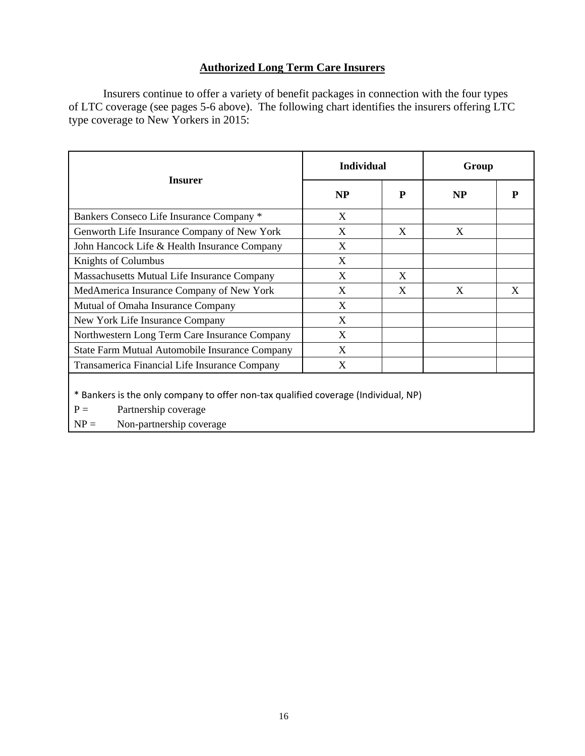## **Authorized Long Term Care Insurers**

Insurers continue to offer a variety of benefit packages in connection with the four types of LTC coverage (see pages 5-6 above). The following chart identifies the insurers offering LTC type coverage to New Yorkers in 2015:

|                                                                                                                                                           | <b>Individual</b> |   | Group     |   |  |
|-----------------------------------------------------------------------------------------------------------------------------------------------------------|-------------------|---|-----------|---|--|
| <b>Insurer</b>                                                                                                                                            | NP                | P | <b>NP</b> | P |  |
| Bankers Conseco Life Insurance Company *                                                                                                                  | X                 |   |           |   |  |
| Genworth Life Insurance Company of New York                                                                                                               | X                 | X | X         |   |  |
| John Hancock Life & Health Insurance Company                                                                                                              | X                 |   |           |   |  |
| Knights of Columbus                                                                                                                                       | X                 |   |           |   |  |
| Massachusetts Mutual Life Insurance Company                                                                                                               | X                 | X |           |   |  |
| MedAmerica Insurance Company of New York                                                                                                                  | X                 | X | X         | X |  |
| Mutual of Omaha Insurance Company                                                                                                                         | X                 |   |           |   |  |
| New York Life Insurance Company                                                                                                                           | X                 |   |           |   |  |
| Northwestern Long Term Care Insurance Company                                                                                                             | X                 |   |           |   |  |
| State Farm Mutual Automobile Insurance Company                                                                                                            | X                 |   |           |   |  |
| Transamerica Financial Life Insurance Company                                                                                                             | X                 |   |           |   |  |
| * Bankers is the only company to offer non-tax qualified coverage (Individual, NP)<br>$P =$<br>Partnership coverage<br>$NP =$<br>Non-partnership coverage |                   |   |           |   |  |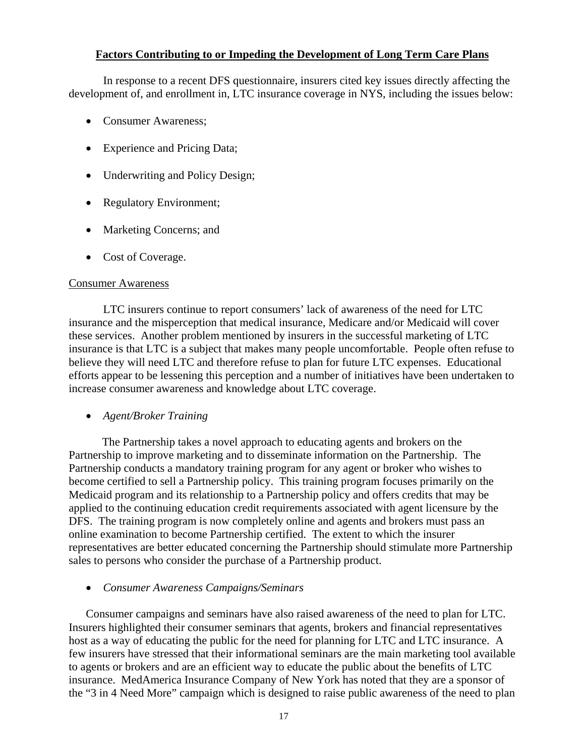### **Factors Contributing to or Impeding the Development of Long Term Care Plans**

<span id="page-19-0"></span>In response to a recent DFS questionnaire, insurers cited key issues directly affecting the development of, and enrollment in, LTC insurance coverage in NYS, including the issues below:

- Consumer Awareness;
- Experience and Pricing Data;
- Underwriting and Policy Design;
- Regulatory Environment;
- Marketing Concerns; and
- Cost of Coverage.

### Consumer Awareness

LTC insurers continue to report consumers' lack of awareness of the need for LTC insurance and the misperception that medical insurance, Medicare and/or Medicaid will cover these services. Another problem mentioned by insurers in the successful marketing of LTC insurance is that LTC is a subject that makes many people uncomfortable. People often refuse to believe they will need LTC and therefore refuse to plan for future LTC expenses. Educational efforts appear to be lessening this perception and a number of initiatives have been undertaken to increase consumer awareness and knowledge about LTC coverage.

*Agent/Broker Training* 

The Partnership takes a novel approach to educating agents and brokers on the Partnership to improve marketing and to disseminate information on the Partnership. The Partnership conducts a mandatory training program for any agent or broker who wishes to become certified to sell a Partnership policy. This training program focuses primarily on the Medicaid program and its relationship to a Partnership policy and offers credits that may be applied to the continuing education credit requirements associated with agent licensure by the DFS. The training program is now completely online and agents and brokers must pass an online examination to become Partnership certified. The extent to which the insurer representatives are better educated concerning the Partnership should stimulate more Partnership sales to persons who consider the purchase of a Partnership product.

*Consumer Awareness Campaigns/Seminars* 

Consumer campaigns and seminars have also raised awareness of the need to plan for LTC. Insurers highlighted their consumer seminars that agents, brokers and financial representatives host as a way of educating the public for the need for planning for LTC and LTC insurance. A few insurers have stressed that their informational seminars are the main marketing tool available to agents or brokers and are an efficient way to educate the public about the benefits of LTC insurance. MedAmerica Insurance Company of New York has noted that they are a sponsor of the "3 in 4 Need More" campaign which is designed to raise public awareness of the need to plan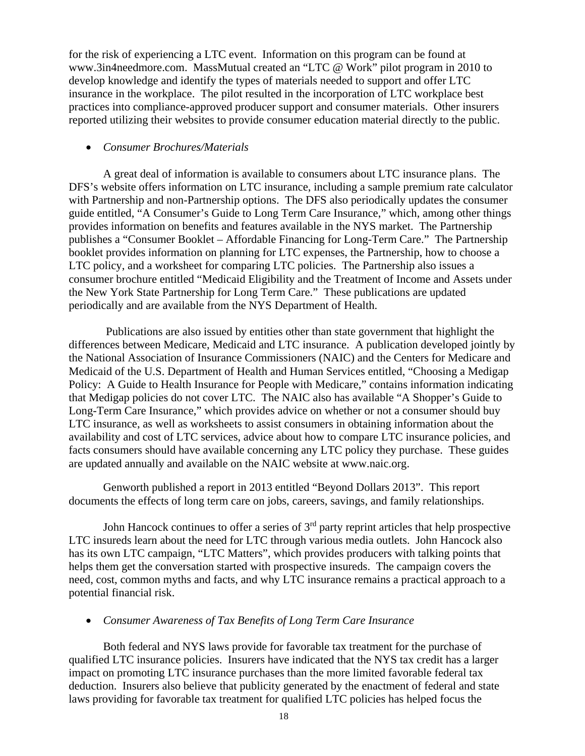for the risk of experiencing a LTC event. Information on this program can be found at www.3in4needmore.com. MassMutual created an "LTC @ Work" pilot program in 2010 to develop knowledge and identify the types of materials needed to support and offer LTC insurance in the workplace. The pilot resulted in the incorporation of LTC workplace best practices into compliance-approved producer support and consumer materials. Other insurers reported utilizing their websites to provide consumer education material directly to the public.

### *Consumer Brochures/Materials*

A great deal of information is available to consumers about LTC insurance plans. The DFS's website offers information on LTC insurance, including a sample premium rate calculator with Partnership and non-Partnership options. The DFS also periodically updates the consumer guide entitled, "A Consumer's Guide to Long Term Care Insurance," which, among other things provides information on benefits and features available in the NYS market. The Partnership publishes a "Consumer Booklet – Affordable Financing for Long-Term Care." The Partnership booklet provides information on planning for LTC expenses, the Partnership, how to choose a LTC policy, and a worksheet for comparing LTC policies. The Partnership also issues a consumer brochure entitled "Medicaid Eligibility and the Treatment of Income and Assets under the New York State Partnership for Long Term Care." These publications are updated periodically and are available from the NYS Department of Health.

 Publications are also issued by entities other than state government that highlight the differences between Medicare, Medicaid and LTC insurance. A publication developed jointly by the National Association of Insurance Commissioners (NAIC) and the Centers for Medicare and Medicaid of the U.S. Department of Health and Human Services entitled, "Choosing a Medigap Policy: A Guide to Health Insurance for People with Medicare," contains information indicating that Medigap policies do not cover LTC. The NAIC also has available "A Shopper's Guide to Long-Term Care Insurance," which provides advice on whether or not a consumer should buy LTC insurance, as well as worksheets to assist consumers in obtaining information about the availability and cost of LTC services, advice about how to compare LTC insurance policies, and facts consumers should have available concerning any LTC policy they purchase. These guides are updated annually and available on the NAIC website at www.naic.org.

Genworth published a report in 2013 entitled "Beyond Dollars 2013". This report documents the effects of long term care on jobs, careers, savings, and family relationships.

John Hancock continues to offer a series of  $3<sup>rd</sup>$  party reprint articles that help prospective LTC insureds learn about the need for LTC through various media outlets. John Hancock also has its own LTC campaign, "LTC Matters", which provides producers with talking points that helps them get the conversation started with prospective insureds. The campaign covers the need, cost, common myths and facts, and why LTC insurance remains a practical approach to a potential financial risk.

### *Consumer Awareness of Tax Benefits of Long Term Care Insurance*

Both federal and NYS laws provide for favorable tax treatment for the purchase of qualified LTC insurance policies. Insurers have indicated that the NYS tax credit has a larger impact on promoting LTC insurance purchases than the more limited favorable federal tax deduction. Insurers also believe that publicity generated by the enactment of federal and state laws providing for favorable tax treatment for qualified LTC policies has helped focus the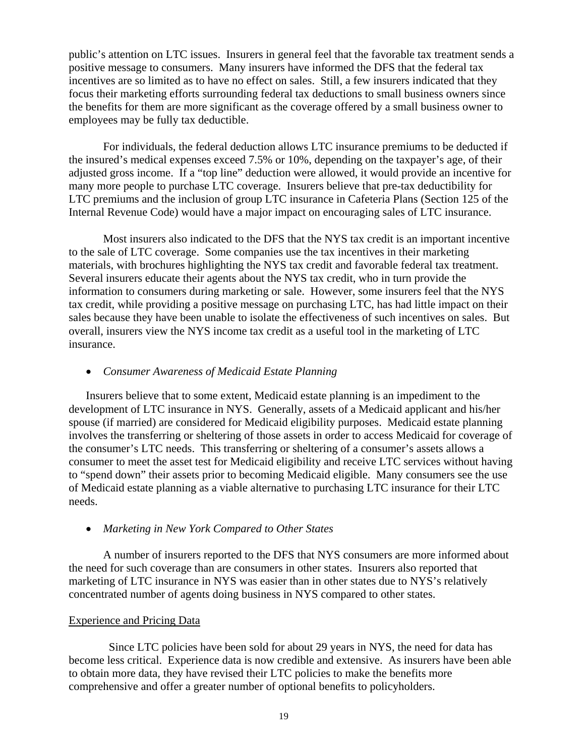public's attention on LTC issues. Insurers in general feel that the favorable tax treatment sends a positive message to consumers. Many insurers have informed the DFS that the federal tax incentives are so limited as to have no effect on sales. Still, a few insurers indicated that they focus their marketing efforts surrounding federal tax deductions to small business owners since the benefits for them are more significant as the coverage offered by a small business owner to employees may be fully tax deductible.

For individuals, the federal deduction allows LTC insurance premiums to be deducted if the insured's medical expenses exceed 7.5% or 10%, depending on the taxpayer's age, of their adjusted gross income. If a "top line" deduction were allowed, it would provide an incentive for many more people to purchase LTC coverage. Insurers believe that pre-tax deductibility for LTC premiums and the inclusion of group LTC insurance in Cafeteria Plans (Section 125 of the Internal Revenue Code) would have a major impact on encouraging sales of LTC insurance.

Most insurers also indicated to the DFS that the NYS tax credit is an important incentive to the sale of LTC coverage. Some companies use the tax incentives in their marketing materials, with brochures highlighting the NYS tax credit and favorable federal tax treatment. Several insurers educate their agents about the NYS tax credit, who in turn provide the information to consumers during marketing or sale. However, some insurers feel that the NYS tax credit, while providing a positive message on purchasing LTC, has had little impact on their sales because they have been unable to isolate the effectiveness of such incentives on sales. But overall, insurers view the NYS income tax credit as a useful tool in the marketing of LTC insurance.

#### *Consumer Awareness of Medicaid Estate Planning*

Insurers believe that to some extent, Medicaid estate planning is an impediment to the development of LTC insurance in NYS. Generally, assets of a Medicaid applicant and his/her spouse (if married) are considered for Medicaid eligibility purposes. Medicaid estate planning involves the transferring or sheltering of those assets in order to access Medicaid for coverage of the consumer's LTC needs. This transferring or sheltering of a consumer's assets allows a consumer to meet the asset test for Medicaid eligibility and receive LTC services without having to "spend down" their assets prior to becoming Medicaid eligible. Many consumers see the use of Medicaid estate planning as a viable alternative to purchasing LTC insurance for their LTC needs.

#### *Marketing in New York Compared to Other States*

A number of insurers reported to the DFS that NYS consumers are more informed about the need for such coverage than are consumers in other states. Insurers also reported that marketing of LTC insurance in NYS was easier than in other states due to NYS's relatively concentrated number of agents doing business in NYS compared to other states.

#### Experience and Pricing Data

 Since LTC policies have been sold for about 29 years in NYS, the need for data has become less critical. Experience data is now credible and extensive. As insurers have been able to obtain more data, they have revised their LTC policies to make the benefits more comprehensive and offer a greater number of optional benefits to policyholders.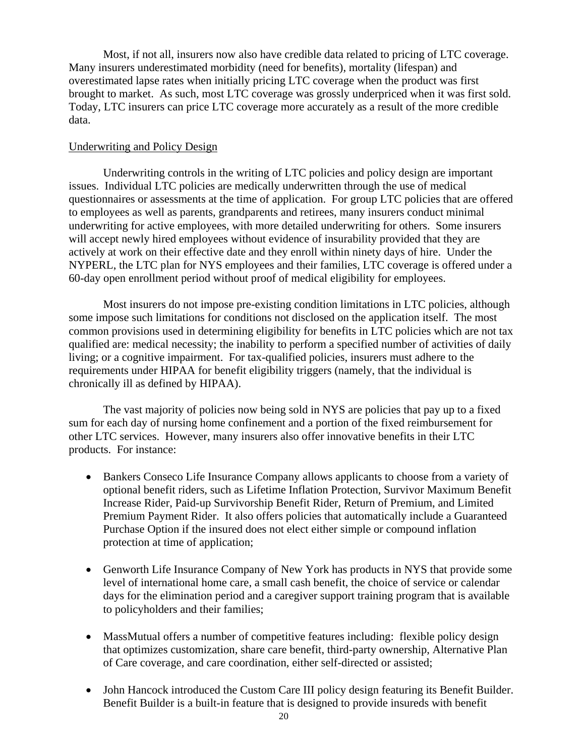Most, if not all, insurers now also have credible data related to pricing of LTC coverage. Many insurers underestimated morbidity (need for benefits), mortality (lifespan) and overestimated lapse rates when initially pricing LTC coverage when the product was first brought to market. As such, most LTC coverage was grossly underpriced when it was first sold. Today, LTC insurers can price LTC coverage more accurately as a result of the more credible data.

### Underwriting and Policy Design

Underwriting controls in the writing of LTC policies and policy design are important issues. Individual LTC policies are medically underwritten through the use of medical questionnaires or assessments at the time of application. For group LTC policies that are offered to employees as well as parents, grandparents and retirees, many insurers conduct minimal underwriting for active employees, with more detailed underwriting for others. Some insurers will accept newly hired employees without evidence of insurability provided that they are actively at work on their effective date and they enroll within ninety days of hire. Under the NYPERL, the LTC plan for NYS employees and their families, LTC coverage is offered under a 60-day open enrollment period without proof of medical eligibility for employees.

Most insurers do not impose pre-existing condition limitations in LTC policies, although some impose such limitations for conditions not disclosed on the application itself. The most common provisions used in determining eligibility for benefits in LTC policies which are not tax qualified are: medical necessity; the inability to perform a specified number of activities of daily living; or a cognitive impairment. For tax-qualified policies, insurers must adhere to the requirements under HIPAA for benefit eligibility triggers (namely, that the individual is chronically ill as defined by HIPAA).

The vast majority of policies now being sold in NYS are policies that pay up to a fixed sum for each day of nursing home confinement and a portion of the fixed reimbursement for other LTC services. However, many insurers also offer innovative benefits in their LTC products. For instance:

- Bankers Conseco Life Insurance Company allows applicants to choose from a variety of optional benefit riders, such as Lifetime Inflation Protection, Survivor Maximum Benefit Increase Rider, Paid-up Survivorship Benefit Rider, Return of Premium, and Limited Premium Payment Rider. It also offers policies that automatically include a Guaranteed Purchase Option if the insured does not elect either simple or compound inflation protection at time of application;
- Genworth Life Insurance Company of New York has products in NYS that provide some level of international home care, a small cash benefit, the choice of service or calendar days for the elimination period and a caregiver support training program that is available to policyholders and their families;
- MassMutual offers a number of competitive features including: flexible policy design that optimizes customization, share care benefit, third-party ownership, Alternative Plan of Care coverage, and care coordination, either self-directed or assisted;
- John Hancock introduced the Custom Care III policy design featuring its Benefit Builder. Benefit Builder is a built-in feature that is designed to provide insureds with benefit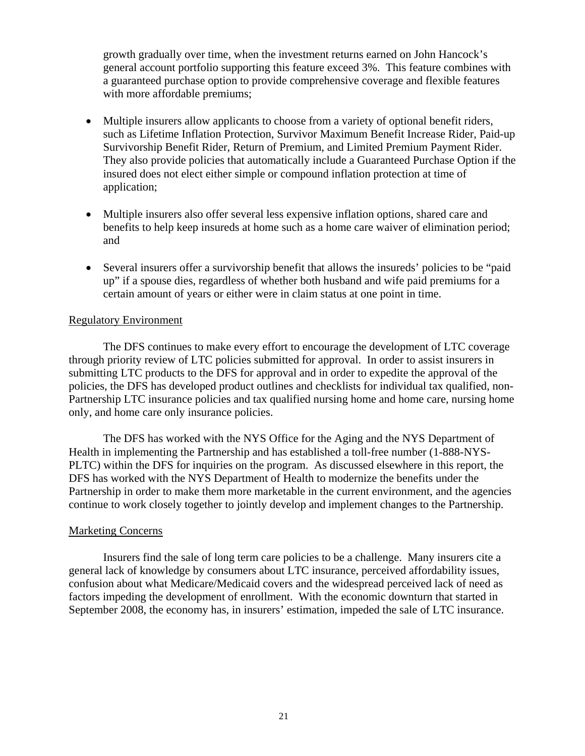growth gradually over time, when the investment returns earned on John Hancock's general account portfolio supporting this feature exceed 3%. This feature combines with a guaranteed purchase option to provide comprehensive coverage and flexible features with more affordable premiums;

- Multiple insurers allow applicants to choose from a variety of optional benefit riders, such as Lifetime Inflation Protection, Survivor Maximum Benefit Increase Rider, Paid-up Survivorship Benefit Rider, Return of Premium, and Limited Premium Payment Rider. They also provide policies that automatically include a Guaranteed Purchase Option if the insured does not elect either simple or compound inflation protection at time of application;
- Multiple insurers also offer several less expensive inflation options, shared care and benefits to help keep insureds at home such as a home care waiver of elimination period; and
- Several insurers offer a survivorship benefit that allows the insureds' policies to be "paid up" if a spouse dies, regardless of whether both husband and wife paid premiums for a certain amount of years or either were in claim status at one point in time.

### Regulatory Environment

The DFS continues to make every effort to encourage the development of LTC coverage through priority review of LTC policies submitted for approval. In order to assist insurers in submitting LTC products to the DFS for approval and in order to expedite the approval of the policies, the DFS has developed product outlines and checklists for individual tax qualified, non-Partnership LTC insurance policies and tax qualified nursing home and home care, nursing home only, and home care only insurance policies.

The DFS has worked with the NYS Office for the Aging and the NYS Department of Health in implementing the Partnership and has established a toll-free number (1-888-NYS-PLTC) within the DFS for inquiries on the program. As discussed elsewhere in this report, the DFS has worked with the NYS Department of Health to modernize the benefits under the Partnership in order to make them more marketable in the current environment, and the agencies continue to work closely together to jointly develop and implement changes to the Partnership.

### Marketing Concerns

Insurers find the sale of long term care policies to be a challenge. Many insurers cite a general lack of knowledge by consumers about LTC insurance, perceived affordability issues, confusion about what Medicare/Medicaid covers and the widespread perceived lack of need as factors impeding the development of enrollment. With the economic downturn that started in September 2008, the economy has, in insurers' estimation, impeded the sale of LTC insurance.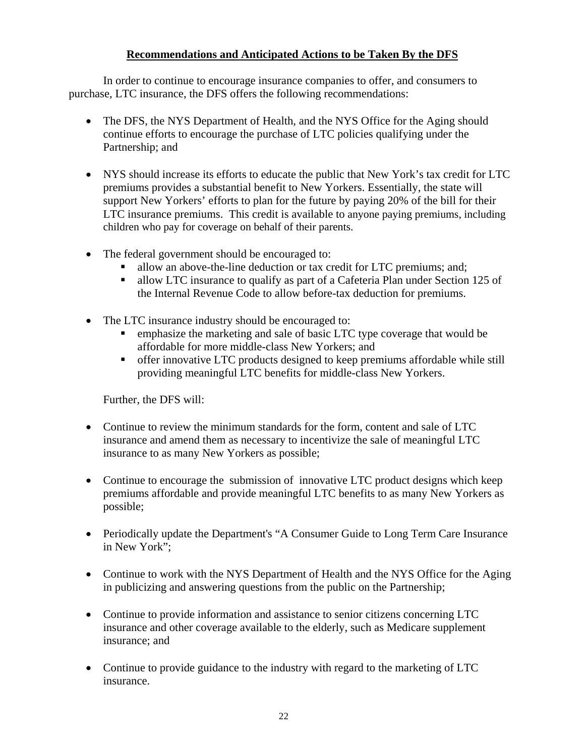## **Recommendations and Anticipated Actions to be Taken By the DFS**

<span id="page-24-0"></span>In order to continue to encourage insurance companies to offer, and consumers to purchase, LTC insurance, the DFS offers the following recommendations:

- The DFS, the NYS Department of Health, and the NYS Office for the Aging should continue efforts to encourage the purchase of LTC policies qualifying under the Partnership; and
- children who pay for coverage on behalf of their parents. NYS should increase its efforts to educate the public that New York's tax credit for LTC premiums provides a substantial benefit to New Yorkers. Essentially, the state will support New Yorkers' efforts to plan for the future by paying 20% of the bill for their LTC insurance premiums. This credit is available to anyone paying premiums, including
- The federal government should be encouraged to:
	- allow an above-the-line deduction or tax credit for LTC premiums; and;
	- allow LTC insurance to qualify as part of a Cafeteria Plan under Section 125 of the Internal Revenue Code to allow before-tax deduction for premiums.
- The LTC insurance industry should be encouraged to:
	- **EXECUTE:** emphasize the marketing and sale of basic LTC type coverage that would be affordable for more middle-class New Yorkers; and
	- offer innovative LTC products designed to keep premiums affordable while still providing meaningful LTC benefits for middle-class New Yorkers.

Further, the DFS will:

- Continue to review the minimum standards for the form, content and sale of LTC insurance and amend them as necessary to incentivize the sale of meaningful LTC insurance to as many New Yorkers as possible;
- Continue to encourage the submission of innovative LTC product designs which keep premiums affordable and provide meaningful LTC benefits to as many New Yorkers as possible;
- Periodically update the Department's "A Consumer Guide to Long Term Care Insurance in New York";
- Continue to work with the NYS Department of Health and the NYS Office for the Aging in publicizing and answering questions from the public on the Partnership;
- Continue to provide information and assistance to senior citizens concerning LTC insurance and other coverage available to the elderly, such as Medicare supplement insurance; and
- Continue to provide guidance to the industry with regard to the marketing of LTC insurance.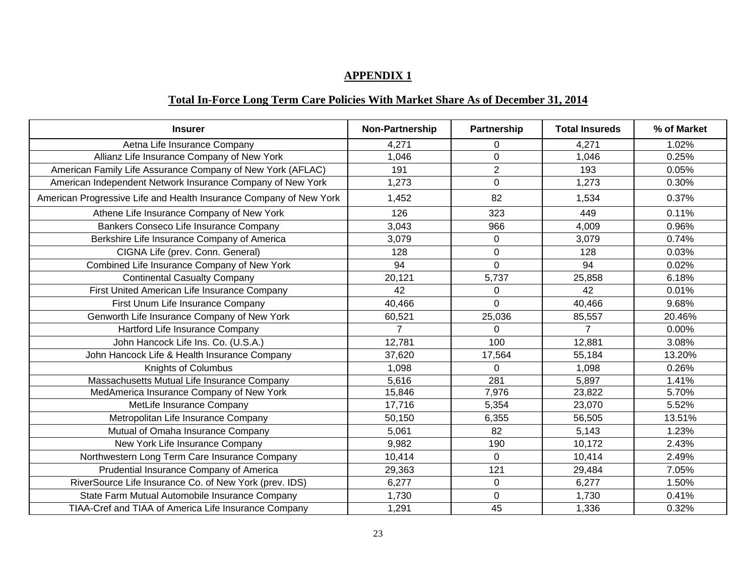#### **APPENDIX 1**

# **Total In-Force Long Term Care Policies With Market Share As of December 31, 2014**

| <b>Insurer</b>                                                     | Non-Partnership | <b>Partnership</b> | <b>Total Insureds</b> | % of Market |
|--------------------------------------------------------------------|-----------------|--------------------|-----------------------|-------------|
| Aetna Life Insurance Company                                       | 4,271           | 0                  | 4,271                 | 1.02%       |
| Allianz Life Insurance Company of New York                         | 1,046           | $\overline{0}$     | 1,046                 | 0.25%       |
| American Family Life Assurance Company of New York (AFLAC)         | 191             | $\overline{2}$     | 193                   | 0.05%       |
| American Independent Network Insurance Company of New York         | 1,273           | 0                  | 1,273                 | 0.30%       |
| American Progressive Life and Health Insurance Company of New York | 1,452           | 82                 | 1,534                 | 0.37%       |
| Athene Life Insurance Company of New York                          | 126             | 323                | 449                   | 0.11%       |
| Bankers Conseco Life Insurance Company                             | 3,043           | 966                | 4,009                 | 0.96%       |
| Berkshire Life Insurance Company of America                        | 3,079           | $\mathbf 0$        | 3,079                 | 0.74%       |
| CIGNA Life (prev. Conn. General)                                   | 128             | $\mathbf 0$        | 128                   | 0.03%       |
| Combined Life Insurance Company of New York                        | 94              | $\overline{0}$     | 94                    | 0.02%       |
| <b>Continental Casualty Company</b>                                | 20,121          | 5,737              | 25,858                | 6.18%       |
| First United American Life Insurance Company                       | 42              | 0                  | 42                    | 0.01%       |
| First Unum Life Insurance Company                                  | 40,466          | $\Omega$           | 40,466                | 9.68%       |
| Genworth Life Insurance Company of New York                        | 60,521          | 25,036             | 85,557                | 20.46%      |
| Hartford Life Insurance Company                                    | $\overline{7}$  | $\mathbf 0$        | $\overline{7}$        | 0.00%       |
| John Hancock Life Ins. Co. (U.S.A.)                                | 12,781          | 100                | 12,881                | 3.08%       |
| John Hancock Life & Health Insurance Company                       | 37,620          | 17,564             | 55,184                | 13.20%      |
| Knights of Columbus                                                | 1,098           | 0                  | 1,098                 | 0.26%       |
| Massachusetts Mutual Life Insurance Company                        | 5,616           | 281                | 5,897                 | 1.41%       |
| MedAmerica Insurance Company of New York                           | 15,846          | 7,976              | 23,822                | 5.70%       |
| MetLife Insurance Company                                          | 17,716          | 5,354              | 23,070                | 5.52%       |
| Metropolitan Life Insurance Company                                | 50,150          | 6,355              | 56,505                | 13.51%      |
| Mutual of Omaha Insurance Company                                  | 5,061           | 82                 | 5,143                 | 1.23%       |
| New York Life Insurance Company                                    | 9,982           | 190                | 10,172                | 2.43%       |
| Northwestern Long Term Care Insurance Company                      | 10,414          | 0                  | 10,414                | 2.49%       |
| Prudential Insurance Company of America                            | 29,363          | 121                | 29,484                | 7.05%       |
| RiverSource Life Insurance Co. of New York (prev. IDS)             | 6,277           | $\overline{0}$     | 6,277                 | 1.50%       |
| State Farm Mutual Automobile Insurance Company                     | 1,730           | 0                  | 1,730                 | 0.41%       |
| TIAA-Cref and TIAA of America Life Insurance Company               | 1,291           | 45                 | 1,336                 | 0.32%       |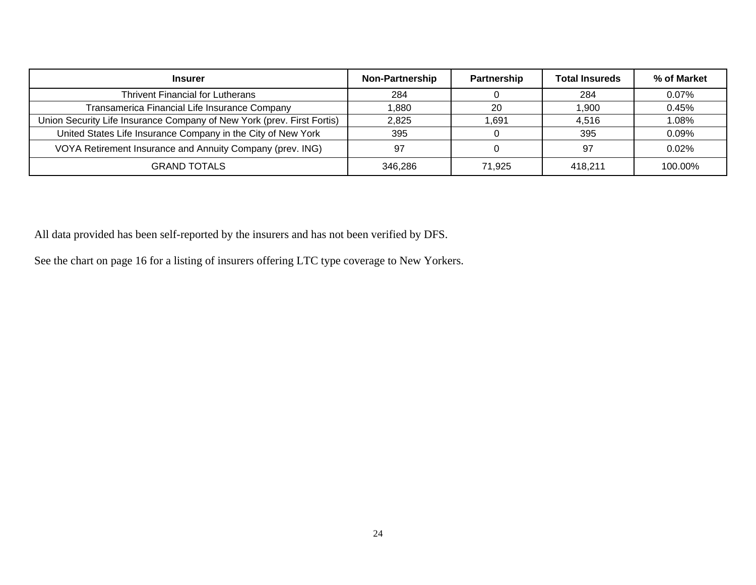| <b>Insurer</b>                                                         | <b>Non-Partnership</b> | Partnership | <b>Total Insureds</b> | % of Market |
|------------------------------------------------------------------------|------------------------|-------------|-----------------------|-------------|
| <b>Thrivent Financial for Lutherans</b>                                | 284                    |             | 284                   | 0.07%       |
| Transamerica Financial Life Insurance Company                          | .880                   | 20          | 1,900                 | 0.45%       |
| Union Security Life Insurance Company of New York (prev. First Fortis) | 2,825                  | 1.691       | 4,516                 | 1.08%       |
| United States Life Insurance Company in the City of New York           | 395                    |             | 395                   | 0.09%       |
| VOYA Retirement Insurance and Annuity Company (prev. ING)              | 97                     |             | 97                    | $0.02\%$    |
| <b>GRAND TOTALS</b>                                                    | 346.286                | 71,925      | 418.211               | 100.00%     |

All data provided has been self-reported by the insurers and has not been verified by DFS.

See the chart on page 16 for a listing of insurers offering LTC type coverage to New Yorkers.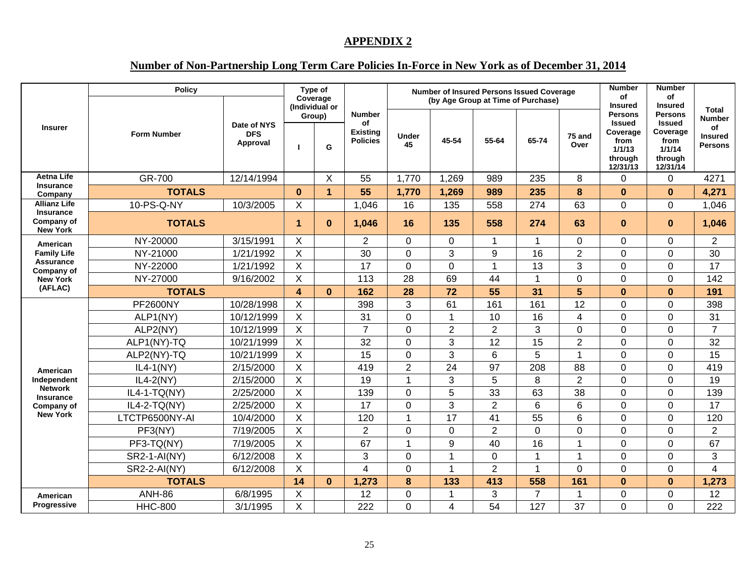#### **APPENDIX 2**

## **Number of Non-Partnership Long Term Care Policies In-Force in New York as of December 31, 2014**

|                                                   | <b>Policy</b>       |                                       | Type of<br>Coverage<br>(Individual or |              |                                                           | <b>Number of Insured Persons Issued Coverage</b><br>(by Age Group at Time of Purchase) |                |                | <b>Number</b><br>of<br><b>Insured</b> | <b>Number</b><br>of<br><b>Insured</b> |                                                                                      |                                                                                      |                                                                  |
|---------------------------------------------------|---------------------|---------------------------------------|---------------------------------------|--------------|-----------------------------------------------------------|----------------------------------------------------------------------------------------|----------------|----------------|---------------------------------------|---------------------------------------|--------------------------------------------------------------------------------------|--------------------------------------------------------------------------------------|------------------------------------------------------------------|
| <b>Insurer</b>                                    | <b>Form Number</b>  | Date of NYS<br><b>DFS</b><br>Approval | Group)                                | G            | <b>Number</b><br>οf<br><b>Existing</b><br><b>Policies</b> | Under<br>45                                                                            | 45-54          | 55-64          | 65-74                                 | 75 and<br>Over                        | <b>Persons</b><br><b>Issued</b><br>Coverage<br>from<br>1/1/13<br>through<br>12/31/13 | <b>Persons</b><br><b>Issued</b><br>Coverage<br>from<br>1/1/14<br>through<br>12/31/14 | Total<br><b>Number</b><br><b>of</b><br>Insured<br><b>Persons</b> |
| <b>Aetna Life</b>                                 | GR-700              | 12/14/1994                            |                                       | X            | 55                                                        | 1,770                                                                                  | 1,269          | 989            | 235                                   | 8                                     | $\Omega$                                                                             | $\mathbf 0$                                                                          | 4271                                                             |
| <b>Insurance</b><br>Company                       | <b>TOTALS</b>       |                                       | $\bf{0}$                              | $\mathbf{1}$ | 55                                                        | 1,770                                                                                  | 1,269          | 989            | 235                                   | 8                                     | $\bf{0}$                                                                             | $\bf{0}$                                                                             | 4,271                                                            |
| <b>Allianz Life</b>                               | 10-PS-Q-NY          | 10/3/2005                             | $\times$                              |              | 1,046                                                     | 16                                                                                     | 135            | 558            | 274                                   | 63                                    | $\Omega$                                                                             | $\mathbf{0}$                                                                         | 1,046                                                            |
| <b>Insurance</b><br>Company of<br><b>New York</b> | <b>TOTALS</b>       |                                       | $\blacktriangleleft$                  | $\bf{0}$     | 1,046                                                     | 16                                                                                     | 135            | 558            | 274                                   | 63                                    | $\bf{0}$                                                                             | $\mathbf{0}$                                                                         | 1,046                                                            |
| American                                          | NY-20000            | 3/15/1991                             | $\times$                              |              | $\overline{2}$                                            | $\Omega$                                                                               | $\mathbf 0$    | 1              | 1                                     | $\mathbf 0$                           | $\overline{0}$                                                                       | $\mathbf 0$                                                                          | $\overline{2}$                                                   |
| <b>Family Life</b>                                | NY-21000            | 1/21/1992                             | X                                     |              | 30                                                        | $\Omega$                                                                               | 3              | 9              | 16                                    | $\overline{2}$                        | $\mathbf 0$                                                                          | $\mathbf 0$                                                                          | 30                                                               |
| <b>Assurance</b><br>Company of                    | NY-22000            | 1/21/1992                             | X                                     |              | 17                                                        | $\mathbf 0$                                                                            | $\overline{0}$ | 1              | 13                                    | 3                                     | $\mathbf 0$                                                                          | $\mathbf 0$                                                                          | 17                                                               |
| <b>New York</b>                                   | NY-27000            | 9/16/2002                             | $\boldsymbol{\mathsf{X}}$             |              | 113                                                       | 28                                                                                     | 69             | 44             | $\mathbf{1}$                          | 0                                     | $\mathbf 0$                                                                          | $\mathbf 0$                                                                          | 142                                                              |
| (AFLAC)                                           | <b>TOTALS</b>       |                                       | $\blacktriangle$                      | $\mathbf{0}$ | 162                                                       | 28                                                                                     | 72             | 55             | 31                                    | $5\phantom{.}$                        | $\bf{0}$                                                                             | $\mathbf{0}$                                                                         | 191                                                              |
|                                                   | <b>PF2600NY</b>     | 10/28/1998                            | X                                     |              | 398                                                       | 3                                                                                      | 61             | 161            | 161                                   | 12                                    | $\Omega$                                                                             | $\mathbf 0$                                                                          | 398                                                              |
|                                                   | ALP1(NY)            | 10/12/1999                            | $\times$                              |              | 31                                                        | $\Omega$                                                                               | $\overline{1}$ | 10             | 16                                    | $\overline{\mathbf{A}}$               | $\Omega$                                                                             | $\overline{0}$                                                                       | 31                                                               |
|                                                   | ALP2(NY)            | 10/12/1999                            | X                                     |              | $\overline{7}$                                            | $\Omega$                                                                               | $\overline{2}$ | $\overline{2}$ | 3                                     | $\mathbf 0$                           | $\mathbf 0$                                                                          | $\mathbf 0$                                                                          | $\overline{7}$                                                   |
|                                                   | ALP1(NY)-TQ         | 10/21/1999                            | X                                     |              | 32                                                        | $\Omega$                                                                               | 3              | 12             | 15                                    | $\overline{2}$                        | $\Omega$                                                                             | $\mathbf 0$                                                                          | 32                                                               |
|                                                   | ALP2(NY)-TQ         | 10/21/1999                            | X                                     |              | 15                                                        | $\Omega$                                                                               | 3              | 6              | 5                                     | $\mathbf 1$                           | $\Omega$                                                                             | $\mathbf 0$                                                                          | 15                                                               |
| American                                          | $IL4-1(NY)$         | 2/15/2000                             | X                                     |              | 419                                                       | $\overline{2}$                                                                         | 24             | 97             | 208                                   | 88                                    | $\Omega$                                                                             | $\overline{0}$                                                                       | 419                                                              |
| Independent                                       | $IL4-2(NY)$         | 2/15/2000                             | $\sf X$                               |              | 19                                                        | $\overline{1}$                                                                         | 3              | 5              | 8                                     | $\overline{2}$                        | $\overline{0}$                                                                       | $\mathbf 0$                                                                          | 19                                                               |
| <b>Network</b><br><b>Insurance</b>                | IL4-1-TQ(NY)        | 2/25/2000                             | X                                     |              | 139                                                       | $\Omega$                                                                               | 5              | 33             | 63                                    | 38                                    | $\Omega$                                                                             | $\mathbf 0$                                                                          | 139                                                              |
| Company of                                        | IL4-2-TQ(NY)        | 2/25/2000                             | $\mathsf X$                           |              | 17                                                        | $\overline{0}$                                                                         | 3              | $\overline{2}$ | $6\phantom{1}6$                       | 6                                     | $\mathbf 0$                                                                          | $\mathbf 0$                                                                          | 17                                                               |
| <b>New York</b>                                   | LTCTP6500NY-AI      | 10/4/2000                             | $\times$                              |              | 120                                                       | 1                                                                                      | 17             | 41             | 55                                    | 6                                     | $\mathbf 0$                                                                          | $\mathbf 0$                                                                          | 120                                                              |
|                                                   | PF3(NY)             | 7/19/2005                             | X                                     |              | $\overline{2}$                                            | $\mathbf 0$                                                                            | $\overline{0}$ | $\overline{2}$ | $\mathbf 0$                           | $\mathbf 0$                           | $\mathbf 0$                                                                          | $\mathbf 0$                                                                          | $\overline{2}$                                                   |
|                                                   | PF3-TQ(NY)          | 7/19/2005                             | X                                     |              | 67                                                        | $\overline{1}$                                                                         | 9              | 40             | 16                                    | $\mathbf 1$                           | $\Omega$                                                                             | $\mathbf 0$                                                                          | 67                                                               |
|                                                   | <b>SR2-1-AI(NY)</b> | 6/12/2008                             | $\times$                              |              | 3                                                         | $\Omega$                                                                               | $\overline{1}$ | $\Omega$       | $\mathbf{1}$                          | $\mathbf{1}$                          | $\Omega$                                                                             | $\overline{0}$                                                                       | 3                                                                |
|                                                   | <b>SR2-2-AI(NY)</b> | 6/12/2008                             | $\times$                              |              | $\boldsymbol{\Delta}$                                     | $\Omega$                                                                               | $\overline{1}$ | $\overline{2}$ | $\mathbf{1}$                          | $\mathbf 0$                           | $\Omega$                                                                             | $\overline{0}$                                                                       | 4                                                                |
|                                                   | <b>TOTALS</b>       |                                       | 14                                    | $\bf{0}$     | 1,273                                                     | 8                                                                                      | 133            | 413            | 558                                   | 161                                   | $\bf{0}$                                                                             | $\bf{0}$                                                                             | 1,273                                                            |
| American                                          | <b>ANH-86</b>       | 6/8/1995                              | X                                     |              | 12                                                        | $\mathbf{0}$                                                                           | $\mathbf 1$    | 3              | $\overline{7}$                        | 1                                     | $\mathbf 0$                                                                          | $\mathbf 0$                                                                          | 12                                                               |
| <b>Progressive</b>                                | <b>HHC-800</b>      | 3/1/1995                              | X                                     |              | 222                                                       | $\overline{0}$                                                                         | 4              | 54             | 127                                   | 37                                    | $\Omega$                                                                             | $\overline{0}$                                                                       | 222                                                              |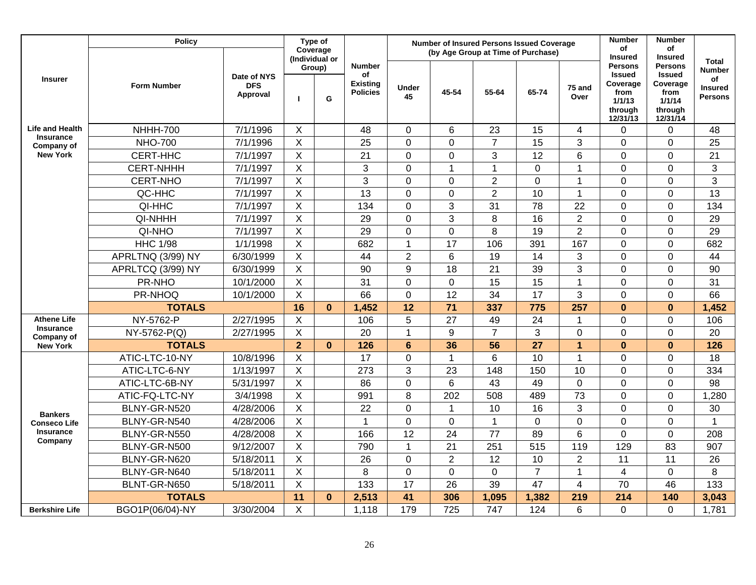|                                | <b>Policy</b>      |                                       | Type of<br>Coverage<br>(Individual or |              |                                                           |                 |                 | <b>Number of Insured Persons Issued Coverage</b> |                 | <b>Number</b>   | <b>Number</b>                                                                        |                                                                                      |                                                                  |
|--------------------------------|--------------------|---------------------------------------|---------------------------------------|--------------|-----------------------------------------------------------|-----------------|-----------------|--------------------------------------------------|-----------------|-----------------|--------------------------------------------------------------------------------------|--------------------------------------------------------------------------------------|------------------------------------------------------------------|
|                                |                    |                                       |                                       |              |                                                           |                 |                 | (by Age Group at Time of Purchase)               |                 |                 | Οf<br><b>Insured</b>                                                                 | of<br><b>Insured</b>                                                                 |                                                                  |
| <b>Insurer</b>                 | <b>Form Number</b> | Date of NYS<br><b>DFS</b><br>Approval | п                                     | Group)<br>G  | <b>Number</b><br>οf<br><b>Existing</b><br><b>Policies</b> | Under<br>45     | 45-54           | 55-64                                            | 65-74           | 75 and<br>Over  | <b>Persons</b><br><b>Issued</b><br>Coverage<br>from<br>1/1/13<br>through<br>12/31/13 | <b>Persons</b><br><b>Issued</b><br>Coverage<br>from<br>1/1/14<br>through<br>12/31/14 | Total<br><b>Number</b><br>οf<br><b>Insured</b><br><b>Persons</b> |
| <b>Life and Health</b>         | <b>NHHH-700</b>    | 7/1/1996                              | X                                     |              | 48                                                        | $\mathbf 0$     | 6               | 23                                               | 15              | $\overline{4}$  | $\overline{0}$                                                                       | 0                                                                                    | 48                                                               |
| <b>Insurance</b><br>Company of | <b>NHO-700</b>     | 7/1/1996                              | $\overline{\mathsf{x}}$               |              | 25                                                        | $\overline{0}$  | $\overline{0}$  | $\overline{7}$                                   | $\overline{15}$ | 3               | $\overline{0}$                                                                       | 0                                                                                    | $\overline{25}$                                                  |
| <b>New York</b>                | CERT-HHC           | 7/1/1997                              | $\mathsf{X}$                          |              | 21                                                        | $\mathbf 0$     | $\mathbf 0$     | 3                                                | 12              | $6\phantom{1}6$ | 0                                                                                    | $\mathbf 0$                                                                          | 21                                                               |
|                                | <b>CERT-NHHH</b>   | 7/1/1997                              | $\sf X$                               |              | 3                                                         | $\mathbf 0$     | $\mathbf{1}$    | $\overline{1}$                                   | 0               | $\mathbf{1}$    | $\mathbf 0$                                                                          | $\mathbf 0$                                                                          | $\mathbf{3}$                                                     |
|                                | <b>CERT-NHO</b>    | 7/1/1997                              | $\sf X$                               |              | 3                                                         | $\overline{0}$  | $\overline{0}$  | $\overline{2}$                                   | $\overline{0}$  | $\mathbf{1}$    | $\overline{0}$                                                                       | $\overline{0}$                                                                       | 3                                                                |
|                                | QC-HHC             | 7/1/1997                              | $\boldsymbol{\mathsf{X}}$             |              | 13                                                        | $\overline{0}$  | $\mathbf 0$     | $\overline{2}$                                   | 10              | $\mathbf{1}$    | $\mathbf 0$                                                                          | $\overline{0}$                                                                       | 13                                                               |
|                                | QI-HHC             | 7/1/1997                              | $\sf X$                               |              | 134                                                       | $\overline{0}$  | 3               | 31                                               | 78              | 22              | $\mathbf 0$                                                                          | $\overline{0}$                                                                       | 134                                                              |
|                                | QI-NHHH            | 7/1/1997                              | $\overline{X}$                        |              | 29                                                        | $\overline{0}$  | 3               | 8                                                | 16              | $\overline{2}$  | $\mathbf 0$                                                                          | $\mathbf 0$                                                                          | 29                                                               |
|                                | QI-NHO             | 7/1/1997                              | $\overline{X}$                        |              | 29                                                        | $\overline{0}$  | $\overline{0}$  | 8                                                | 19              | $\overline{2}$  | $\overline{0}$                                                                       | 0                                                                                    | 29                                                               |
|                                | <b>HHC 1/98</b>    | $\frac{1}{1}$ /1/1998                 | $\mathsf X$                           |              | 682                                                       | $\mathbf{1}$    | 17              | 106                                              | 391             | 167             | $\overline{0}$                                                                       | 0                                                                                    | 682                                                              |
|                                | APRLTNQ (3/99) NY  | 6/30/1999                             | $\times$                              |              | 44                                                        | $\overline{2}$  | 6               | 19                                               | 14              | 3               | $\overline{0}$                                                                       | 0                                                                                    | 44                                                               |
|                                | APRLTCQ (3/99) NY  | 6/30/1999                             | $\times$                              |              | 90                                                        | 9               | 18              | 21                                               | 39              | 3               | $\overline{0}$                                                                       | 0                                                                                    | 90                                                               |
|                                | PR-NHO             | 10/1/2000                             | $\sf X$                               |              | 31                                                        | $\mathbf 0$     | $\overline{0}$  | 15                                               | 15              | $\mathbf{1}$    | $\overline{0}$                                                                       | 0                                                                                    | $\overline{31}$                                                  |
|                                | PR-NHOQ            | 10/1/2000                             | X                                     |              | 66                                                        | $\overline{0}$  | 12              | 34                                               | 17              | 3               | $\mathbf 0$                                                                          | $\mathbf 0$                                                                          | 66                                                               |
|                                | <b>TOTALS</b>      |                                       | 16                                    | $\bf{0}$     | 1,452                                                     | 12              | 71              | 337                                              | 775             | 257             | $\bf{0}$                                                                             | $\mathbf 0$                                                                          | 1,452                                                            |
| <b>Athene Life</b>             | NY-5762-P          | 2/27/1995                             | X                                     |              | 106                                                       | 5               | 27              | 49                                               | 24              | $\mathbf 1$     | 0                                                                                    | $\boldsymbol{0}$                                                                     | 106                                                              |
| <b>Insurance</b><br>Company of | NY-5762-P(Q)       | 2/27/1995                             | X                                     |              | 20                                                        | $\mathbf{1}$    | 9               | $\overline{7}$                                   | 3               | $\mathbf 0$     | $\Omega$                                                                             | $\overline{0}$                                                                       | 20                                                               |
| <b>New York</b>                | <b>TOTALS</b>      |                                       | $\overline{2}$                        | $\mathbf{0}$ | 126                                                       | $6\phantom{1}6$ | 36              | 56                                               | 27              | $\overline{1}$  | $\bf{0}$                                                                             | $\mathbf 0$                                                                          | 126                                                              |
|                                | ATIC-LTC-10-NY     | 10/8/1996                             | X                                     |              | 17                                                        | $\mathbf 0$     | $\mathbf{1}$    | 6                                                | 10              | $\mathbf{1}$    | 0                                                                                    | $\mathbf 0$                                                                          | 18                                                               |
|                                | ATIC-LTC-6-NY      | 1/13/1997                             | $\mathsf X$                           |              | 273                                                       | 3               | 23              | 148                                              | 150             | 10              | 0                                                                                    | $\mathbf 0$                                                                          | 334                                                              |
|                                | ATIC-LTC-6B-NY     | 5/31/1997                             | $\pmb{\times}$                        |              | 86                                                        | $\overline{0}$  | 6               | 43                                               | 49              | $\mathbf 0$     | 0                                                                                    | $\mathbf 0$                                                                          | 98                                                               |
|                                | ATIC-FQ-LTC-NY     | 3/4/1998                              | $\pmb{\times}$                        |              | 991                                                       | 8               | 202             | 508                                              | 489             | 73              | $\overline{0}$                                                                       | $\mathbf 0$                                                                          | 1,280                                                            |
| <b>Bankers</b>                 | BLNY-GR-N520       | 4/28/2006                             | $\mathsf{X}$                          |              | 22                                                        | $\mathbf 0$     | $\mathbf{1}$    | 10                                               | 16              | 3               | $\overline{0}$                                                                       | $\mathbf 0$                                                                          | 30                                                               |
| <b>Conseco Life</b>            | BLNY-GR-N540       | 4/28/2006                             | X                                     |              | 1                                                         | $\mathbf 0$     | $\overline{0}$  | 1                                                | $\mathbf 0$     | $\mathbf 0$     | $\overline{0}$                                                                       | 0                                                                                    | 1                                                                |
| <b>Insurance</b><br>Company    | BLNY-GR-N550       | 4/28/2008                             | $\overline{X}$                        |              | 166                                                       | $\overline{12}$ | $\overline{24}$ | $\overline{77}$                                  | 89              | 6               | $\mathbf 0$                                                                          | 0                                                                                    | 208                                                              |
|                                | BLNY-GR-N500       | 9/12/2007                             | $\sf X$                               |              | 790                                                       | $\mathbf{1}$    | 21              | 251                                              | 515             | 119             | 129                                                                                  | 83                                                                                   | 907                                                              |
|                                | BLNY-GR-N620       | 5/18/2011                             | $\mathsf X$                           |              | 26                                                        | $\mathbf 0$     | $\overline{2}$  | 12                                               | 10              | $\overline{2}$  | 11                                                                                   | 11                                                                                   | 26                                                               |
|                                | BLNY-GR-N640       | 5/18/2011                             | $\mathsf X$                           |              | 8                                                         | $\mathbf 0$     | $\overline{0}$  | $\overline{0}$                                   | $\overline{7}$  | $\mathbf{1}$    | $\overline{4}$                                                                       | $\overline{0}$                                                                       | 8                                                                |
|                                | BLNT-GR-N650       | 5/18/2011                             | X                                     |              | 133                                                       | 17              | 26              | 39                                               | 47              | $\overline{4}$  | 70                                                                                   | 46                                                                                   | 133                                                              |
|                                | <b>TOTALS</b>      |                                       | 11                                    | $\bf{0}$     | 2,513                                                     | 41              | 306             | 1,095                                            | 1,382           | 219             | 214                                                                                  | 140                                                                                  | 3,043                                                            |
| <b>Berkshire Life</b>          | BGO1P(06/04)-NY    | 3/30/2004                             | $\times$                              |              | 1,118                                                     | 179             | 725             | 747                                              | 124             | 6               | 0                                                                                    | $\Omega$                                                                             | 1,781                                                            |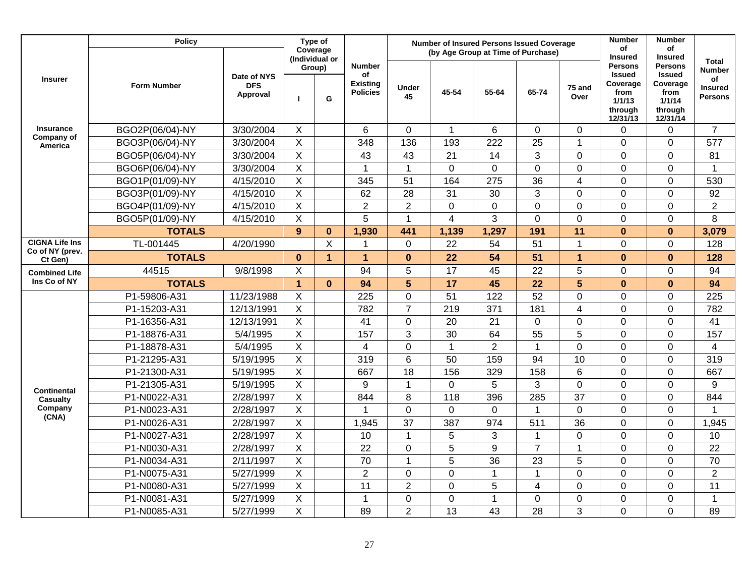|                            | <b>Policy</b>      |                                       | Type of                    |                |                                                           |                    | <b>Number of Insured Persons Issued Coverage</b> |                 | <b>Number</b>  | <b>Number</b>           |                                                                                      |                                                                                      |                                                         |
|----------------------------|--------------------|---------------------------------------|----------------------------|----------------|-----------------------------------------------------------|--------------------|--------------------------------------------------|-----------------|----------------|-------------------------|--------------------------------------------------------------------------------------|--------------------------------------------------------------------------------------|---------------------------------------------------------|
|                            |                    |                                       | Coverage<br>(Individual or |                |                                                           |                    | (by Age Group at Time of Purchase)               |                 |                |                         | of<br><b>Insured</b>                                                                 | οf<br><b>Insured</b>                                                                 | <b>Total</b>                                            |
| <b>Insurer</b>             | <b>Form Number</b> | Date of NYS<br><b>DFS</b><br>Approval |                            | Group)<br>G    | <b>Number</b><br>οf<br><b>Existing</b><br><b>Policies</b> | <b>Under</b><br>45 | 45-54                                            | 55-64           | 65-74          | 75 and<br>Over          | <b>Persons</b><br><b>Issued</b><br>Coverage<br>from<br>1/1/13<br>through<br>12/31/13 | <b>Persons</b><br><b>Issued</b><br>Coverage<br>from<br>1/1/14<br>through<br>12/31/14 | <b>Number</b><br>of<br><b>Insured</b><br><b>Persons</b> |
| <b>Insurance</b>           | BGO2P(06/04)-NY    | 3/30/2004                             | X.                         |                | 6                                                         | $\mathbf{0}$       | $\mathbf{1}$                                     | 6               | $\overline{0}$ | $\mathbf 0$             | $\mathbf 0$                                                                          | $\mathbf 0$                                                                          | $\overline{7}$                                          |
| Company of<br>America      | BGO3P(06/04)-NY    | 3/30/2004                             | X                          |                | 348                                                       | 136                | 193                                              | 222             | 25             | $\mathbf{1}$            | $\overline{0}$                                                                       | $\mathbf 0$                                                                          | 577                                                     |
|                            | BGO5P(06/04)-NY    | 3/30/2004                             | X                          |                | 43                                                        | 43                 | 21                                               | 14              | 3              | $\mathbf 0$             | $\mathbf 0$                                                                          | $\pmb{0}$                                                                            | 81                                                      |
|                            | BGO6P(06/04)-NY    | 3/30/2004                             | X                          |                | 1                                                         | $\mathbf{1}$       | $\overline{0}$                                   | $\mathbf 0$     | 0              | $\mathbf 0$             | $\mathbf 0$                                                                          | $\mathbf 0$                                                                          | $\mathbf{1}$                                            |
|                            | BGO1P(01/09)-NY    | 4/15/2010                             | X                          |                | 345                                                       | 51                 | 164                                              | 275             | 36             | $\overline{\mathbf{4}}$ | $\overline{0}$                                                                       | $\mathbf 0$                                                                          | 530                                                     |
|                            | BGO3P(01/09)-NY    | 4/15/2010                             | $\overline{X}$             |                | 62                                                        | 28                 | 31                                               | 30              | 3              | $\overline{0}$          | $\overline{0}$                                                                       | 0                                                                                    | 92                                                      |
|                            | BGO4P(01/09)-NY    | 4/15/2010                             | $\mathsf{X}$               |                | $\overline{2}$                                            | $\overline{2}$     | 0                                                | $\mathbf 0$     | 0              | $\mathbf 0$             | $\mathbf 0$                                                                          | 0                                                                                    | $\overline{2}$                                          |
|                            | BGO5P(01/09)-NY    | 4/15/2010                             | X                          |                | 5                                                         | $\mathbf 1$        | $\overline{4}$                                   | 3               | 0              | $\mathbf 0$             | $\overline{0}$                                                                       | 0                                                                                    | 8                                                       |
|                            | <b>TOTALS</b>      |                                       | 9                          | $\mathbf 0$    | 1,930                                                     | 441                | 1,139                                            | 1,297           | 191            | 11                      | $\bf{0}$                                                                             | $\bf{0}$                                                                             | 3,079                                                   |
| <b>CIGNA Life Ins</b>      | TL-001445          | 4/20/1990                             |                            | X              | 1                                                         | $\overline{0}$     | 22                                               | 54              | 51             | $\mathbf 1$             | $\overline{0}$                                                                       | $\mathbf 0$                                                                          | 128                                                     |
| Co of NY (prev.<br>Ct Gen) | <b>TOTALS</b>      |                                       | $\mathbf{0}$               | $\overline{1}$ | $\blacktriangleleft$                                      | $\bf{0}$           | 22                                               | 54              | 51             | $\mathbf{1}$            | $\mathbf{0}$                                                                         | $\mathbf 0$                                                                          | 128                                                     |
| <b>Combined Life</b>       | 44515              | 9/8/1998                              | X                          |                | 94                                                        | 5                  | 17                                               | 45              | 22             | 5                       | $\overline{0}$                                                                       | 0                                                                                    | 94                                                      |
| Ins Co of NY               | <b>TOTALS</b>      |                                       | $\overline{1}$             | $\mathbf{0}$   | 94                                                        | 5                  | 17                                               | 45              | 22             | 5                       | $\bf{0}$                                                                             | $\mathbf 0$                                                                          | 94                                                      |
|                            | P1-59806-A31       | 11/23/1988                            | X                          |                | 225                                                       | $\overline{0}$     | 51                                               | 122             | 52             | $\overline{0}$          | $\mathbf 0$                                                                          | 0                                                                                    | 225                                                     |
|                            | P1-15203-A31       | 12/13/1991                            | X                          |                | 782                                                       | $\overline{7}$     | 219                                              | 371             | 181            | $\overline{\mathbf{4}}$ | $\overline{0}$                                                                       | $\mathbf 0$                                                                          | 782                                                     |
|                            | P1-16356-A31       | 12/13/1991                            | X                          |                | 41                                                        | $\overline{0}$     | 20                                               | 21              | $\overline{0}$ | $\overline{0}$          | $\overline{0}$                                                                       | $\mathbf 0$                                                                          | 41                                                      |
|                            | P1-18876-A31       | 5/4/1995                              | X                          |                | 157                                                       | 3                  | 30                                               | 64              | 55             | 5                       | $\mathbf 0$                                                                          | 0                                                                                    | 157                                                     |
|                            | P1-18878-A31       | 5/4/1995                              | X                          |                | 4                                                         | $\pmb{0}$          | $\mathbf{1}$                                     | $\overline{2}$  | $\mathbf{1}$   | $\mathbf 0$             | $\mathbf 0$                                                                          | 0                                                                                    | 4                                                       |
|                            | P1-21295-A31       | 5/19/1995                             | X                          |                | 319                                                       | 6                  | 50                                               | 159             | 94             | 10                      | $\overline{0}$                                                                       | 0                                                                                    | 319                                                     |
|                            | P1-21300-A31       | 5/19/1995                             | X                          |                | 667                                                       | 18                 | 156                                              | 329             | 158            | $6\phantom{1}6$         | $\overline{0}$                                                                       | 0                                                                                    | 667                                                     |
| <b>Continental</b>         | P1-21305-A31       | 5/19/1995                             | X                          |                | 9                                                         | 1                  | 0                                                | 5               | 3              | $\overline{0}$          | $\overline{0}$                                                                       | 0                                                                                    | 9                                                       |
| Casualty                   | P1-N0022-A31       | 2/28/1997                             | X                          |                | 844                                                       | 8                  | 118                                              | 396             | 285            | $\overline{37}$         | $\overline{0}$                                                                       | 0                                                                                    | 844                                                     |
| Company<br>(CNA)           | P1-N0023-A31       | 2/28/1997                             | X                          |                | 1                                                         | $\overline{0}$     | 0                                                | $\overline{0}$  | $\mathbf{1}$   | $\overline{0}$          | $\overline{0}$                                                                       | $\mathbf 0$                                                                          | 1                                                       |
|                            | P1-N0026-A31       | 2/28/1997                             | X                          |                | 1,945                                                     | 37                 | 387                                              | 974             | 511            | 36                      | $\overline{0}$                                                                       | 0                                                                                    | 1,945                                                   |
|                            | P1-N0027-A31       | 2/28/1997                             | X                          |                | 10                                                        | $\overline{1}$     | 5                                                | 3               | $\mathbf{1}$   | $\overline{0}$          | $\overline{0}$                                                                       | $\overline{0}$                                                                       | 10                                                      |
|                            | P1-N0030-A31       | 2/28/1997                             | X                          |                | 22                                                        | $\mathbf 0$        | 5                                                | 9               | $\overline{7}$ | $\mathbf 1$             | $\mathbf 0$                                                                          | $\mathbf 0$                                                                          | 22                                                      |
|                            | P1-N0034-A31       | 2/11/1997                             | $\overline{X}$             |                | 70                                                        | $\overline{1}$     | $\overline{5}$                                   | $\overline{36}$ | 23             | 5                       | $\mathbf 0$                                                                          | 0                                                                                    | 70                                                      |
|                            | P1-N0075-A31       | 5/27/1999                             | X                          |                | $\overline{2}$                                            | $\mathbf 0$        | $\overline{0}$                                   | $\mathbf{1}$    | $\mathbf{1}$   | $\mathbf 0$             | $\mathbf 0$                                                                          | 0                                                                                    | $\overline{2}$                                          |
|                            | P1-N0080-A31       | 5/27/1999                             | X                          |                | 11                                                        | $\overline{2}$     | $\overline{0}$                                   | 5               | $\overline{4}$ | $\mathbf 0$             | $\overline{0}$                                                                       | $\mathbf 0$                                                                          | 11                                                      |
|                            | P1-N0081-A31       | 5/27/1999                             | X                          |                |                                                           | $\mathbf 0$        | 0                                                | $\mathbf{1}$    | $\overline{0}$ | $\mathbf 0$             | $\overline{0}$                                                                       | 0                                                                                    | 1                                                       |
|                            | P1-N0085-A31       | 5/27/1999                             | X                          |                | 89                                                        | $\overline{2}$     | 13                                               | 43              | 28             | 3                       | $\overline{0}$                                                                       | $\overline{0}$                                                                       | 89                                                      |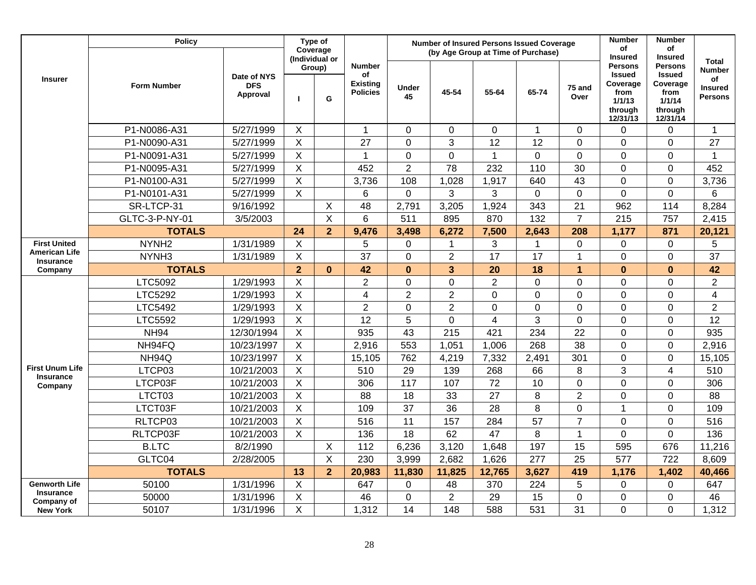|                                            | <b>Policy</b>      |                                       |                | Type of<br>Coverage           |                                                           |                    | <b>Number of Insured Persons Issued Coverage</b><br>(by Age Group at Time of Purchase) |                 | <b>Number</b><br>of | <b>Number</b><br>of |                                                                                                        |                                                                                                        |                                                                         |
|--------------------------------------------|--------------------|---------------------------------------|----------------|-------------------------------|-----------------------------------------------------------|--------------------|----------------------------------------------------------------------------------------|-----------------|---------------------|---------------------|--------------------------------------------------------------------------------------------------------|--------------------------------------------------------------------------------------------------------|-------------------------------------------------------------------------|
| <b>Insurer</b>                             | <b>Form Number</b> | Date of NYS<br><b>DFS</b><br>Approval | п              | (Individual or<br>Group)<br>G | <b>Number</b><br>of<br><b>Existing</b><br><b>Policies</b> | <b>Under</b><br>45 | 45-54                                                                                  | 55-64           | 65-74               | 75 and<br>Over      | <b>Insured</b><br><b>Persons</b><br><b>Issued</b><br>Coverage<br>from<br>1/1/13<br>through<br>12/31/13 | <b>Insured</b><br><b>Persons</b><br><b>Issued</b><br>Coverage<br>from<br>1/1/14<br>through<br>12/31/14 | <b>Total</b><br><b>Number</b><br>of<br><b>Insured</b><br><b>Persons</b> |
|                                            | P1-N0086-A31       | 5/27/1999                             | $\mathsf{X}$   |                               | $\mathbf{1}$                                              | $\mathbf 0$        | $\mathbf 0$                                                                            | $\mathbf 0$     | $\mathbf{1}$        | $\mathbf 0$         | $\Omega$                                                                                               | $\mathbf 0$                                                                                            | $\mathbf{1}$                                                            |
|                                            | P1-N0090-A31       | 5/27/1999                             | $\mathsf{X}$   |                               | 27                                                        | $\overline{0}$     | 3                                                                                      | $\overline{12}$ | 12                  | $\overline{0}$      | $\Omega$                                                                                               | $\overline{0}$                                                                                         | $\overline{27}$                                                         |
|                                            | P1-N0091-A31       | 5/27/1999                             | $\overline{X}$ |                               | 1                                                         | $\overline{0}$     | $\overline{0}$                                                                         | $\mathbf{1}$    | 0                   | $\overline{0}$      | $\Omega$                                                                                               | $\overline{0}$                                                                                         | $\mathbf{1}$                                                            |
|                                            | P1-N0095-A31       | 5/27/1999                             | $\overline{X}$ |                               | 452                                                       | $\overline{2}$     | 78                                                                                     | 232             | 110                 | 30                  | $\mathbf 0$                                                                                            | $\boldsymbol{0}$                                                                                       | 452                                                                     |
|                                            | P1-N0100-A31       | 5/27/1999                             | $\pmb{\times}$ |                               | 3,736                                                     | 108                | 1,028                                                                                  | 1,917           | 640                 | 43                  | $\Omega$                                                                                               | $\mathbf 0$                                                                                            | 3,736                                                                   |
|                                            | P1-N0101-A31       | 5/27/1999                             | X              |                               | 6                                                         | $\mathbf 0$        | 3                                                                                      | 3               | 0                   | $\mathbf 0$         | $\overline{0}$                                                                                         | $\mathbf 0$                                                                                            | 6                                                                       |
|                                            | SR-LTCP-31         | 9/16/1992                             |                | X                             | 48                                                        | 2,791              | 3,205                                                                                  | 1,924           | 343                 | 21                  | 962                                                                                                    | 114                                                                                                    | 8,284                                                                   |
|                                            | GLTC-3-P-NY-01     | 3/5/2003                              |                | X                             | 6                                                         | 511                | 895                                                                                    | 870             | 132                 | $\overline{7}$      | 215                                                                                                    | 757                                                                                                    | 2,415                                                                   |
|                                            | <b>TOTALS</b>      |                                       | 24             | $\overline{2}$                | 9,476                                                     | 3,498              | 6,272                                                                                  | 7,500           | 2,643               | 208                 | 1,177                                                                                                  | 871                                                                                                    | 20,121                                                                  |
| <b>First United</b>                        | NYNH <sub>2</sub>  | 1/31/1989                             | $\mathsf{X}$   |                               | 5                                                         | 0                  | $\mathbf 1$                                                                            | 3               | 1                   | $\mathbf 0$         | $\mathbf 0$                                                                                            | $\mathbf 0$                                                                                            | 5                                                                       |
| <b>American Life</b><br><b>Insurance</b>   | NYNH <sub>3</sub>  | 1/31/1989                             | $\mathsf{X}$   |                               | 37                                                        | $\overline{0}$     | $\overline{2}$                                                                         | $\overline{17}$ | 17                  | $\mathbf{1}$        | $\mathbf 0$                                                                                            | $\overline{0}$                                                                                         | $\overline{37}$                                                         |
| Company                                    | <b>TOTALS</b>      |                                       | $\overline{2}$ | $\mathbf{0}$                  | 42                                                        | $\mathbf{0}$       | 3                                                                                      | 20              | 18                  | $\overline{1}$      | $\mathbf{0}$                                                                                           | $\mathbf{0}$                                                                                           | 42                                                                      |
|                                            | LTC5092            | 1/29/1993                             | $\mathsf{X}$   |                               | $\overline{2}$                                            | $\overline{0}$     | $\overline{0}$                                                                         | $\overline{2}$  | 0                   | $\overline{0}$      | $\mathbf 0$                                                                                            | $\overline{0}$                                                                                         | $\overline{2}$                                                          |
|                                            | LTC5292            | 1/29/1993                             | $\mathsf{X}$   |                               | $\overline{4}$                                            | $\overline{2}$     | $\overline{2}$                                                                         | $\mathbf 0$     | 0                   | $\mathbf 0$         | $\mathbf 0$                                                                                            | $\mathbf 0$                                                                                            | $\overline{4}$                                                          |
|                                            | LTC5492            | 1/29/1993                             | $\mathsf{X}$   |                               | $\overline{2}$                                            | $\pmb{0}$          | $\overline{2}$                                                                         | $\mathbf 0$     | 0                   | $\mathbf 0$         | $\mathbf 0$                                                                                            | $\pmb{0}$                                                                                              | $\overline{2}$                                                          |
|                                            | LTC5592            | 1/29/1993                             | $\mathsf X$    |                               | 12                                                        | 5                  | $\Omega$                                                                               | $\overline{4}$  | 3                   | $\mathbf 0$         | $\mathbf 0$                                                                                            | $\mathbf 0$                                                                                            | 12                                                                      |
|                                            | <b>NH94</b>        | 12/30/1994                            | $\mathsf X$    |                               | 935                                                       | 43                 | 215                                                                                    | 421             | 234                 | 22                  | $\Omega$                                                                                               | $\mathbf 0$                                                                                            | 935                                                                     |
|                                            | NH94FQ             | 10/23/1997                            | X              |                               | 2,916                                                     | 553                | 1,051                                                                                  | 1,006           | 268                 | 38                  | $\overline{0}$                                                                                         | $\mathbf 0$                                                                                            | 2,916                                                                   |
|                                            | NH94Q              | 10/23/1997                            | $\overline{X}$ |                               | 15,105                                                    | 762                | 4,219                                                                                  | 7,332           | 2,491               | 301                 | $\mathbf 0$                                                                                            | $\mathbf 0$                                                                                            | 15,105                                                                  |
| <b>First Unum Life</b><br><b>Insurance</b> | LTCP03             | 10/21/2003                            | $\overline{X}$ |                               | 510                                                       | 29                 | 139                                                                                    | 268             | 66                  | 8                   | 3                                                                                                      | $\overline{4}$                                                                                         | 510                                                                     |
| Company                                    | LTCP03F            | 10/21/2003                            | $\mathsf{X}$   |                               | 306                                                       | 117                | 107                                                                                    | $\overline{72}$ | 10                  | $\overline{0}$      | $\overline{0}$                                                                                         | $\mathbf 0$                                                                                            | 306                                                                     |
|                                            | LTCT03             | 10/21/2003                            | $\mathsf{X}$   |                               | 88                                                        | 18                 | 33                                                                                     | $\overline{27}$ | 8                   | $\overline{2}$      | $\overline{0}$                                                                                         | $\overline{0}$                                                                                         | 88                                                                      |
|                                            | LTCT03F            | 10/21/2003                            | $\overline{X}$ |                               | 109                                                       | $\overline{37}$    | $\overline{36}$                                                                        | $\overline{28}$ | $\overline{8}$      | $\overline{0}$      | $\mathbf{1}$                                                                                           | $\overline{0}$                                                                                         | 109                                                                     |
|                                            | RLTCP03            | 10/21/2003                            | X              |                               | 516                                                       | 11                 | 157                                                                                    | 284             | $\overline{57}$     | $\overline{7}$      | $\Omega$                                                                                               | $\overline{0}$                                                                                         | 516                                                                     |
|                                            | RLTCP03F           | 10/21/2003                            | X              |                               | 136                                                       | 18                 | 62                                                                                     | 47              | 8                   | $\mathbf{1}$        | $\Omega$                                                                                               | $\overline{0}$                                                                                         | 136                                                                     |
|                                            | <b>B.LTC</b>       | 8/2/1990                              |                | X                             | 112                                                       | 6,236              | 3,120                                                                                  | 1,648           | 197                 | 15                  | 595                                                                                                    | 676                                                                                                    | 11,216                                                                  |
|                                            | GLTC04             | 2/28/2005                             |                | X                             | 230                                                       | 3,999              | 2,682                                                                                  | 1,626           | 277                 | 25                  | 577                                                                                                    | 722                                                                                                    | 8,609                                                                   |
|                                            | <b>TOTALS</b>      |                                       | 13             | $\overline{2}$                | 20,983                                                    | 11,830             | 11,825                                                                                 | 12,765          | 3,627               | 419                 | 1,176                                                                                                  | 1,402                                                                                                  | 40,466                                                                  |
| <b>Genworth Life</b>                       | 50100              | 1/31/1996                             | $\mathsf X$    |                               | 647                                                       | 0                  | 48                                                                                     | 370             | 224                 | 5                   | $\overline{0}$                                                                                         | $\mathbf 0$                                                                                            | 647                                                                     |
| <b>Insurance</b><br>Company of             | 50000              | 1/31/1996                             | $\mathsf X$    |                               | 46                                                        | 0                  | $\overline{2}$                                                                         | 29              | 15                  | $\overline{0}$      | $\overline{0}$                                                                                         | 0                                                                                                      | 46                                                                      |
| <b>New York</b>                            | 50107              | 1/31/1996                             | $\sf X$        |                               | 1,312                                                     | 14                 | 148                                                                                    | 588             | 531                 | 31                  | $\overline{0}$                                                                                         | $\overline{0}$                                                                                         | 1,312                                                                   |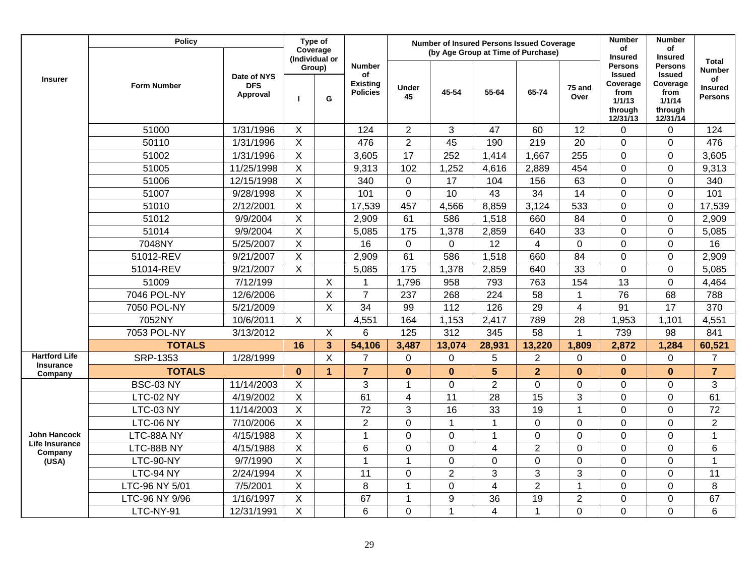|                                          | <b>Policy</b>      |                                       |                         | Type of<br>Coverage<br>(Individual or |                                                           |                    | <b>Number of Insured Persons Issued Coverage</b><br>(by Age Group at Time of Purchase) |                 |                 |                         | <b>Number</b><br>of<br><b>Insured</b>                                                | Number<br>of<br><b>Insured</b>                                                       |                                                                         |
|------------------------------------------|--------------------|---------------------------------------|-------------------------|---------------------------------------|-----------------------------------------------------------|--------------------|----------------------------------------------------------------------------------------|-----------------|-----------------|-------------------------|--------------------------------------------------------------------------------------|--------------------------------------------------------------------------------------|-------------------------------------------------------------------------|
| <b>Insurer</b>                           | <b>Form Number</b> | Date of NYS<br><b>DFS</b><br>Approval | Group)                  | G                                     | <b>Number</b><br>of<br><b>Existing</b><br><b>Policies</b> | <b>Under</b><br>45 | 45-54                                                                                  | 55-64           | 65-74           | 75 and<br>Over          | <b>Persons</b><br><b>Issued</b><br>Coverage<br>from<br>1/1/13<br>through<br>12/31/13 | <b>Persons</b><br><b>Issued</b><br>Coverage<br>from<br>1/1/14<br>through<br>12/31/14 | <b>Total</b><br><b>Number</b><br>of<br><b>Insured</b><br><b>Persons</b> |
|                                          | 51000              | 1/31/1996                             | X                       |                                       | 124                                                       | $\overline{2}$     | 3                                                                                      | 47              | 60              | 12                      | $\Omega$                                                                             | $\Omega$                                                                             | 124                                                                     |
|                                          | 50110              | 1/31/1996                             | X                       |                                       | 476                                                       | $\overline{2}$     | 45                                                                                     | 190             | 219             | 20                      | 0                                                                                    | 0                                                                                    | 476                                                                     |
|                                          | 51002              | 1/31/1996                             | $\mathsf X$             |                                       | 3,605                                                     | $\overline{17}$    | 252                                                                                    | 1,414           | 1,667           | 255                     | $\overline{0}$                                                                       | 0                                                                                    | 3,605                                                                   |
|                                          | 51005              | 11/25/1998                            | $\mathsf X$             |                                       | 9,313                                                     | 102                | 1,252                                                                                  | 4,616           | 2,889           | 454                     | $\overline{0}$                                                                       | $\mathbf 0$                                                                          | 9,313                                                                   |
|                                          | 51006              | 12/15/1998                            | $\overline{X}$          |                                       | 340                                                       | $\mathbf 0$        | 17                                                                                     | 104             | 156             | 63                      | $\overline{0}$                                                                       | $\overline{0}$                                                                       | 340                                                                     |
|                                          | 51007              | 9/28/1998                             | $\overline{\mathsf{x}}$ |                                       | 101                                                       | $\overline{0}$     | 10                                                                                     | 43              | 34              | 14                      | $\Omega$                                                                             | 0                                                                                    | 101                                                                     |
|                                          | 51010              | 2/12/2001                             | $\overline{\mathsf{x}}$ |                                       | 17,539                                                    | 457                | 4,566                                                                                  | 8,859           | 3,124           | 533                     | $\overline{0}$                                                                       | $\overline{0}$                                                                       | 17,539                                                                  |
|                                          | 51012              | 9/9/2004                              | $\mathsf X$             |                                       | 2,909                                                     | 61                 | 586                                                                                    | 1,518           | 660             | 84                      | 0                                                                                    | 0                                                                                    | 2,909                                                                   |
|                                          | 51014              | 9/9/2004                              | $\mathsf X$             |                                       | 5,085                                                     | 175                | 1,378                                                                                  | 2,859           | 640             | 33                      | 0                                                                                    | 0                                                                                    | 5,085                                                                   |
|                                          | 7048NY             | 5/25/2007                             | X                       |                                       | 16                                                        | $\mathbf 0$        | $\overline{0}$                                                                         | 12              | $\overline{4}$  | $\mathbf 0$             | $\overline{0}$                                                                       | 0                                                                                    | 16                                                                      |
|                                          | 51012-REV          | 9/21/2007                             | $\pmb{\times}$          |                                       | 2,909                                                     | 61                 | 586                                                                                    | 1,518           | 660             | 84                      | $\overline{0}$                                                                       | 0                                                                                    | 2,909                                                                   |
|                                          | 51014-REV          | 9/21/2007                             | X                       |                                       | 5,085                                                     | 175                | 1,378                                                                                  | 2,859           | 640             | 33                      | $\overline{0}$                                                                       | 0                                                                                    | 5,085                                                                   |
|                                          | 51009              | 7/12/199                              |                         | X                                     | $\mathbf 1$                                               | 1,796              | 958                                                                                    | 793             | 763             | 154                     | 13                                                                                   | $\mathbf 0$                                                                          | 4,464                                                                   |
|                                          | 7046 POL-NY        | 12/6/2006                             |                         | $\mathsf X$                           | $\overline{7}$                                            | 237                | 268                                                                                    | 224             | 58              | $\mathbf{1}$            | 76                                                                                   | 68                                                                                   | 788                                                                     |
|                                          | 7050 POL-NY        | 5/21/2009                             |                         | $\mathsf X$                           | 34                                                        | 99                 | 112                                                                                    | 126             | 29              | $\overline{\mathbf{4}}$ | 91                                                                                   | 17                                                                                   | 370                                                                     |
|                                          | 7052NY             | 10/6/2011                             | X                       |                                       | 4,551                                                     | 164                | 1,153                                                                                  | 2,417           | 789             | 28                      | 1,953                                                                                | 1,101                                                                                | 4,551                                                                   |
|                                          | 7053 POL-NY        | 3/13/2012                             |                         | $\pmb{\times}$                        | 6                                                         | 125                | 312                                                                                    | 345             | 58              | $\overline{1}$          | 739                                                                                  | 98                                                                                   | 841                                                                     |
|                                          | <b>TOTALS</b>      |                                       | 16                      | $\mathbf{3}$                          | 54,106                                                    | 3,487              | 13,074                                                                                 | 28,931          | 13,220          | 1,809                   | 2,872                                                                                | 1,284                                                                                | 60,521                                                                  |
| <b>Hartford Life</b><br><b>Insurance</b> | SRP-1353           | 1/28/1999                             |                         | $\overline{X}$                        | $\overline{7}$                                            | $\mathbf 0$        | $\Omega$                                                                               | 5               | $\overline{2}$  | $\mathbf 0$             | $\mathbf 0$                                                                          | 0                                                                                    | $\overline{7}$                                                          |
| Company                                  | <b>TOTALS</b>      |                                       | $\mathbf{0}$            | $\overline{1}$                        | $\overline{7}$                                            | $\mathbf{0}$       | $\mathbf{0}$                                                                           | 5               | $\overline{2}$  | $\bf{0}$                | $\mathbf{0}$                                                                         | $\bf{0}$                                                                             | $\overline{7}$                                                          |
|                                          | <b>BSC-03 NY</b>   | 11/14/2003                            | X                       |                                       | 3                                                         | $\mathbf{1}$       | 0                                                                                      | $\overline{2}$  | 0               | $\mathbf 0$             | $\overline{0}$                                                                       | 0                                                                                    | 3                                                                       |
|                                          | LTC-02 NY          | 4/19/2002                             | $\overline{X}$          |                                       | 61                                                        | $\overline{4}$     | 11                                                                                     | $\overline{28}$ | $\overline{15}$ | 3                       | $\overline{0}$                                                                       | $\mathbf 0$                                                                          | 61                                                                      |
|                                          | LTC-03 NY          | 11/14/2003                            | $\mathsf X$             |                                       | 72                                                        | 3                  | 16                                                                                     | 33              | 19              | $\mathbf{1}$            | 0                                                                                    | $\mathbf 0$                                                                          | 72                                                                      |
|                                          | LTC-06 NY          | 7/10/2006                             | X                       |                                       | $\overline{2}$                                            | $\overline{0}$     | $\mathbf 1$                                                                            | $\mathbf{1}$    | 0               | $\mathbf 0$             | $\overline{0}$                                                                       | $\mathbf 0$                                                                          | $\overline{2}$                                                          |
| <b>John Hancock</b>                      | LTC-88A NY         | 4/15/1988                             | X                       |                                       | $\mathbf 1$                                               | $\overline{0}$     | $\mathbf{0}$                                                                           | $\mathbf{1}$    | 0               | $\overline{0}$          | $\Omega$                                                                             | $\overline{0}$                                                                       | $\overline{1}$                                                          |
| Life Insurance<br>Company                | LTC-88B NY         | 4/15/1988                             | X                       |                                       | 6                                                         | $\overline{0}$     | $\mathbf{0}$                                                                           | $\overline{4}$  | $\overline{2}$  | $\overline{0}$          | $\overline{0}$                                                                       | 0                                                                                    | $6\phantom{1}$                                                          |
| (USA)                                    | LTC-90-NY          | 9/7/1990                              | $\overline{X}$          |                                       | $\mathbf{1}$                                              | $\mathbf{1}$       | 0                                                                                      | $\mathbf 0$     | $\mathbf 0$     | $\mathbf 0$             | 0                                                                                    | 0                                                                                    | $\overline{1}$                                                          |
|                                          | LTC-94 NY          | 2/24/1994                             | $\sf X$                 |                                       | 11                                                        | $\mathbf 0$        | $\overline{2}$                                                                         | 3               | 3               | 3                       | 0                                                                                    | 0                                                                                    | 11                                                                      |
|                                          | LTC-96 NY 5/01     | 7/5/2001                              | $\pmb{\times}$          |                                       | 8                                                         | $\mathbf{1}$       | 0                                                                                      | 4               | $\overline{2}$  | $\mathbf{1}$            | $\overline{0}$                                                                       | $\overline{0}$                                                                       | 8                                                                       |
|                                          | LTC-96 NY 9/96     | 1/16/1997                             | $\sf X$                 |                                       | 67                                                        | $\overline{1}$     | 9                                                                                      | 36              | 19              | $\boldsymbol{2}$        | $\overline{0}$                                                                       | 0                                                                                    | 67                                                                      |
|                                          | LTC-NY-91          | 12/31/1991                            | $\overline{X}$          |                                       | 6                                                         | $\overline{0}$     | 1                                                                                      | 4               | 1               | 0                       | $\Omega$                                                                             | $\Omega$                                                                             | $6\phantom{1}6$                                                         |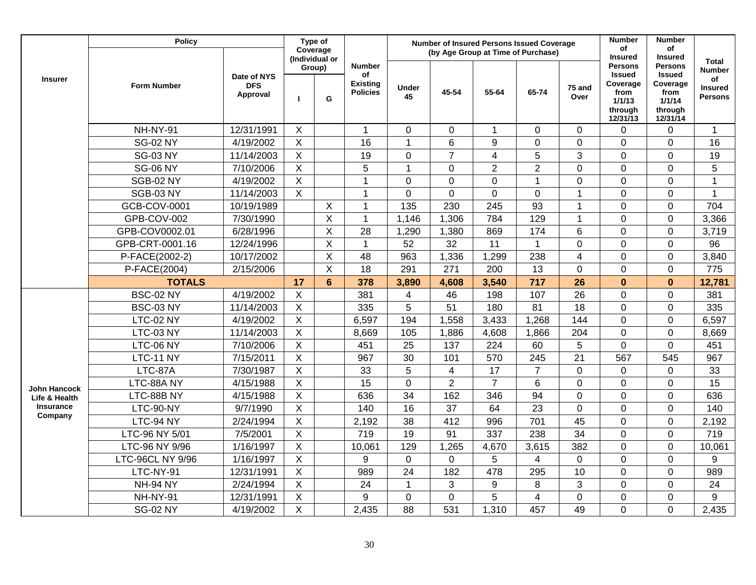|                      | <b>Policy</b>      |                                       | Type of        |                            |                                                           |                    | <b>Number of Insured Persons Issued Coverage</b> |                         |                |                         | <b>Number</b>                                                                        | <b>Number</b>                                                                        |                                                                         |
|----------------------|--------------------|---------------------------------------|----------------|----------------------------|-----------------------------------------------------------|--------------------|--------------------------------------------------|-------------------------|----------------|-------------------------|--------------------------------------------------------------------------------------|--------------------------------------------------------------------------------------|-------------------------------------------------------------------------|
|                      |                    |                                       |                | Coverage<br>(Individual or |                                                           |                    | (by Age Group at Time of Purchase)               |                         |                |                         | of<br><b>Insured</b>                                                                 | οf<br><b>Insured</b>                                                                 |                                                                         |
| <b>Insurer</b>       | <b>Form Number</b> | Date of NYS<br><b>DFS</b><br>Approval | Group)         | G                          | <b>Number</b><br>of<br><b>Existing</b><br><b>Policies</b> | <b>Under</b><br>45 | 45-54                                            | 55-64                   | 65-74          | 75 and<br>Over          | <b>Persons</b><br><b>Issued</b><br>Coverage<br>from<br>1/1/13<br>through<br>12/31/13 | <b>Persons</b><br><b>Issued</b><br>Coverage<br>from<br>1/1/14<br>through<br>12/31/14 | <b>Total</b><br><b>Number</b><br>of<br><b>Insured</b><br><b>Persons</b> |
|                      | NH-NY-91           | 12/31/1991                            | X              |                            | $\mathbf{1}$                                              | $\mathbf 0$        | $\overline{0}$                                   | $\mathbf{1}$            | $\overline{0}$ | $\overline{0}$          | $\mathbf 0$                                                                          | $\overline{0}$                                                                       | $\mathbf 1$                                                             |
|                      | <b>SG-02 NY</b>    | 4/19/2002                             | X              |                            | 16                                                        | $\mathbf{1}$       | 6                                                | 9                       | 0              | 0                       | $\mathbf 0$                                                                          | 0                                                                                    | 16                                                                      |
|                      | <b>SG-03 NY</b>    | 11/14/2003                            | X              |                            | 19                                                        | $\mathbf 0$        | $\overline{7}$                                   | $\overline{\mathbf{4}}$ | 5              | 3                       | $\overline{0}$                                                                       | $\mathbf 0$                                                                          | 19                                                                      |
|                      | <b>SG-06 NY</b>    | 7/10/2006                             | $\overline{X}$ |                            | 5                                                         | $\mathbf{1}$       | $\overline{0}$                                   | $\overline{2}$          | $\overline{2}$ | $\mathbf 0$             | $\overline{0}$                                                                       | $\mathbf 0$                                                                          | $\overline{5}$                                                          |
|                      | <b>SGB-02 NY</b>   | 4/19/2002                             | $\overline{X}$ |                            | $\overline{1}$                                            | $\mathbf 0$        | $\overline{0}$                                   | $\overline{0}$          | $\mathbf{1}$   | $\mathbf 0$             | $\overline{0}$                                                                       | $\mathbf 0$                                                                          | $\overline{1}$                                                          |
|                      | <b>SGB-03 NY</b>   | 11/14/2003                            | $\overline{X}$ |                            | $\mathbf{1}$                                              | $\overline{0}$     | $\overline{0}$                                   | $\overline{0}$          | $\mathbf 0$    | $\mathbf{1}$            | $\overline{0}$                                                                       | $\mathbf 0$                                                                          | $\mathbf{1}$                                                            |
|                      | GCB-COV-0001       | 10/19/1989                            |                | $\sf X$                    | $\overline{1}$                                            | 135                | 230                                              | 245                     | 93             | $\mathbf{1}$            | $\overline{0}$                                                                       | $\mathbf 0$                                                                          | 704                                                                     |
|                      | GPB-COV-002        | 7/30/1990                             |                | $\overline{X}$             | $\mathbf{1}$                                              | 1,146              | 1,306                                            | 784                     | 129            | $\mathbf{1}$            | $\overline{0}$                                                                       | $\mathbf 0$                                                                          | 3,366                                                                   |
|                      | GPB-COV0002.01     | 6/28/1996                             |                | $\mathsf X$                | 28                                                        | 1,290              | 1,380                                            | 869                     | 174            | 6                       | $\overline{0}$                                                                       | 0                                                                                    | 3,719                                                                   |
|                      | GPB-CRT-0001.16    | 12/24/1996                            |                | $\boldsymbol{\mathsf{X}}$  | $\mathbf{1}$                                              | 52                 | 32                                               | 11                      |                | 0                       | $\mathbf 0$                                                                          | 0                                                                                    | 96                                                                      |
|                      | P-FACE(2002-2)     | 10/17/2002                            |                | X                          | 48                                                        | 963                | 1,336                                            | 1,299                   | 238            | $\overline{\mathbf{4}}$ | $\mathbf 0$                                                                          | 0                                                                                    | 3,840                                                                   |
|                      | P-FACE(2004)       | 2/15/2006                             |                | $\boldsymbol{\mathsf{X}}$  | 18                                                        | 291                | 271                                              | 200                     | 13             | $\overline{0}$          | $\Omega$                                                                             | 0                                                                                    | 775                                                                     |
|                      | <b>TOTALS</b>      |                                       | 17             | $6\phantom{a}$             | 378                                                       | 3,890              | 4,608                                            | 3,540                   | 717            | 26                      | $\mathbf{0}$                                                                         | $\mathbf{0}$                                                                         | 12,781                                                                  |
|                      | <b>BSC-02 NY</b>   | 4/19/2002                             | X              |                            | 381                                                       | 4                  | 46                                               | 198                     | 107            | 26                      | $\mathbf 0$                                                                          | 0                                                                                    | 381                                                                     |
|                      | <b>BSC-03 NY</b>   | 11/14/2003                            | X              |                            | 335                                                       | 5                  | 51                                               | 180                     | 81             | 18                      | $\mathbf 0$                                                                          | 0                                                                                    | 335                                                                     |
|                      | <b>LTC-02 NY</b>   | 4/19/2002                             | $\sf X$        |                            | 6,597                                                     | 194                | 1,558                                            | 3,433                   | 1,268          | 144                     | $\overline{0}$                                                                       | $\mathbf 0$                                                                          | 6,597                                                                   |
|                      | LTC-03 NY          | 11/14/2003                            | X              |                            | 8,669                                                     | 105                | 1,886                                            | 4,608                   | 1,866          | 204                     | $\overline{0}$                                                                       | $\overline{0}$                                                                       | 8,669                                                                   |
|                      | LTC-06 NY          | 7/10/2006                             | X              |                            | 451                                                       | 25                 | 137                                              | 224                     | 60             | 5                       | $\Omega$                                                                             | $\overline{0}$                                                                       | 451                                                                     |
|                      | LTC-11 NY          | 7/15/2011                             | $\sf X$        |                            | 967                                                       | 30                 | 101                                              | 570                     | 245            | 21                      | 567                                                                                  | 545                                                                                  | 967                                                                     |
|                      | LTC-87A            | 7/30/1987                             | $\mathsf X$    |                            | 33                                                        | 5                  | 4                                                | 17                      | $\overline{7}$ | $\mathbf 0$             | $\Omega$                                                                             | 0                                                                                    | 33                                                                      |
| <b>John Hancock</b>  | LTC-88A NY         | 4/15/1988                             | $\mathsf X$    |                            | 15                                                        | $\mathbf 0$        | $\overline{2}$                                   | $\overline{7}$          | 6              | 0                       | $\mathbf 0$                                                                          | $\mathbf 0$                                                                          | 15                                                                      |
| Life & Health        | LTC-88B NY         | 4/15/1988                             | $\mathsf X$    |                            | 636                                                       | 34                 | 162                                              | 346                     | 94             | 0                       | $\mathbf 0$                                                                          | 0                                                                                    | 636                                                                     |
| Insurance<br>Company | LTC-90-NY          | 9/7/1990                              | $\overline{X}$ |                            | 140                                                       | 16                 | 37                                               | 64                      | 23             | $\overline{0}$          | $\overline{0}$                                                                       | 0                                                                                    | 140                                                                     |
|                      | LTC-94 NY          | 2/24/1994                             | $\times$       |                            | 2,192                                                     | 38                 | 412                                              | 996                     | 701            | 45                      | $\overline{0}$                                                                       | 0                                                                                    | 2,192                                                                   |
|                      | LTC-96 NY 5/01     | 7/5/2001                              | $\overline{X}$ |                            | 719                                                       | 19                 | 91                                               | 337                     | 238            | $\overline{34}$         | $\mathbf 0$                                                                          | 0                                                                                    | 719                                                                     |
|                      | LTC-96 NY 9/96     | 1/16/1997                             | $\sf X$        |                            | 10,061                                                    | 129                | 1,265                                            | 4,670                   | 3,615          | 382                     | $\mathbf 0$                                                                          | $\overline{0}$                                                                       | 10,061                                                                  |
|                      | LTC-96CL NY 9/96   | 1/16/1997                             | $\sf X$        |                            | 9                                                         | $\mathbf 0$        | 0                                                | 5                       | 4              | 0                       | $\overline{0}$                                                                       | $\overline{0}$                                                                       | 9                                                                       |
|                      | LTC-NY-91          | 12/31/1991                            | $\mathsf{X}$   |                            | 989                                                       | 24                 | 182                                              | 478                     | 295            | 10                      | $\overline{0}$                                                                       | $\overline{0}$                                                                       | 989                                                                     |
|                      | <b>NH-94 NY</b>    | 2/24/1994                             | $\overline{X}$ |                            | 24                                                        | $\mathbf{1}$       | 3                                                | 9                       | 8              | 3                       | $\overline{0}$                                                                       | 0                                                                                    | 24                                                                      |
|                      | NH-NY-91           | 12/31/1991                            | $\overline{X}$ |                            | 9                                                         | $\mathbf 0$        | 0                                                | 5                       | $\overline{4}$ | $\mathbf 0$             | $\overline{0}$                                                                       | 0                                                                                    | 9                                                                       |
|                      | <b>SG-02 NY</b>    | 4/19/2002                             | $\mathsf X$    |                            | 2,435                                                     | 88                 | 531                                              | 1,310                   | 457            | 49                      | 0                                                                                    | 0                                                                                    | 2,435                                                                   |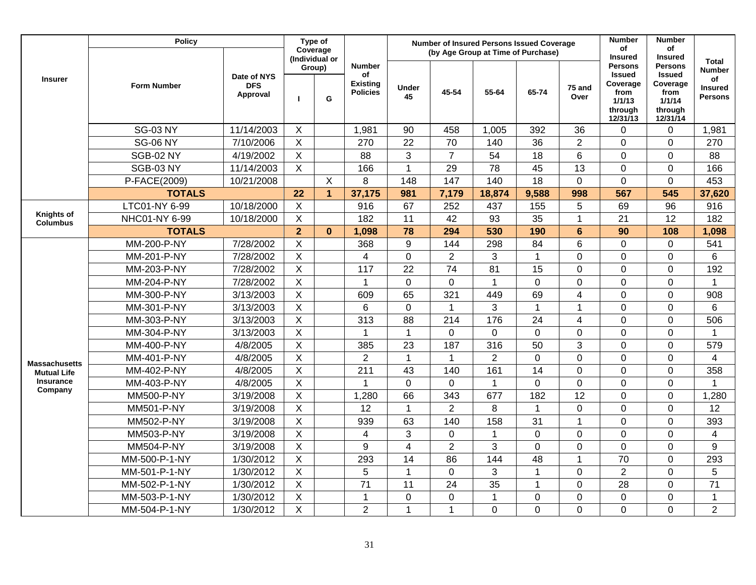|                                      | <b>Policy</b>      |                        |                | Type of<br>Coverage      |                                    |                |                | <b>Number of Insured Persons Issued Coverage</b> |                |                | <b>Number</b><br>of                               | <b>Number</b><br>of                               |                                        |
|--------------------------------------|--------------------|------------------------|----------------|--------------------------|------------------------------------|----------------|----------------|--------------------------------------------------|----------------|----------------|---------------------------------------------------|---------------------------------------------------|----------------------------------------|
|                                      |                    | Date of NYS            |                | (Individual or<br>Group) | <b>Number</b><br>of                |                |                | (by Age Group at Time of Purchase)               |                |                | <b>Insured</b><br><b>Persons</b><br><b>Issued</b> | <b>Insured</b><br><b>Persons</b><br><b>Issued</b> | <b>Total</b><br><b>Number</b>          |
| <b>Insurer</b>                       | <b>Form Number</b> | <b>DFS</b><br>Approval |                | G                        | <b>Existing</b><br><b>Policies</b> | Under<br>45    | 45-54          | 55-64                                            | 65-74          | 75 and<br>Over | Coverage<br>from<br>1/1/13<br>through<br>12/31/13 | Coverage<br>from<br>1/1/14<br>through<br>12/31/14 | of<br><b>Insured</b><br><b>Persons</b> |
|                                      | <b>SG-03 NY</b>    | 11/14/2003             | $\mathsf{X}$   |                          | 1,981                              | 90             | 458            | 1,005                                            | 392            | 36             | 0                                                 | $\mathbf 0$                                       | 1,981                                  |
|                                      | <b>SG-06 NY</b>    | 7/10/2006              | $\overline{X}$ |                          | 270                                | 22             | 70             | 140                                              | 36             | $\overline{2}$ | $\overline{0}$                                    | $\overline{0}$                                    | 270                                    |
|                                      | <b>SGB-02 NY</b>   | 4/19/2002              | $\overline{X}$ |                          | 88                                 | 3              | $\overline{7}$ | 54                                               | 18             | $6\phantom{1}$ | 0                                                 | $\overline{0}$                                    | 88                                     |
|                                      | <b>SGB-03 NY</b>   | 11/14/2003             | $\mathsf X$    |                          | 166                                | $\mathbf{1}$   | 29             | 78                                               | 45             | 13             | 0                                                 | 0                                                 | 166                                    |
|                                      | P-FACE(2009)       | 10/21/2008             |                | $\sf X$                  | 8                                  | 148            | 147            | 140                                              | 18             | $\Omega$       | $\overline{0}$                                    | $\mathbf 0$                                       | 453                                    |
|                                      | <b>TOTALS</b>      |                        | 22             | $\overline{1}$           | 37,175                             | 981            | 7,179          | 18,874                                           | 9,588          | 998            | 567                                               | 545                                               | 37,620                                 |
|                                      | LTC01-NY 6-99      | 10/18/2000             | $\mathsf{X}$   |                          | 916                                | 67             | 252            | 437                                              | 155            | 5              | 69                                                | 96                                                | 916                                    |
| <b>Knights of</b><br><b>Columbus</b> | NHC01-NY 6-99      | 10/18/2000             | $\mathsf X$    |                          | 182                                | 11             | 42             | 93                                               | 35             | $\mathbf{1}$   | 21                                                | 12                                                | 182                                    |
|                                      | <b>TOTALS</b>      |                        | $\overline{2}$ | $\mathbf{0}$             | 1,098                              | 78             | 294            | 530                                              | 190            | $6\phantom{a}$ | 90                                                | 108                                               | 1,098                                  |
|                                      | MM-200-P-NY        | 7/28/2002              | $\sf X$        |                          | 368                                | 9              | 144            | 298                                              | 84             | 6              | $\overline{0}$                                    | $\mathbf 0$                                       | 541                                    |
|                                      | MM-201-P-NY        | 7/28/2002              | $\mathsf{X}$   |                          | 4                                  | $\overline{0}$ | $\overline{2}$ | 3                                                | $\mathbf{1}$   | $\overline{0}$ | $\overline{0}$                                    | $\mathbf 0$                                       | $6\phantom{1}6$                        |
|                                      | MM-203-P-NY        | 7/28/2002              | X              |                          | 117                                | 22             | 74             | 81                                               | 15             | $\mathbf 0$    | $\overline{0}$                                    | $\mathbf 0$                                       | 192                                    |
|                                      | MM-204-P-NY        | 7/28/2002              | X              |                          | 1                                  | $\mathbf 0$    | 0              | $\mathbf{1}$                                     | 0              | $\overline{0}$ | $\overline{0}$                                    | $\overline{0}$                                    | 1                                      |
|                                      | MM-300-P-NY        | 3/13/2003              | $\mathsf{X}$   |                          | 609                                | 65             | 321            | 449                                              | 69             | $\overline{4}$ | 0                                                 | $\mathbf 0$                                       | 908                                    |
|                                      | MM-301-P-NY        | 3/13/2003              | $\mathsf X$    |                          | 6                                  | $\mathbf 0$    | 1              | 3                                                | $\mathbf{1}$   | $\mathbf{1}$   | 0                                                 | 0                                                 | 6                                      |
|                                      | MM-303-P-NY        | 3/13/2003              | $\mathsf X$    |                          | 313                                | 88             | 214            | 176                                              | 24             | 4              | $\mathbf 0$                                       | $\mathbf 0$                                       | 506                                    |
|                                      | MM-304-P-NY        | 3/13/2003              | $\mathsf X$    |                          | 1                                  | $\mathbf{1}$   | $\overline{0}$ | $\Omega$                                         | 0              | $\mathbf 0$    | $\Omega$                                          | $\mathbf 0$                                       | -1                                     |
|                                      | MM-400-P-NY        | 4/8/2005               | $\overline{X}$ |                          | 385                                | 23             | 187            | 316                                              | 50             | 3              | $\overline{0}$                                    | $\mathbf 0$                                       | 579                                    |
| <b>Massachusetts</b>                 | MM-401-P-NY        | 4/8/2005               | $\overline{X}$ |                          | $\overline{c}$                     | 1              | $\mathbf 1$    | $\overline{2}$                                   | $\mathbf 0$    | $\mathbf 0$    | 0                                                 | $\mathbf 0$                                       | 4                                      |
| <b>Mutual Life</b>                   | MM-402-P-NY        | 4/8/2005               | $\overline{X}$ |                          | 211                                | 43             | 140            | 161                                              | 14             | $\overline{0}$ | $\overline{0}$                                    | $\mathbf 0$                                       | 358                                    |
| <b>Insurance</b>                     | MM-403-P-NY        | 4/8/2005               | $\overline{X}$ |                          | 1                                  | $\overline{0}$ | 0              | $\mathbf{1}$                                     | 0              | $\overline{0}$ | $\overline{0}$                                    | $\mathbf 0$                                       | 1                                      |
| Company                              | MM500-P-NY         | 3/19/2008              | $\overline{X}$ |                          | 1,280                              | 66             | 343            | 677                                              | 182            | 12             | $\overline{0}$                                    | $\mathbf 0$                                       | 1,280                                  |
|                                      | MM501-P-NY         | 3/19/2008              | $\overline{X}$ |                          | 12                                 | $\mathbf{1}$   | $\overline{2}$ | 8                                                | $\mathbf{1}$   | $\mathbf 0$    | $\overline{0}$                                    | $\overline{0}$                                    | 12                                     |
|                                      | MM502-P-NY         | 3/19/2008              | X              |                          | 939                                | 63             | 140            | 158                                              | 31             | $\mathbf{1}$   | $\overline{0}$                                    | $\overline{0}$                                    | 393                                    |
|                                      | MM503-P-NY         | 3/19/2008              | $\mathsf{X}$   |                          | 4                                  | 3              | 0              | $\mathbf{1}$                                     | 0              | $\mathbf 0$    | $\mathbf 0$                                       | $\mathbf 0$                                       | 4                                      |
|                                      | MM504-P-NY         | 3/19/2008              | $\mathsf X$    |                          | 9                                  | $\overline{4}$ | $\overline{2}$ | 3                                                | $\overline{0}$ | $\mathbf 0$    | $\overline{0}$                                    | $\overline{0}$                                    | 9                                      |
|                                      | MM-500-P-1-NY      | 1/30/2012              | $\mathsf X$    |                          | 293                                | 14             | 86             | 144                                              | 48             | $\mathbf{1}$   | 70                                                | $\mathbf 0$                                       | 293                                    |
|                                      | MM-501-P-1-NY      | 1/30/2012              | $\sf X$        |                          | 5                                  | $\mathbf{1}$   | $\overline{0}$ | 3                                                | $\mathbf 1$    | $\overline{0}$ | $\overline{2}$                                    | $\overline{0}$                                    | $\overline{5}$                         |
|                                      | MM-502-P-1-NY      | 1/30/2012              | $\mathsf X$    |                          | $\overline{71}$                    | 11             | 24             | 35                                               | $\mathbf 1$    | $\overline{0}$ | 28                                                | $\overline{0}$                                    | $\overline{71}$                        |
|                                      | MM-503-P-1-NY      | 1/30/2012              | $\mathsf X$    |                          | 1                                  | $\mathbf 0$    | 0              | $\mathbf{1}$                                     | 0              | $\mathbf 0$    | 0                                                 | $\mathbf 0$                                       | $\mathbf{1}$                           |
|                                      | MM-504-P-1-NY      | 1/30/2012              | $\sf X$        |                          | $\overline{c}$                     | $\overline{1}$ | 1              | $\overline{0}$                                   | 0              | 0              | $\overline{0}$                                    | 0                                                 | $\overline{2}$                         |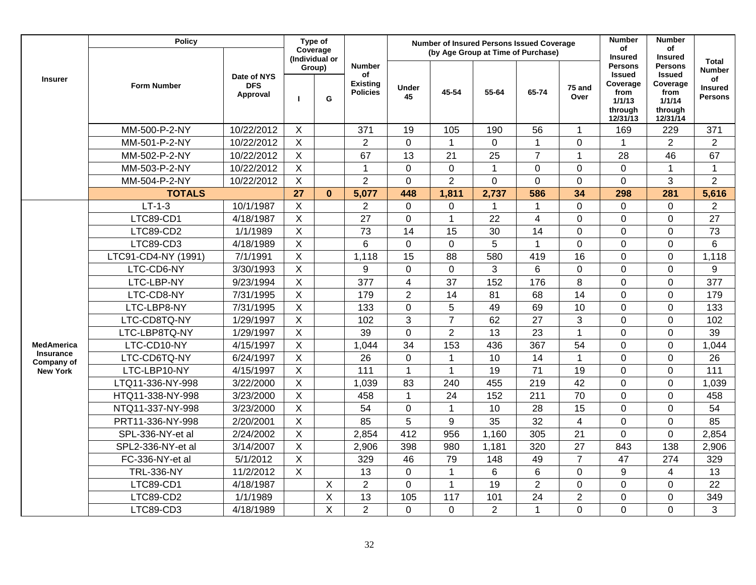|                                | <b>Policy</b>       |                                       | Type of                   | Coverage       |                                                           |                  | <b>Number of Insured Persons Issued Coverage</b><br>(by Age Group at Time of Purchase) |                 |                 |                 | <b>Number</b><br>of                                                                                    | <b>Number</b><br>οf                                                                                    |                                                                         |
|--------------------------------|---------------------|---------------------------------------|---------------------------|----------------|-----------------------------------------------------------|------------------|----------------------------------------------------------------------------------------|-----------------|-----------------|-----------------|--------------------------------------------------------------------------------------------------------|--------------------------------------------------------------------------------------------------------|-------------------------------------------------------------------------|
| <b>Insurer</b>                 | <b>Form Number</b>  | Date of NYS<br><b>DFS</b><br>Approval | (Individual or<br>п       | Group)<br>G    | <b>Number</b><br>οf<br><b>Existing</b><br><b>Policies</b> | Under<br>45      | 45-54                                                                                  | 55-64           | 65-74           | 75 and<br>Over  | <b>Insured</b><br><b>Persons</b><br><b>Issued</b><br>Coverage<br>from<br>1/1/13<br>through<br>12/31/13 | <b>Insured</b><br><b>Persons</b><br><b>Issued</b><br>Coverage<br>from<br>1/1/14<br>through<br>12/31/14 | <b>Total</b><br><b>Number</b><br>of<br><b>Insured</b><br><b>Persons</b> |
|                                | MM-500-P-2-NY       | 10/22/2012                            | $\sf X$                   |                | 371                                                       | 19               | 105                                                                                    | 190             | 56              | $\mathbf{1}$    | 169                                                                                                    | 229                                                                                                    | 371                                                                     |
|                                | MM-501-P-2-NY       | 10/22/2012                            | $\mathsf{X}$              |                | $\overline{2}$                                            | $\mathbf 0$      | $\mathbf{1}$                                                                           | $\mathbf{0}$    | 1               | $\overline{0}$  | 1                                                                                                      | $\overline{2}$                                                                                         | $\overline{2}$                                                          |
|                                | MM-502-P-2-NY       | 10/22/2012                            | $\overline{X}$            |                | 67                                                        | 13               | 21                                                                                     | $\overline{25}$ | $\overline{7}$  | $\mathbf{1}$    | 28                                                                                                     | 46                                                                                                     | 67                                                                      |
|                                | MM-503-P-2-NY       | 10/22/2012                            | $\mathsf X$               |                | 1                                                         | $\mathbf 0$      | $\mathbf 0$                                                                            | $\mathbf{1}$    | $\mathbf 0$     | $\pmb{0}$       | 0                                                                                                      | $\mathbf{1}$                                                                                           | $\mathbf{1}$                                                            |
|                                | MM-504-P-2-NY       | 10/22/2012                            | $\boldsymbol{\mathsf{X}}$ |                | $\overline{2}$                                            | $\mathbf 0$      | $\overline{2}$                                                                         | $\Omega$        | $\mathbf 0$     | $\mathbf 0$     | $\overline{0}$                                                                                         | 3                                                                                                      | $\overline{2}$                                                          |
|                                | <b>TOTALS</b>       |                                       | 27                        | $\bf{0}$       | 5,077                                                     | 448              | 1,811                                                                                  | 2,737           | 586             | 34              | 298                                                                                                    | 281                                                                                                    | 5,616                                                                   |
|                                | $LT-1-3$            | 10/1/1987                             | $\overline{X}$            |                | $\overline{2}$                                            | $\mathbf 0$      | $\mathbf 0$                                                                            | $\mathbf{1}$    | 1               | $\overline{0}$  | $\overline{0}$                                                                                         | 0                                                                                                      | $\overline{2}$                                                          |
|                                | LTC89-CD1           | 4/18/1987                             | $\overline{X}$            |                | 27                                                        | 0                | $\mathbf 1$                                                                            | 22              | 4               | $\mathbf 0$     | $\mathbf 0$                                                                                            | 0                                                                                                      | 27                                                                      |
|                                | LTC89-CD2           | 1/1/1989                              | $\overline{X}$            |                | 73                                                        | 14               | 15                                                                                     | 30              | 14              | $\mathbf 0$     | $\mathbf 0$                                                                                            | 0                                                                                                      | 73                                                                      |
|                                | LTC89-CD3           | 4/18/1989                             | $\overline{X}$            |                | 6                                                         | $\mathbf 0$      | $\mathbf 0$                                                                            | 5               | 1               | $\mathbf 0$     | $\overline{0}$                                                                                         | 0                                                                                                      | 6                                                                       |
|                                | LTC91-CD4-NY (1991) | 7/1/1991                              | $\overline{X}$            |                | 1,118                                                     | 15               | 88                                                                                     | 580             | 419             | 16              | $\mathbf 0$                                                                                            | 0                                                                                                      | 1,118                                                                   |
|                                | LTC-CD6-NY          | 3/30/1993                             | $\overline{X}$            |                | 9                                                         | $\mathbf 0$      | $\Omega$                                                                               | 3               | 6               | $\mathbf 0$     | $\Omega$                                                                                               | 0                                                                                                      | 9                                                                       |
|                                | LTC-LBP-NY          | 9/23/1994                             | $\sf X$                   |                | 377                                                       | $\overline{4}$   | 37                                                                                     | 152             | 176             | 8               | $\mathbf 0$                                                                                            | 0                                                                                                      | 377                                                                     |
|                                | LTC-CD8-NY          | 7/31/1995                             | $\sf X$                   |                | 179                                                       | $\overline{2}$   | 14                                                                                     | 81              | 68              | 14              | $\mathbf 0$                                                                                            | $\mathbf 0$                                                                                            | 179                                                                     |
|                                | LTC-LBP8-NY         | 7/31/1995                             | $\boldsymbol{\mathsf{X}}$ |                | 133                                                       | $\boldsymbol{0}$ | 5                                                                                      | 49              | 69              | 10              | 0                                                                                                      | $\mathbf 0$                                                                                            | 133                                                                     |
|                                | LTC-CD8TQ-NY        | 1/29/1997                             | $\boldsymbol{\mathsf{X}}$ |                | 102                                                       | 3                | $\overline{7}$                                                                         | 62              | 27              | 3               | $\mathbf 0$                                                                                            | $\mathbf 0$                                                                                            | 102                                                                     |
|                                | LTC-LBP8TQ-NY       | 1/29/1997                             | $\boldsymbol{\mathsf{X}}$ |                | 39                                                        | $\mathbf 0$      | $\overline{2}$                                                                         | 13              | 23              | $\mathbf{1}$    | $\overline{0}$                                                                                         | 0                                                                                                      | 39                                                                      |
| <b>MedAmerica</b>              | LTC-CD10-NY         | 4/15/1997                             | $\sf X$                   |                | 1,044                                                     | 34               | 153                                                                                    | 436             | 367             | 54              | $\overline{0}$                                                                                         | 0                                                                                                      | 1,044                                                                   |
| <b>Insurance</b><br>Company of | LTC-CD6TQ-NY        | 6/24/1997                             | $\overline{X}$            |                | 26                                                        | $\mathbf 0$      | $\mathbf{1}$                                                                           | 10              | 14              | $\mathbf{1}$    | $\mathbf 0$                                                                                            | 0                                                                                                      | 26                                                                      |
| <b>New York</b>                | LTC-LBP10-NY        | 4/15/1997                             | $\overline{X}$            |                | 111                                                       | $\mathbf{1}$     | 1                                                                                      | 19              | $\overline{71}$ | 19              | $\overline{0}$                                                                                         | $\mathbf 0$                                                                                            | 111                                                                     |
|                                | LTQ11-336-NY-998    | 3/22/2000                             | $\overline{X}$            |                | 1,039                                                     | 83               | 240                                                                                    | 455             | 219             | 42              | $\overline{0}$                                                                                         | $\mathbf 0$                                                                                            | 1,039                                                                   |
|                                | HTQ11-338-NY-998    | 3/23/2000                             | $\overline{X}$            |                | 458                                                       | $\mathbf{1}$     | 24                                                                                     | 152             | 211             | 70              | $\mathbf 0$                                                                                            | $\mathbf 0$                                                                                            | 458                                                                     |
|                                | NTQ11-337-NY-998    | 3/23/2000                             | $\overline{\mathsf{x}}$   |                | $\overline{54}$                                           | $\overline{0}$   | $\blacktriangleleft$                                                                   | 10              | 28              | $\overline{15}$ | $\overline{0}$                                                                                         | 0                                                                                                      | 54                                                                      |
|                                | PRT11-336-NY-998    | 2/20/2001                             | $\overline{\mathsf{x}}$   |                | 85                                                        | 5                | 9                                                                                      | 35              | 32              | $\overline{4}$  | $\mathbf 0$                                                                                            | 0                                                                                                      | 85                                                                      |
|                                | SPL-336-NY-et al    | 2/24/2002                             | $\sf X$                   |                | 2,854                                                     | 412              | 956                                                                                    | 1,160           | 305             | 21              | $\overline{0}$                                                                                         | 0                                                                                                      | 2,854                                                                   |
|                                | SPL2-336-NY-et al   | 3/14/2007                             | $\boldsymbol{\mathsf{X}}$ |                | 2,906                                                     | 398              | 980                                                                                    | 1,181           | 320             | 27              | 843                                                                                                    | 138                                                                                                    | 2,906                                                                   |
|                                | FC-336-NY-et al     | 5/1/2012                              | $\boldsymbol{\mathsf{X}}$ |                | 329                                                       | 46               | 79                                                                                     | 148             | 49              | $\overline{7}$  | 47                                                                                                     | 274                                                                                                    | 329                                                                     |
|                                | <b>TRL-336-NY</b>   | 11/2/2012                             | $\overline{X}$            |                | 13                                                        | $\mathbf 0$      | $\mathbf{1}$                                                                           | $6\phantom{1}$  | 6               | $\mathbf 0$     | 9                                                                                                      | $\overline{4}$                                                                                         | 13                                                                      |
|                                | LTC89-CD1           | 4/18/1987                             |                           | $\overline{X}$ | $\overline{2}$                                            | 0                | $\mathbf{1}$                                                                           | 19              | $\overline{2}$  | $\mathbf 0$     | $\overline{0}$                                                                                         | 0                                                                                                      | 22                                                                      |
|                                | LTC89-CD2           | 1/1/1989                              |                           | $\overline{X}$ | 13                                                        | 105              | 117                                                                                    | 101             | 24              | $\overline{2}$  | $\mathbf 0$                                                                                            | 0                                                                                                      | 349                                                                     |
|                                | LTC89-CD3           | 4/18/1989                             |                           | X              | $\overline{2}$                                            | 0                | $\overline{0}$                                                                         | $\overline{2}$  | 1               | $\mathbf 0$     | $\overline{0}$                                                                                         | 0                                                                                                      | 3                                                                       |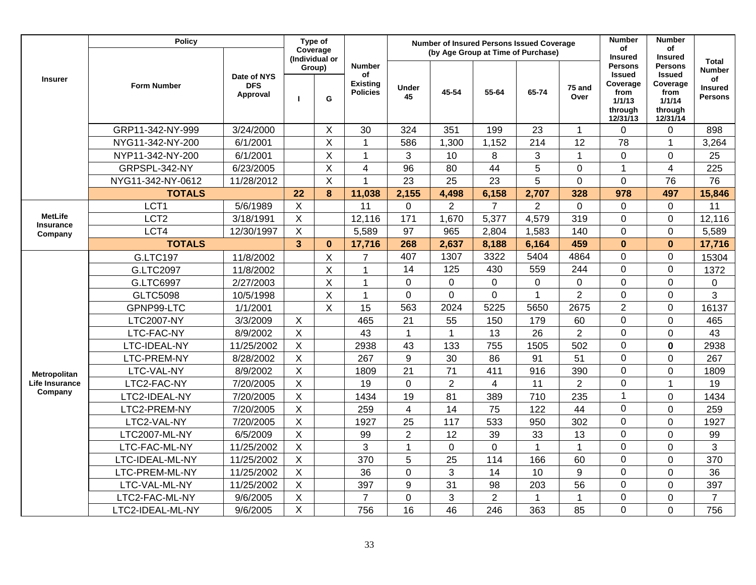|                             | <b>Policy</b>      |                                       |                | Type of<br>Coverage           |                                                           |                | <b>Number of Insured Persons Issued Coverage</b><br>(by Age Group at Time of Purchase) |                |                |                | <b>Number</b><br>of                                                                                    | <b>Number</b><br>of                                                                                    |                                                                         |
|-----------------------------|--------------------|---------------------------------------|----------------|-------------------------------|-----------------------------------------------------------|----------------|----------------------------------------------------------------------------------------|----------------|----------------|----------------|--------------------------------------------------------------------------------------------------------|--------------------------------------------------------------------------------------------------------|-------------------------------------------------------------------------|
| <b>Insurer</b>              | <b>Form Number</b> | Date of NYS<br><b>DFS</b><br>Approval | $\mathbf{I}$   | (Individual or<br>Group)<br>G | <b>Number</b><br>of<br><b>Existing</b><br><b>Policies</b> | Under<br>45    | 45-54                                                                                  | 55-64          | 65-74          | 75 and<br>Over | <b>Insured</b><br><b>Persons</b><br><b>Issued</b><br>Coverage<br>from<br>1/1/13<br>through<br>12/31/13 | <b>Insured</b><br><b>Persons</b><br><b>Issued</b><br>Coverage<br>from<br>1/1/14<br>through<br>12/31/14 | <b>Total</b><br><b>Number</b><br>of<br><b>Insured</b><br><b>Persons</b> |
|                             | GRP11-342-NY-999   | 3/24/2000                             |                | X                             | 30                                                        | 324            | 351                                                                                    | 199            | 23             | $\mathbf{1}$   | 0                                                                                                      | 0                                                                                                      | 898                                                                     |
|                             | NYG11-342-NY-200   | 6/1/2001                              |                | $\overline{\mathsf{x}}$       | $\mathbf{1}$                                              | 586            | 1,300                                                                                  | 1,152          | 214            | 12             | 78                                                                                                     | $\mathbf{1}$                                                                                           | 3,264                                                                   |
|                             | NYP11-342-NY-200   | 6/1/2001                              |                | $\sf X$                       | $\mathbf{1}$                                              | 3              | 10                                                                                     | 8              | 3              | $\mathbf{1}$   | $\overline{0}$                                                                                         | $\overline{0}$                                                                                         | 25                                                                      |
|                             | GRPSPL-342-NY      | 6/23/2005                             |                | $\sf X$                       | $\overline{\mathbf{4}}$                                   | 96             | 80                                                                                     | 44             | 5              | $\mathbf 0$    | $\mathbf{1}$                                                                                           | 4                                                                                                      | 225                                                                     |
|                             | NYG11-342-NY-0612  | 11/28/2012                            |                | X                             | $\mathbf{1}$                                              | 23             | 25                                                                                     | 23             | 5              | $\overline{0}$ | $\mathbf 0$                                                                                            | 76                                                                                                     | 76                                                                      |
|                             | <b>TOTALS</b>      |                                       | 22             | 8                             | 11,038                                                    | 2,155          | 4,498                                                                                  | 6,158          | 2,707          | 328            | 978                                                                                                    | 497                                                                                                    | 15,846                                                                  |
|                             | LCT <sub>1</sub>   | 5/6/1989                              | $\pmb{\times}$ |                               | 11                                                        | $\mathbf 0$    | $\overline{2}$                                                                         | $\overline{7}$ | $\overline{2}$ | $\overline{0}$ | $\overline{0}$                                                                                         | $\mathbf 0$                                                                                            | 11                                                                      |
| <b>MetLife</b>              | LCT <sub>2</sub>   | 3/18/1991                             | $\pmb{\times}$ |                               | 12,116                                                    | 171            | 1,670                                                                                  | 5,377          | 4,579          | 319            | 0                                                                                                      | $\mathbf 0$                                                                                            | 12,116                                                                  |
| <b>Insurance</b><br>Company | LCT4               | 12/30/1997                            | $\overline{X}$ |                               | 5,589                                                     | 97             | 965                                                                                    | 2,804          | 1,583          | 140            | $\overline{0}$                                                                                         | 0                                                                                                      | 5,589                                                                   |
|                             | <b>TOTALS</b>      |                                       | $\overline{3}$ | $\mathbf 0$                   | 17,716                                                    | 268            | 2,637                                                                                  | 8,188          | 6,164          | 459            | $\bf{0}$                                                                                               | $\mathbf{0}$                                                                                           | 17,716                                                                  |
|                             | <b>G.LTC197</b>    | 11/8/2002                             |                | $\mathsf X$                   | $\overline{7}$                                            | 407            | 1307                                                                                   | 3322           | 5404           | 4864           | 0                                                                                                      | 0                                                                                                      | 15304                                                                   |
|                             | G.LTC2097          | 11/8/2002                             |                | X                             | $\mathbf{1}$                                              | 14             | 125                                                                                    | 430            | 559            | 244            | 0                                                                                                      | 0                                                                                                      | 1372                                                                    |
|                             | G.LTC6997          | 2/27/2003                             |                | $\sf X$                       | $\mathbf 1$                                               | $\overline{0}$ | 0                                                                                      | $\mathbf 0$    | $\mathbf 0$    | $\mathbf 0$    | $\overline{0}$                                                                                         | $\overline{0}$                                                                                         | $\pmb{0}$                                                               |
|                             | <b>GLTC5098</b>    | 10/5/1998                             |                | X                             | $\mathbf{1}$                                              | $\mathbf 0$    | 0                                                                                      | $\overline{0}$ | $\mathbf{1}$   | $\overline{2}$ | 0                                                                                                      | $\mathbf 0$                                                                                            | 3                                                                       |
|                             | GPNP99-LTC         | 1/1/2001                              |                | X                             | 15                                                        | 563            | 2024                                                                                   | 5225           | 5650           | 2675           | $\overline{2}$                                                                                         | 0                                                                                                      | 16137                                                                   |
|                             | <b>LTC2007-NY</b>  | 3/3/2009                              | $\pmb{\times}$ |                               | 465                                                       | 21             | 55                                                                                     | 150            | 179            | 60             | 0                                                                                                      | 0                                                                                                      | 465                                                                     |
|                             | LTC-FAC-NY         | 8/9/2002                              | $\mathsf{X}$   |                               | 43                                                        | $\mathbf 1$    | 1                                                                                      | 13             | 26             | $\overline{2}$ | $\mathbf 0$                                                                                            | $\mathbf 0$                                                                                            | 43                                                                      |
|                             | LTC-IDEAL-NY       | 11/25/2002                            | $\mathsf{X}$   |                               | 2938                                                      | 43             | 133                                                                                    | 755            | 1505           | 502            | $\overline{0}$                                                                                         | $\mathbf 0$                                                                                            | 2938                                                                    |
|                             | LTC-PREM-NY        | 8/28/2002                             | $\mathsf X$    |                               | 267                                                       | 9              | 30                                                                                     | 86             | 91             | 51             | $\mathbf 0$                                                                                            | $\mathbf 0$                                                                                            | 267                                                                     |
| Metropolitan                | LTC-VAL-NY         | 8/9/2002                              | $\mathsf X$    |                               | 1809                                                      | 21             | 71                                                                                     | 411            | 916            | 390            | $\mathbf 0$                                                                                            | $\mathbf 0$                                                                                            | 1809                                                                    |
| <b>Life Insurance</b>       | LTC2-FAC-NY        | 7/20/2005                             | $\overline{X}$ |                               | 19                                                        | $\mathbf 0$    | $\overline{2}$                                                                         | $\overline{4}$ | 11             | $\overline{2}$ | $\overline{0}$                                                                                         | $\mathbf{1}$                                                                                           | 19                                                                      |
| Company                     | LTC2-IDEAL-NY      | 7/20/2005                             | $\mathsf X$    |                               | 1434                                                      | 19             | 81                                                                                     | 389            | 710            | 235            | $\mathbf{1}$                                                                                           | $\overline{0}$                                                                                         | 1434                                                                    |
|                             | LTC2-PREM-NY       | 7/20/2005                             | $\overline{X}$ |                               | 259                                                       | $\overline{4}$ | 14                                                                                     | 75             | 122            | 44             | 0                                                                                                      | $\mathbf 0$                                                                                            | 259                                                                     |
|                             | LTC2-VAL-NY        | 7/20/2005                             | X              |                               | 1927                                                      | 25             | 117                                                                                    | 533            | 950            | 302            | $\overline{0}$                                                                                         | $\overline{0}$                                                                                         | 1927                                                                    |
|                             | LTC2007-ML-NY      | 6/5/2009                              | $\mathsf{X}$   |                               | 99                                                        | $\overline{2}$ | 12                                                                                     | 39             | 33             | 13             | 0                                                                                                      | 0                                                                                                      | 99                                                                      |
|                             | LTC-FAC-ML-NY      | 11/25/2002                            | $\mathsf{X}$   |                               | 3                                                         | $\mathbf{1}$   | 0                                                                                      | $\mathbf 0$    | $\mathbf{1}$   | $\mathbf{1}$   | $\overline{0}$                                                                                         | 0                                                                                                      | 3                                                                       |
|                             | LTC-IDEAL-ML-NY    | 11/25/2002                            | $\pmb{\times}$ |                               | 370                                                       | 5              | 25                                                                                     | 114            | 166            | 60             | $\overline{0}$                                                                                         | 0                                                                                                      | 370                                                                     |
|                             | LTC-PREM-ML-NY     | 11/25/2002                            | $\sf X$        |                               | 36                                                        | $\overline{0}$ | 3                                                                                      | 14             | 10             | 9              | $\overline{0}$                                                                                         | $\mathbf 0$                                                                                            | 36                                                                      |
|                             | LTC-VAL-ML-NY      | 11/25/2002                            | $\sf X$        |                               | 397                                                       | 9              | 31                                                                                     | 98             | 203            | 56             | $\overline{0}$                                                                                         | $\mathbf 0$                                                                                            | 397                                                                     |
|                             | LTC2-FAC-ML-NY     | 9/6/2005                              | $\sf X$        |                               | $\overline{7}$                                            | $\mathbf 0$    | 3                                                                                      | $\overline{2}$ | 1              | $\mathbf 1$    | $\mathbf 0$                                                                                            | $\mathbf 0$                                                                                            | $\overline{7}$                                                          |
|                             | LTC2-IDEAL-ML-NY   | 9/6/2005                              | X              |                               | 756                                                       | 16             | 46                                                                                     | 246            | 363            | 85             | $\overline{0}$                                                                                         | $\mathbf 0$                                                                                            | 756                                                                     |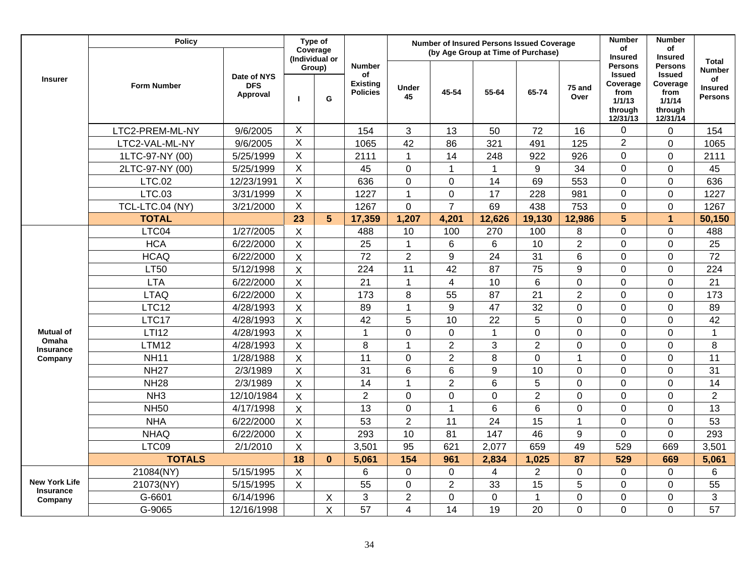|                                          | <b>Policy</b>      |                                       |                           | Type of<br>Coverage<br>(Individual or |                                                           |                          |                | <b>Number of Insured Persons Issued Coverage</b><br>(by Age Group at Time of Purchase) |                |                 | <b>Number</b><br>of<br><b>Insured</b>                                                | <b>Number</b><br>of<br><b>Insured</b>                                                |                                                                  |
|------------------------------------------|--------------------|---------------------------------------|---------------------------|---------------------------------------|-----------------------------------------------------------|--------------------------|----------------|----------------------------------------------------------------------------------------|----------------|-----------------|--------------------------------------------------------------------------------------|--------------------------------------------------------------------------------------|------------------------------------------------------------------|
| <b>Insurer</b>                           | <b>Form Number</b> | Date of NYS<br><b>DFS</b><br>Approval | п                         | Group)<br>G                           | <b>Number</b><br>of<br><b>Existing</b><br><b>Policies</b> | Under<br>45              | 45-54          | 55-64                                                                                  | 65-74          | 75 and<br>Over  | <b>Persons</b><br><b>Issued</b><br>Coverage<br>from<br>1/1/13<br>through<br>12/31/13 | <b>Persons</b><br><b>Issued</b><br>Coverage<br>from<br>1/1/14<br>through<br>12/31/14 | <b>Total</b><br>Number<br>of<br><b>Insured</b><br><b>Persons</b> |
|                                          | LTC2-PREM-ML-NY    | 9/6/2005                              | X                         |                                       | 154                                                       | 3                        | 13             | 50                                                                                     | 72             | 16              | 0                                                                                    | 0                                                                                    | 154                                                              |
|                                          | LTC2-VAL-ML-NY     | 9/6/2005                              | $\mathsf X$               |                                       | 1065                                                      | 42                       | 86             | 321                                                                                    | 491            | 125             | $\overline{2}$                                                                       | 0                                                                                    | 1065                                                             |
|                                          | 1LTC-97-NY (00)    | 5/25/1999                             | $\overline{X}$            |                                       | 2111                                                      | $\mathbf{1}$             | 14             | 248                                                                                    | 922            | 926             | 0                                                                                    | 0                                                                                    | 2111                                                             |
|                                          | 2LTC-97-NY (00)    | 5/25/1999                             | X                         |                                       | 45                                                        | $\overline{0}$           | $\mathbf{1}$   | $\overline{1}$                                                                         | 9              | 34              | 0                                                                                    | $\overline{0}$                                                                       | 45                                                               |
|                                          | <b>LTC.02</b>      | 12/23/1991                            | $\overline{X}$            |                                       | 636                                                       | $\mathbf 0$              | $\mathbf 0$    | 14                                                                                     | 69             | 553             | $\mathbf 0$                                                                          | 0                                                                                    | 636                                                              |
|                                          | <b>LTC.03</b>      | 3/31/1999                             | $\mathsf X$               |                                       | 1227                                                      | $\mathbf{1}$             | $\overline{0}$ | 17                                                                                     | 228            | 981             | 0                                                                                    | $\mathbf 0$                                                                          | 1227                                                             |
|                                          | TCL-LTC.04 (NY)    | 3/21/2000                             | $\overline{X}$            |                                       | 1267                                                      | 0                        | $\overline{7}$ | 69                                                                                     | 438            | 753             | $\mathbf 0$                                                                          | $\mathbf 0$                                                                          | 1267                                                             |
|                                          | <b>TOTAL</b>       |                                       | 23                        | 5                                     | 17,359                                                    | 1,207                    | 4,201          | 12,626                                                                                 | 19,130         | 12,986          | 5                                                                                    | $\overline{1}$                                                                       | 50,150                                                           |
|                                          | LTC04              | 1/27/2005                             | $\mathsf X$               |                                       | 488                                                       | 10                       | 100            | 270                                                                                    | 100            | 8               | $\overline{0}$                                                                       | $\overline{0}$                                                                       | 488                                                              |
|                                          | <b>HCA</b>         | 6/22/2000                             | $\mathsf{X}$              |                                       | 25                                                        | $\mathbf{1}$             | 6              | $6\phantom{1}6$                                                                        | 10             | $\overline{2}$  | 0                                                                                    | 0                                                                                    | 25                                                               |
|                                          | <b>HCAQ</b>        | 6/22/2000                             | $\mathsf{X}$              |                                       | 72                                                        | $\overline{2}$           | 9              | 24                                                                                     | 31             | $6\phantom{1}6$ | 0                                                                                    | 0                                                                                    | 72                                                               |
|                                          | <b>LT50</b>        | 5/12/1998                             | $\boldsymbol{\mathsf{X}}$ |                                       | 224                                                       | 11                       | 42             | 87                                                                                     | 75             | $9\,$           | 0                                                                                    | 0                                                                                    | 224                                                              |
|                                          | <b>LTA</b>         | 6/22/2000                             | $\mathsf{X}$              |                                       | 21                                                        | $\mathbf{1}$             | $\overline{4}$ | 10                                                                                     | 6              | $\mathbf 0$     | 0                                                                                    | 0                                                                                    | 21                                                               |
|                                          | <b>LTAQ</b>        | 6/22/2000                             | $\boldsymbol{\mathsf{X}}$ |                                       | 173                                                       | 8                        | 55             | 87                                                                                     | 21             | $\overline{2}$  | $\overline{0}$                                                                       | 0                                                                                    | 173                                                              |
|                                          | LTC12              | 4/28/1993                             | $\boldsymbol{\mathsf{X}}$ |                                       | 89                                                        | $\mathbf{1}$             | 9              | $\overline{47}$                                                                        | 32             | $\mathbf 0$     | $\overline{0}$                                                                       | 0                                                                                    | 89                                                               |
|                                          | LTC17              | 4/28/1993                             | $\sf X$                   |                                       | 42                                                        | 5                        | 10             | 22                                                                                     | 5              | $\mathbf 0$     | $\mathbf 0$                                                                          | 0                                                                                    | 42                                                               |
| <b>Mutual of</b>                         | <b>LTI12</b>       | 4/28/1993                             | $\sf X$                   |                                       | $\mathbf 1$                                               | 0                        | $\mathbf 0$    | $\mathbf{1}$                                                                           | 0              | $\mathbf 0$     | $\overline{0}$                                                                       | 0                                                                                    | $\mathbf 1$                                                      |
| Omaha<br><b>Insurance</b>                | <b>LTM12</b>       | 4/28/1993                             | X                         |                                       | 8                                                         | $\mathbf{1}$             | $\overline{2}$ | 3                                                                                      | $\overline{2}$ | $\mathbf 0$     | $\overline{0}$                                                                       | 0                                                                                    | 8                                                                |
| Company                                  | <b>NH11</b>        | 1/28/1988                             | $\mathsf X$               |                                       | 11                                                        | 0                        | $\overline{2}$ | 8                                                                                      | $\mathbf 0$    | $\mathbf{1}$    | $\overline{0}$                                                                       | 0                                                                                    | 11                                                               |
|                                          | <b>NH27</b>        | 2/3/1989                              | $\boldsymbol{\mathsf{X}}$ |                                       | 31                                                        | 6                        | $6\phantom{1}$ | 9                                                                                      | 10             | $\mathbf 0$     | $\overline{0}$                                                                       | 0                                                                                    | 31                                                               |
|                                          | <b>NH28</b>        | 2/3/1989                              | $\boldsymbol{\mathsf{X}}$ |                                       | 14                                                        | $\mathbf{1}$             | $\overline{2}$ | $6\phantom{1}6$                                                                        | 5              | $\mathbf 0$     | $\overline{0}$                                                                       | 0                                                                                    | 14                                                               |
|                                          | NH <sub>3</sub>    | 12/10/1984                            | $\mathsf{X}$              |                                       | $\overline{2}$                                            | 0                        | $\mathbf 0$    | $\mathbf 0$                                                                            | $\overline{2}$ | $\mathbf 0$     | 0                                                                                    | 0                                                                                    | $\overline{2}$                                                   |
|                                          | <b>NH50</b>        | 4/17/1998                             | $\mathsf{X}$              |                                       | 13                                                        | $\mathbf 0$              | $\mathbf 1$    | $6\phantom{1}6$                                                                        | 6              | $\mathbf 0$     | 0                                                                                    | 0                                                                                    | 13                                                               |
|                                          | <b>NHA</b>         | 6/22/2000                             | $\overline{X}$            |                                       | 53                                                        | $\overline{2}$           | 11             | $\overline{24}$                                                                        | 15             | $\overline{1}$  | $\Omega$                                                                             | 0                                                                                    | 53                                                               |
|                                          | <b>NHAQ</b>        | 6/22/2000                             | X                         |                                       | 293                                                       | 10                       | 81             | 147                                                                                    | 46             | 9               | $\overline{0}$                                                                       | 0                                                                                    | 293                                                              |
|                                          | LTC09              | 2/1/2010                              | $\sf X$                   |                                       | 3,501                                                     | 95                       | 621            | 2,077                                                                                  | 659            | 49              | 529                                                                                  | 669                                                                                  | 3,501                                                            |
|                                          | <b>TOTALS</b>      |                                       | $\overline{18}$           | $\mathbf{0}$                          | 5,061                                                     | 154                      | 961            | 2,834                                                                                  | 1,025          | 87              | 529                                                                                  | 669                                                                                  | 5,061                                                            |
|                                          | 21084(NY)          | 5/15/1995                             | $\mathsf X$               |                                       | 6                                                         | $\mathbf 0$              | $\mathbf 0$    | 4                                                                                      | $\overline{2}$ | $\mathbf 0$     | 0                                                                                    | 0                                                                                    | 6                                                                |
| <b>New York Life</b><br><b>Insurance</b> | 21073(NY)          | 5/15/1995                             | $\mathsf X$               |                                       | 55                                                        | $\mathbf 0$              | $\overline{2}$ | 33                                                                                     | 15             | 5               | 0                                                                                    | $\mathbf 0$                                                                          | 55                                                               |
| Company                                  | G-6601             | 6/14/1996                             |                           | X                                     | 3                                                         | $\overline{2}$           | $\mathbf 0$    | $\mathbf 0$                                                                            | $\mathbf{1}$   | $\mathbf 0$     | 0                                                                                    | $\mathbf 0$                                                                          | 3                                                                |
|                                          | G-9065             | 12/16/1998                            |                           | $\sf X$                               | 57                                                        | $\overline{\mathcal{L}}$ | 14             | 19                                                                                     | 20             | $\Omega$        | $\overline{0}$                                                                       | $\overline{0}$                                                                       | 57                                                               |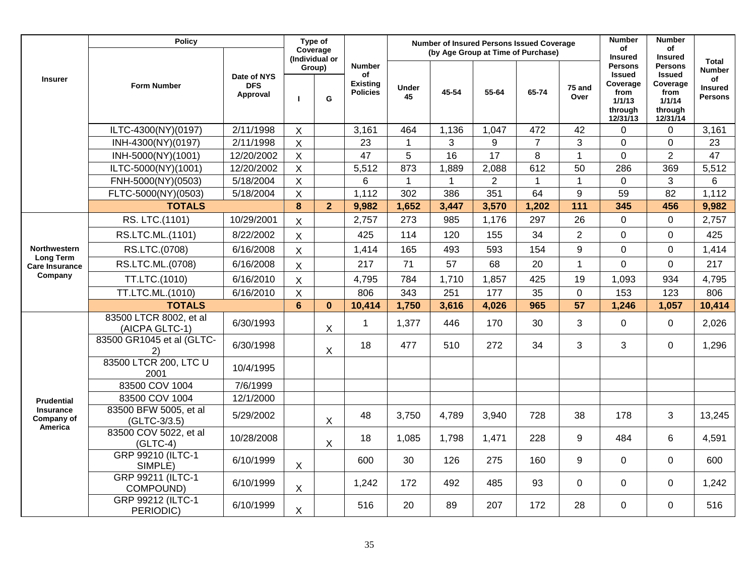|                                                  | <b>Policy</b>                             |                                       |                | Type of<br>Coverage |                                                           |                    | <b>Number of Insured Persons Issued Coverage</b><br>(by Age Group at Time of Purchase) |                 |                |                | <b>Number</b><br>of<br><b>Insured</b>                                                | <b>Number</b><br>of<br><b>Insured</b>                                                |                                                                         |
|--------------------------------------------------|-------------------------------------------|---------------------------------------|----------------|---------------------|-----------------------------------------------------------|--------------------|----------------------------------------------------------------------------------------|-----------------|----------------|----------------|--------------------------------------------------------------------------------------|--------------------------------------------------------------------------------------|-------------------------------------------------------------------------|
| <b>Insurer</b>                                   | <b>Form Number</b>                        | Date of NYS<br><b>DFS</b><br>Approval | Group)<br>L    | (Individual or<br>G | <b>Number</b><br>of<br><b>Existing</b><br><b>Policies</b> | <b>Under</b><br>45 | 45-54                                                                                  | 55-64           | 65-74          | 75 and<br>Over | <b>Persons</b><br><b>Issued</b><br>Coverage<br>from<br>1/1/13<br>through<br>12/31/13 | <b>Persons</b><br><b>Issued</b><br>Coverage<br>from<br>1/1/14<br>through<br>12/31/14 | <b>Total</b><br><b>Number</b><br>of<br><b>Insured</b><br><b>Persons</b> |
|                                                  | ILTC-4300(NY)(0197)                       | $\overline{2}/11/1998$                | $\mathsf X$    |                     | 3,161                                                     | 464                | 1,136                                                                                  | 1,047           | 472            | 42             | $\mathbf 0$                                                                          | $\mathbf 0$                                                                          | 3,161                                                                   |
|                                                  | INH-4300(NY)(0197)                        | 2/11/1998                             | $\overline{X}$ |                     | 23                                                        | $\overline{1}$     | 3                                                                                      | 9               | $\overline{7}$ | 3              | $\overline{0}$                                                                       | $\overline{0}$                                                                       | 23                                                                      |
|                                                  | INH-5000(NY)(1001)                        | 12/20/2002                            | $\overline{X}$ |                     | 47                                                        | $\overline{5}$     | $\overline{16}$                                                                        | $\overline{17}$ | 8              | $\overline{1}$ | $\overline{0}$                                                                       | $\overline{2}$                                                                       | 47                                                                      |
|                                                  | ILTC-5000(NY)(1001)                       | 12/20/2002                            | $\mathsf{X}$   |                     | 5,512                                                     | 873                | 1,889                                                                                  | 2,088           | 612            | 50             | 286                                                                                  | 369                                                                                  | 5,512                                                                   |
|                                                  | FNH-5000(NY)(0503)                        | 5/18/2004                             | $\mathsf{X}$   |                     | 6                                                         | $\mathbf{1}$       | $\mathbf{1}$                                                                           | $\overline{2}$  | $\mathbf{1}$   | $\overline{1}$ | 0                                                                                    | 3                                                                                    | 6                                                                       |
|                                                  | FLTC-5000(NY)(0503)                       | 5/18/2004                             | X              |                     | 1,112                                                     | 302                | 386                                                                                    | 351             | 64             | 9              | 59                                                                                   | 82                                                                                   | 1,112                                                                   |
|                                                  | <b>TOTALS</b>                             |                                       | $\bf{8}$       | $\overline{2}$      | 9,982                                                     | 1,652              | 3,447                                                                                  | 3,570           | 1,202          | 111            | 345                                                                                  | 456                                                                                  | 9,982                                                                   |
|                                                  | RS. LTC.(1101)                            | 10/29/2001                            | $\mathsf{X}$   |                     | 2,757                                                     | 273                | 985                                                                                    | 1,176           | 297            | 26             | $\mathbf 0$                                                                          | $\mathbf 0$                                                                          | 2,757                                                                   |
|                                                  | RS.LTC.ML.(1101)                          | 8/22/2002                             | $\mathsf{X}$   |                     | 425                                                       | 114                | 120                                                                                    | 155             | 34             | $\overline{2}$ | $\overline{0}$                                                                       | 0                                                                                    | 425                                                                     |
| Northwestern                                     | RS.LTC.(0708)                             | 6/16/2008                             | $\mathsf{X}$   |                     | 1,414                                                     | 165                | 493                                                                                    | 593             | 154            | 9              | 0                                                                                    | $\mathbf 0$                                                                          | 1,414                                                                   |
| <b>Long Term</b><br><b>Care Insurance</b>        | RS.LTC.ML.(0708)                          | 6/16/2008                             | $\mathsf{X}$   |                     | 217                                                       | 71                 | 57                                                                                     | 68              | 20             | $\mathbf{1}$   | $\Omega$                                                                             | $\mathbf 0$                                                                          | 217                                                                     |
| Company                                          | TT.LTC.(1010)                             | 6/16/2010                             | $\mathsf{X}$   |                     | 4,795                                                     | 784                | 1,710                                                                                  | 1,857           | 425            | 19             | 1,093                                                                                | 934                                                                                  | 4,795                                                                   |
|                                                  | TT.LTC.ML.(1010)                          | 6/16/2010                             | $\mathsf X$    |                     | 806                                                       | 343                | 251                                                                                    | 177             | 35             | $\mathbf 0$    | 153                                                                                  | 123                                                                                  | 806                                                                     |
|                                                  | <b>TOTALS</b>                             |                                       | $6\phantom{a}$ | $\mathbf{0}$        | 10,414                                                    | 1,750              | 3,616                                                                                  | 4,026           | 965            | 57             | 1,246                                                                                | 1,057                                                                                | 10,414                                                                  |
|                                                  | 83500 LTCR 8002, et al.<br>(AICPA GLTC-1) | 6/30/1993                             |                | X                   | $\mathbf{1}$                                              | 1,377              | 446                                                                                    | 170             | 30             | 3              | $\mathbf 0$                                                                          | $\mathbf 0$                                                                          | 2,026                                                                   |
|                                                  | 83500 GR1045 et al (GLTC-<br>2)           | 6/30/1998                             |                | X                   | 18                                                        | 477                | 510                                                                                    | 272             | 34             | 3              | 3                                                                                    | $\mathbf 0$                                                                          | 1,296                                                                   |
|                                                  | 83500 LTCR 200, LTC U<br>2001             | 10/4/1995                             |                |                     |                                                           |                    |                                                                                        |                 |                |                |                                                                                      |                                                                                      |                                                                         |
|                                                  | 83500 COV 1004                            | 7/6/1999                              |                |                     |                                                           |                    |                                                                                        |                 |                |                |                                                                                      |                                                                                      |                                                                         |
| <b>Prudential</b>                                | 83500 COV 1004                            | 12/1/2000                             |                |                     |                                                           |                    |                                                                                        |                 |                |                |                                                                                      |                                                                                      |                                                                         |
| <b>Insurance</b><br>Company of<br><b>America</b> | 83500 BFW 5005, et al<br>(GLTC-3/3.5)     | 5/29/2002                             |                | X                   | 48                                                        | 3,750              | 4,789                                                                                  | 3,940           | 728            | 38             | 178                                                                                  | 3                                                                                    | 13,245                                                                  |
|                                                  | 83500 COV 5022, et al<br>$(GLTC-4)$       | 10/28/2008                            |                | $\mathsf{X}$        | 18                                                        | 1,085              | 1,798                                                                                  | 1,471           | 228            | 9              | 484                                                                                  | 6                                                                                    | 4,591                                                                   |
|                                                  | GRP 99210 (ILTC-1<br>SIMPLE)              | 6/10/1999                             | $\mathsf{X}$   |                     | 600                                                       | 30                 | 126                                                                                    | 275             | 160            | 9              | $\mathbf 0$                                                                          | $\mathbf 0$                                                                          | 600                                                                     |
|                                                  | GRP 99211 (ILTC-1<br>COMPOUND)            | 6/10/1999                             | X              |                     | 1,242                                                     | 172                | 492                                                                                    | 485             | 93             | $\mathbf 0$    | $\mathbf 0$                                                                          | $\mathbf 0$                                                                          | 1,242                                                                   |
|                                                  | GRP 99212 (ILTC-1<br>PERIODIC)            | 6/10/1999                             | $\mathsf X$    |                     | 516                                                       | 20                 | 89                                                                                     | 207             | 172            | 28             | $\mathbf 0$                                                                          | 0                                                                                    | 516                                                                     |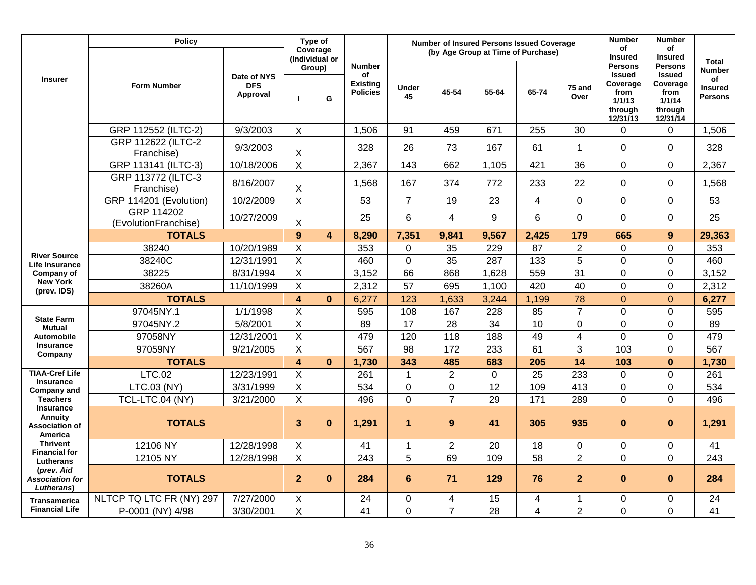|                                                                        | <b>Policy</b>                      |                                       |                         | Type of<br>Coverage<br>(Individual or |                                                           |                    | <b>Number of Insured Persons Issued Coverage</b><br>(by Age Group at Time of Purchase) |             |                         |                 | <b>Number</b><br>of<br><b>Insured</b>                                                | <b>Number</b><br>οf<br><b>Insured</b>                                                |                                                                         |
|------------------------------------------------------------------------|------------------------------------|---------------------------------------|-------------------------|---------------------------------------|-----------------------------------------------------------|--------------------|----------------------------------------------------------------------------------------|-------------|-------------------------|-----------------|--------------------------------------------------------------------------------------|--------------------------------------------------------------------------------------|-------------------------------------------------------------------------|
| <b>Insurer</b>                                                         | <b>Form Number</b>                 | Date of NYS<br><b>DFS</b><br>Approval | п                       | Group)<br>G                           | <b>Number</b><br>of<br><b>Existing</b><br><b>Policies</b> | <b>Under</b><br>45 | 45-54                                                                                  | 55-64       | 65-74                   | 75 and<br>Over  | <b>Persons</b><br><b>Issued</b><br>Coverage<br>from<br>1/1/13<br>through<br>12/31/13 | <b>Persons</b><br><b>Issued</b><br>Coverage<br>from<br>1/1/14<br>through<br>12/31/14 | <b>Total</b><br><b>Number</b><br>of<br><b>Insured</b><br><b>Persons</b> |
|                                                                        | GRP 112552 (ILTC-2)                | 9/3/2003                              | $\mathsf{X}$            |                                       | 1,506                                                     | 91                 | 459                                                                                    | 671         | 255                     | 30              | $\Omega$                                                                             | $\Omega$                                                                             | 1,506                                                                   |
|                                                                        | GRP 112622 (ILTC-2<br>Franchise)   | 9/3/2003                              | $\mathsf X$             |                                       | 328                                                       | 26                 | 73                                                                                     | 167         | 61                      | $\mathbf{1}$    | $\mathbf 0$                                                                          | 0                                                                                    | 328                                                                     |
|                                                                        | GRP 113141 (ILTC-3)                | 10/18/2006                            | $\mathsf{X}$            |                                       | 2,367                                                     | 143                | 662                                                                                    | 1,105       | 421                     | 36              | 0                                                                                    | 0                                                                                    | 2,367                                                                   |
|                                                                        | GRP 113772 (ILTC-3<br>Franchise)   | 8/16/2007                             | $\mathsf X$             |                                       | 1,568                                                     | 167                | 374                                                                                    | 772         | 233                     | 22              | $\mathbf 0$                                                                          | $\mathbf 0$                                                                          | 1,568                                                                   |
|                                                                        | GRP 114201 (Evolution)             | 10/2/2009                             | $\mathsf X$             |                                       | 53                                                        | $\overline{7}$     | 19                                                                                     | 23          | $\overline{\mathbf{4}}$ | $\mathbf 0$     | $\Omega$                                                                             | 0                                                                                    | 53                                                                      |
|                                                                        | GRP 114202<br>(EvolutionFranchise) | 10/27/2009                            | $\mathsf X$             |                                       | 25                                                        | 6                  | 4                                                                                      | 9           | 6                       | $\mathbf 0$     | 0                                                                                    | 0                                                                                    | 25                                                                      |
|                                                                        | <b>TOTALS</b>                      |                                       | 9                       | $\overline{\mathbf{4}}$               | 8,290                                                     | 7,351              | 9,841                                                                                  | 9,567       | 2,425                   | 179             | 665                                                                                  | 9                                                                                    | 29,363                                                                  |
| <b>River Source</b>                                                    | 38240                              | 10/20/1989                            | X                       |                                       | 353                                                       | 0                  | 35                                                                                     | 229         | 87                      | $\overline{2}$  | 0                                                                                    | 0                                                                                    | 353                                                                     |
| <b>Life Insurance</b>                                                  | 38240C                             | 12/31/1991                            | $\mathsf X$             |                                       | 460                                                       | $\mathbf 0$        | 35                                                                                     | 287         | 133                     | 5               | 0                                                                                    | $\mathbf 0$                                                                          | 460                                                                     |
| Company of                                                             | 38225                              | 8/31/1994                             | $\mathsf{X}$            |                                       | 3,152                                                     | 66                 | 868                                                                                    | 1,628       | 559                     | $\overline{31}$ | $\Omega$                                                                             | 0                                                                                    | 3,152                                                                   |
| <b>New York</b><br>(prev. IDS)                                         | 38260A                             | 11/10/1999                            | $\mathsf{X}$            |                                       | 2,312                                                     | 57                 | 695                                                                                    | 1,100       | 420                     | 40              | 0                                                                                    | 0                                                                                    | 2,312                                                                   |
|                                                                        | <b>TOTALS</b>                      |                                       | $\overline{4}$          | $\mathbf{0}$                          | 6,277                                                     | 123                | 1,633                                                                                  | 3,244       | 1,199                   | 78              | $\overline{0}$                                                                       | $\overline{0}$                                                                       | 6,277                                                                   |
|                                                                        | 97045NY.1                          | 1/1/1998                              | $\mathsf X$             |                                       | 595                                                       | 108                | 167                                                                                    | 228         | 85                      | $\overline{7}$  | 0                                                                                    | $\mathbf 0$                                                                          | 595                                                                     |
| <b>State Farm</b><br><b>Mutual</b>                                     | 97045NY.2                          | 5/8/2001                              | $\mathsf X$             |                                       | 89                                                        | 17                 | 28                                                                                     | 34          | 10                      | $\mathbf 0$     | 0                                                                                    | $\mathbf 0$                                                                          | 89                                                                      |
| <b>Automobile</b>                                                      | 97058NY                            | 12/31/2001                            | $\mathsf X$             |                                       | 479                                                       | 120                | 118                                                                                    | 188         | 49                      | $\overline{4}$  | 0                                                                                    | 0                                                                                    | 479                                                                     |
| <b>Insurance</b><br>Company                                            | 97059NY                            | 9/21/2005                             | $\overline{X}$          |                                       | 567                                                       | 98                 | 172                                                                                    | 233         | 61                      | 3               | 103                                                                                  | $\overline{0}$                                                                       | 567                                                                     |
|                                                                        | <b>TOTALS</b>                      |                                       | $\overline{4}$          | $\bf{0}$                              | 1,730                                                     | 343                | 485                                                                                    | 683         | 205                     | 14              | 103                                                                                  | $\mathbf{0}$                                                                         | 1,730                                                                   |
| <b>TIAA-Cref Life</b>                                                  | <b>LTC.02</b>                      | 12/23/1991                            | $\mathsf X$             |                                       | 261                                                       | $\mathbf{1}$       | $\overline{2}$                                                                         | $\mathbf 0$ | 25                      | 233             | 0                                                                                    | 0                                                                                    | 261                                                                     |
| <b>Insurance</b><br><b>Company and</b>                                 | LTC.03 (NY)                        | 3/31/1999                             | $\mathsf X$             |                                       | 534                                                       | $\pmb{0}$          | 0                                                                                      | 12          | 109                     | 413             | 0                                                                                    | 0                                                                                    | 534                                                                     |
| <b>Teachers</b>                                                        | TCL-LTC.04 (NY)                    | 3/21/2000                             | $\mathsf{X}$            |                                       | 496                                                       | $\overline{0}$     | $\overline{7}$                                                                         | 29          | 171                     | 289             | 0                                                                                    | $\mathbf 0$                                                                          | 496                                                                     |
| <b>Insurance</b><br>Annuity<br><b>Association of</b><br><b>America</b> | <b>TOTALS</b>                      |                                       | 3 <sup>2</sup>          | $\mathbf 0$                           | 1,291                                                     | $\mathbf{1}$       | 9                                                                                      | 41          | 305                     | 935             | $\bf{0}$                                                                             | $\bf{0}$                                                                             | 1,291                                                                   |
| <b>Thrivent</b>                                                        | 12106 NY                           | 12/28/1998                            | $\mathsf X$             |                                       | 41                                                        | $\mathbf{1}$       | $\overline{2}$                                                                         | 20          | 18                      | $\mathbf 0$     | 0                                                                                    | 0                                                                                    | 41                                                                      |
| <b>Financial for</b><br>Lutherans                                      | 12105 NY                           | 12/28/1998                            | $\overline{X}$          |                                       | 243                                                       | 5                  | 69                                                                                     | 109         | $\overline{58}$         | $\overline{2}$  | 0                                                                                    | 0                                                                                    | 243                                                                     |
| (prev. Aid<br><b>Association for</b><br>Lutherans)                     | <b>TOTALS</b>                      |                                       | $\overline{2}$          | $\mathbf{0}$                          | 284                                                       | $6\phantom{1}6$    | 71                                                                                     | 129         | 76                      | $\overline{2}$  | $\bf{0}$                                                                             | $\mathbf{0}$                                                                         | 284                                                                     |
| <b>Transamerica</b>                                                    | NLTCP TQ LTC FR (NY) 297           | 7/27/2000                             | X                       |                                       | 24                                                        | 0                  | 4                                                                                      | 15          | 4                       | -1              | 0                                                                                    | 0                                                                                    | 24                                                                      |
| <b>Financial Life</b>                                                  | P-0001 (NY) 4/98                   | 3/30/2001                             | $\overline{\mathsf{X}}$ |                                       | 41                                                        | $\overline{0}$     | $\overline{7}$                                                                         | 28          | 4                       | $\overline{2}$  | 0                                                                                    | $\overline{0}$                                                                       | $\overline{41}$                                                         |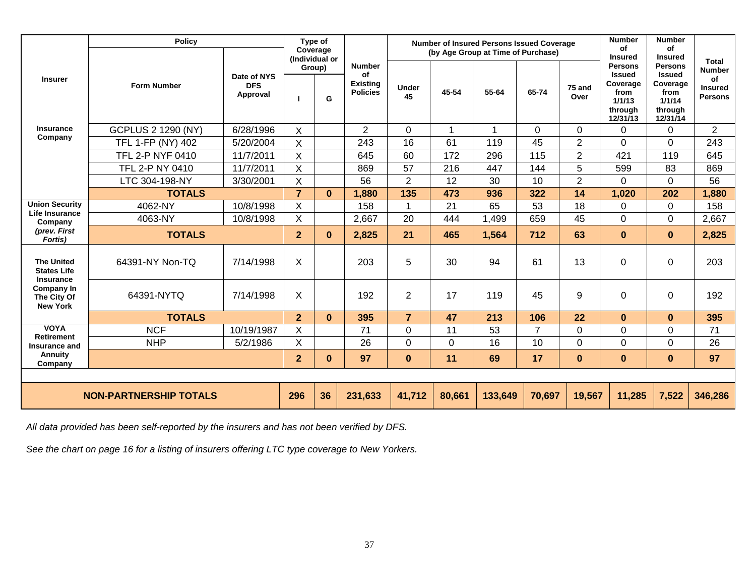|                                                             | <b>Policy</b>                 |                                       |                | Type of<br>Coverage           |                                                           |                    |                | <b>Number of Insured Persons Issued Coverage</b><br>(by Age Group at Time of Purchase) |                |                | <b>Number</b><br>of<br><b>Insured</b>                                                | <b>Number</b><br>οf<br><b>Insured</b>                                                |                                                                  |
|-------------------------------------------------------------|-------------------------------|---------------------------------------|----------------|-------------------------------|-----------------------------------------------------------|--------------------|----------------|----------------------------------------------------------------------------------------|----------------|----------------|--------------------------------------------------------------------------------------|--------------------------------------------------------------------------------------|------------------------------------------------------------------|
| <b>Insurer</b>                                              | <b>Form Number</b>            | Date of NYS<br><b>DFS</b><br>Approval |                | (Individual or<br>Group)<br>G | <b>Number</b><br>οf<br><b>Existing</b><br><b>Policies</b> | <b>Under</b><br>45 | 45-54          | 55-64                                                                                  | 65-74          | 75 and<br>Over | <b>Persons</b><br><b>Issued</b><br>Coverage<br>from<br>1/1/13<br>through<br>12/31/13 | <b>Persons</b><br><b>Issued</b><br>Coverage<br>from<br>1/1/14<br>through<br>12/31/14 | Total<br><b>Number</b><br>of<br><b>Insured</b><br><b>Persons</b> |
| <b>Insurance</b>                                            | <b>GCPLUS 2 1290 (NY)</b>     | 6/28/1996                             | Χ              |                               | $\overline{2}$                                            | $\mathbf 0$        | 1              | 1                                                                                      | $\mathbf 0$    | 0              | $\Omega$                                                                             | 0                                                                                    | $\overline{2}$                                                   |
| Company                                                     | TFL 1-FP (NY) 402             | 5/20/2004                             | X              |                               | 243                                                       | 16                 | 61             | 119                                                                                    | 45             | $\overline{2}$ | $\overline{0}$                                                                       | 0                                                                                    | 243                                                              |
|                                                             | <b>TFL 2-P NYF 0410</b>       | 11/7/2011                             | X              |                               | 645                                                       | 60                 | 172            | 296                                                                                    | 115            | $\overline{2}$ | 421                                                                                  | 119                                                                                  | 645                                                              |
|                                                             | TFL 2-P NY 0410               | 11/7/2011                             | X              |                               | 869                                                       | 57                 | 216            | 447                                                                                    | 144            | 5              | 599                                                                                  | 83                                                                                   | 869                                                              |
|                                                             | LTC 304-198-NY                | 3/30/2001                             | X              |                               | 56                                                        | $\overline{2}$     | 12             | 30                                                                                     | 10             | $\overline{2}$ | $\Omega$                                                                             | 0                                                                                    | 56                                                               |
|                                                             | <b>TOTALS</b>                 |                                       | $\overline{7}$ | $\bf{0}$                      | 1,880                                                     | 135                | 473            | 936                                                                                    | 322            | 14             | 1,020                                                                                | 202                                                                                  | 1,880                                                            |
| <b>Union Security</b><br><b>Life Insurance</b>              | 4062-NY                       | 10/8/1998                             | X              |                               | 158                                                       | $\mathbf{1}$       | 21             | 65                                                                                     | 53             | 18             | $\mathbf 0$                                                                          | 0                                                                                    | 158                                                              |
| Company                                                     | 4063-NY                       | 10/8/1998                             | X              |                               | 2,667                                                     | 20                 | 444            | 1,499                                                                                  | 659            | 45             | $\overline{0}$                                                                       | 0                                                                                    | 2,667                                                            |
| (prev. First<br>Fortis)                                     | <b>TOTALS</b>                 |                                       | $\overline{2}$ | $\bf{0}$                      | 2,825                                                     | 21                 | 465            | 1,564                                                                                  | 712            | 63             | $\bf{0}$                                                                             | $\mathbf{0}$                                                                         | 2,825                                                            |
| <b>The United</b><br><b>States Life</b><br><b>Insurance</b> | 64391-NY Non-TQ               | 7/14/1998                             | X              |                               | 203                                                       | 5                  | 30             | 94                                                                                     | 61             | 13             | $\mathbf 0$                                                                          | $\Omega$                                                                             | 203                                                              |
| <b>Company In</b><br>The City Of<br><b>New York</b>         | 64391-NYTQ                    | 7/14/1998                             | X              |                               | 192                                                       | $\overline{2}$     | 17             | 119                                                                                    | 45             | 9              | $\Omega$                                                                             | $\Omega$                                                                             | 192                                                              |
|                                                             | <b>TOTALS</b>                 |                                       | $\overline{2}$ | $\mathbf{0}$                  | 395                                                       | $\overline{7}$     | 47             | 213                                                                                    | 106            | 22             | $\mathbf{0}$                                                                         | $\mathbf{0}$                                                                         | 395                                                              |
| <b>VOYA</b><br><b>Retirement</b>                            | <b>NCF</b>                    | 10/19/1987                            | X              |                               | 71                                                        | $\overline{0}$     | 11             | 53                                                                                     | $\overline{7}$ | 0              | $\overline{0}$                                                                       | $\overline{0}$                                                                       | 71                                                               |
| Insurance and                                               | <b>NHP</b>                    | 5/2/1986                              | X              |                               | 26                                                        | $\overline{0}$     | $\overline{0}$ | 16                                                                                     | 10             | $\overline{0}$ | $\overline{0}$                                                                       | $\overline{0}$                                                                       | 26                                                               |
| Annuity<br>Company                                          |                               |                                       | $\overline{2}$ | $\mathbf{0}$                  | 97                                                        | $\bf{0}$           | 11             | 69                                                                                     | 17             | $\bf{0}$       | $\bf{0}$                                                                             | $\mathbf{0}$                                                                         | 97                                                               |
|                                                             |                               |                                       |                |                               |                                                           |                    |                |                                                                                        |                |                |                                                                                      |                                                                                      |                                                                  |
|                                                             | <b>NON-PARTNERSHIP TOTALS</b> |                                       | 296            | 36                            | 231,633                                                   | 41,712             | 80,661         | 133,649                                                                                | 70,697         | 19,567         | 11,285                                                                               | 7,522                                                                                | 346,286                                                          |

*All data provided has been self-reported by the insurers and has not been verified by DFS.* 

*See the chart on page 16 for a listing of insurers offering LTC type coverage to New Yorkers.*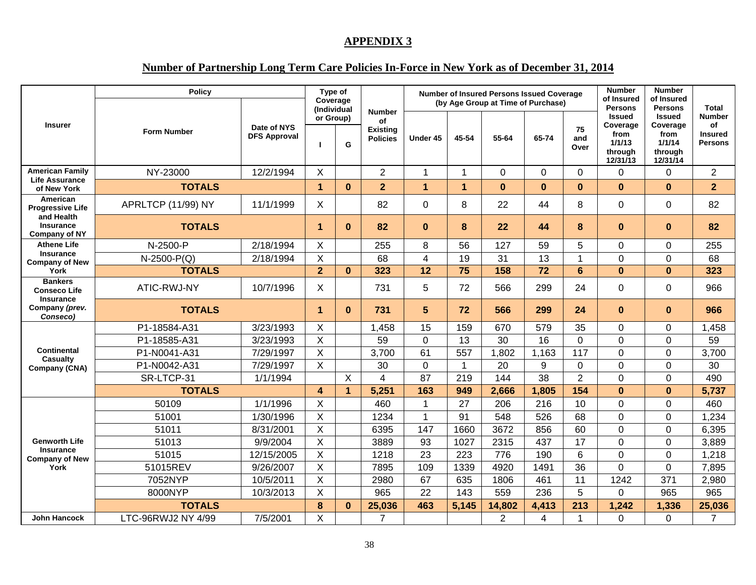#### **APPENDIX 3**

## **Number of Partnership Long Term Care Policies In-Force in New York as of December 31, 2014**

|                                                           | <b>Policy</b>      |                                    | Type of<br>Coverage      |              |                                                           |                |              | <b>Number of Insured Persons Issued Coverage</b><br>(by Age Group at Time of Purchase) |          |                   | <b>Number</b><br>of Insured<br><b>Persons</b>                      | <b>Number</b><br>of Insured<br><b>Persons</b>                      | <b>Total</b>                                            |
|-----------------------------------------------------------|--------------------|------------------------------------|--------------------------|--------------|-----------------------------------------------------------|----------------|--------------|----------------------------------------------------------------------------------------|----------|-------------------|--------------------------------------------------------------------|--------------------------------------------------------------------|---------------------------------------------------------|
| <b>Insurer</b>                                            | <b>Form Number</b> | Date of NYS<br><b>DFS Approval</b> | (Individual<br>or Group) | G            | <b>Number</b><br>of<br><b>Existing</b><br><b>Policies</b> | Under 45       | 45-54        | 55-64                                                                                  | 65-74    | 75<br>and<br>Over | <b>Issued</b><br>Coverage<br>from<br>1/1/13<br>through<br>12/31/13 | <b>Issued</b><br>Coverage<br>from<br>1/1/14<br>through<br>12/31/14 | <b>Number</b><br>of<br><b>Insured</b><br><b>Persons</b> |
| <b>American Family</b>                                    | NY-23000           | 12/2/1994                          | X                        |              | $\overline{2}$                                            | $\overline{1}$ | $\mathbf{1}$ | $\Omega$                                                                               | $\Omega$ | $\Omega$          | $\Omega$                                                           | 0                                                                  | 2                                                       |
| <b>Life Assurance</b><br>of New York                      | <b>TOTALS</b>      |                                    | $\mathbf{1}$             | $\bf{0}$     | $\overline{2}$                                            | $\mathbf{1}$   | $\mathbf{1}$ | $\bf{0}$                                                                               | $\bf{0}$ | $\bf{0}$          | $\bf{0}$                                                           | $\bf{0}$                                                           | 2 <sup>2</sup>                                          |
| American<br><b>Progressive Life</b>                       | APRLTCP (11/99) NY | 11/1/1999                          | X                        |              | 82                                                        | $\mathbf 0$    | 8            | 22                                                                                     | 44       | 8                 | 0                                                                  | 0                                                                  | 82                                                      |
| and Health<br>Insurance<br><b>Company of NY</b>           | <b>TOTALS</b>      |                                    | $\blacktriangleleft$     | $\bf{0}$     | 82                                                        | $\bf{0}$       | 8            | 22                                                                                     | 44       | 8                 | $\bf{0}$                                                           | $\bf{0}$                                                           | 82                                                      |
| <b>Athene Life</b>                                        | N-2500-P           | 2/18/1994                          | X                        |              | 255                                                       | 8              | 56           | 127                                                                                    | 59       | 5                 | 0                                                                  | 0                                                                  | 255                                                     |
| <b>Insurance</b><br><b>Company of New</b>                 | $N-2500-P(Q)$      | 2/18/1994                          | X                        |              | 68                                                        | 4              | 19           | 31                                                                                     | 13       | $\mathbf 1$       | $\Omega$                                                           | 0                                                                  | 68                                                      |
| York                                                      | <b>TOTALS</b>      |                                    | $\overline{2}$           | $\mathbf{0}$ | 323                                                       | 12             | 75           | 158                                                                                    | 72       | 6                 | $\mathbf{0}$                                                       | $\mathbf{0}$                                                       | 323                                                     |
| <b>Bankers</b><br><b>Conseco Life</b><br><b>Insurance</b> | ATIC-RWJ-NY        | 10/7/1996                          | X                        |              | 731                                                       | 5              | 72           | 566                                                                                    | 299      | 24                | 0                                                                  | $\Omega$                                                           | 966                                                     |
| Company (prev.<br>Conseco)                                | <b>TOTALS</b>      |                                    | 1                        | $\bf{0}$     | 731                                                       | 5              | 72           | 566                                                                                    | 299      | 24                | $\Omega$                                                           | $\bf{0}$                                                           | 966                                                     |
|                                                           | P1-18584-A31       | 3/23/1993                          | X                        |              | 1,458                                                     | 15             | 159          | 670                                                                                    | 579      | 35                | $\Omega$                                                           | 0                                                                  | 1,458                                                   |
|                                                           | P1-18585-A31       | 3/23/1993                          | X                        |              | 59                                                        | $\mathbf 0$    | 13           | 30                                                                                     | 16       | $\mathbf 0$       | 0                                                                  | 0                                                                  | 59                                                      |
| <b>Continental</b><br>Casualty                            | P1-N0041-A31       | 7/29/1997                          | X                        |              | 3,700                                                     | 61             | 557          | 1,802                                                                                  | 1,163    | 117               | 0                                                                  | $\overline{0}$                                                     | 3,700                                                   |
| Company (CNA)                                             | P1-N0042-A31       | 7/29/1997                          | X                        |              | 30                                                        | $\mathbf 0$    | 1            | 20                                                                                     | 9        | $\Omega$          | $\Omega$                                                           | $\mathbf 0$                                                        | 30                                                      |
|                                                           | SR-LTCP-31         | 1/1/1994                           |                          | X            | 4                                                         | 87             | 219          | 144                                                                                    | 38       | $\overline{2}$    | 0                                                                  | 0                                                                  | 490                                                     |
|                                                           | <b>TOTALS</b>      |                                    | $\boldsymbol{4}$         | 1            | 5,251                                                     | 163            | 949          | 2,666                                                                                  | 1,805    | 154               | $\bf{0}$                                                           | $\mathbf 0$                                                        | 5,737                                                   |
|                                                           | 50109              | 1/1/1996                           | X                        |              | 460                                                       | -1             | 27           | 206                                                                                    | 216      | 10                | $\overline{0}$                                                     | 0                                                                  | 460                                                     |
|                                                           | 51001              | 1/30/1996                          | X                        |              | 1234                                                      | $\mathbf{1}$   | 91           | 548                                                                                    | 526      | 68                | 0                                                                  | $\mathbf 0$                                                        | 1,234                                                   |
|                                                           | 51011              | 8/31/2001                          | X                        |              | 6395                                                      | 147            | 1660         | 3672                                                                                   | 856      | 60                | 0                                                                  | $\mathbf 0$                                                        | 6,395                                                   |
| <b>Genworth Life</b><br><b>Insurance</b>                  | 51013              | 9/9/2004                           | X                        |              | 3889                                                      | 93             | 1027         | 2315                                                                                   | 437      | 17                | 0                                                                  | $\overline{0}$                                                     | 3,889                                                   |
| <b>Company of New</b>                                     | 51015              | 12/15/2005                         | X                        |              | 1218                                                      | 23             | 223          | 776                                                                                    | 190      | 6                 | $\overline{0}$                                                     | $\overline{0}$                                                     | 1,218                                                   |
| York                                                      | 51015REV           | 9/26/2007                          | X                        |              | 7895                                                      | 109            | 1339         | 4920                                                                                   | 1491     | 36                | $\Omega$                                                           | $\mathbf 0$                                                        | 7,895                                                   |
|                                                           | 7052NYP            | 10/5/2011                          | X                        |              | 2980                                                      | 67             | 635          | 1806                                                                                   | 461      | 11                | 1242                                                               | 371                                                                | 2,980                                                   |
|                                                           | 8000NYP            | 10/3/2013                          | X                        |              | 965                                                       | 22             | 143          | 559                                                                                    | 236      | 5                 | $\Omega$                                                           | 965                                                                | 965                                                     |
|                                                           | <b>TOTALS</b>      |                                    | 8                        | $\mathbf{0}$ | 25,036                                                    | 463            | 5,145        | 14,802                                                                                 | 4,413    | 213               | 1,242                                                              | 1,336                                                              | 25,036                                                  |
| <b>John Hancock</b>                                       | LTC-96RWJ2 NY 4/99 | 7/5/2001                           | X                        |              | $\overline{7}$                                            |                |              | $\overline{2}$                                                                         | 4        | $\overline{1}$    | 0                                                                  | $\mathbf 0$                                                        | $\overline{7}$                                          |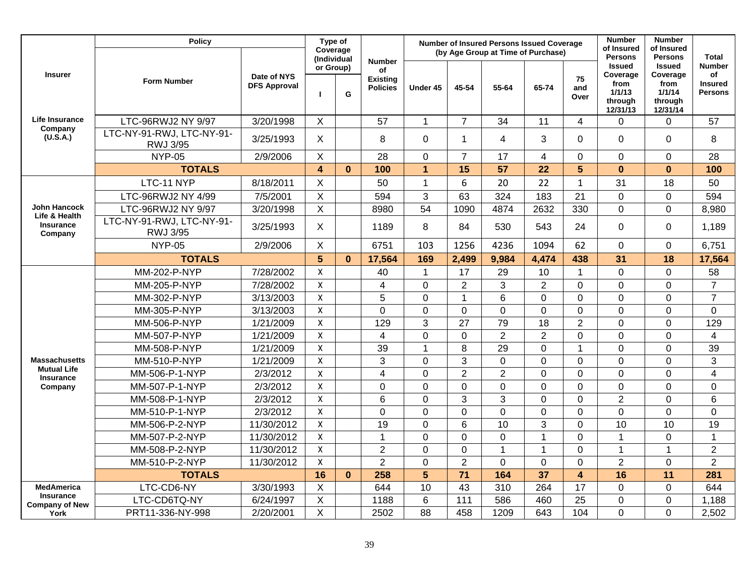|                                        | <b>Policy</b>                         |                                    | Type of<br>Coverage<br>(Individual |              |                                                           |                |                | Number of Insured Persons Issued Coverage<br>(by Age Group at Time of Purchase) |                |                   | <b>Number</b><br>of Insured<br><b>Persons</b>                      | <b>Number</b><br>of Insured<br><b>Persons</b>                      | <b>Total</b>                                            |
|----------------------------------------|---------------------------------------|------------------------------------|------------------------------------|--------------|-----------------------------------------------------------|----------------|----------------|---------------------------------------------------------------------------------|----------------|-------------------|--------------------------------------------------------------------|--------------------------------------------------------------------|---------------------------------------------------------|
| <b>Insurer</b>                         | <b>Form Number</b>                    | Date of NYS<br><b>DFS Approval</b> | or Group)                          | G            | <b>Number</b><br>of<br><b>Existing</b><br><b>Policies</b> | Under 45       | 45-54          | 55-64                                                                           | 65-74          | 75<br>and<br>Over | <b>Issued</b><br>Coverage<br>from<br>1/1/13<br>through<br>12/31/13 | <b>Issued</b><br>Coverage<br>from<br>1/1/14<br>through<br>12/31/14 | <b>Number</b><br>of<br><b>Insured</b><br><b>Persons</b> |
| <b>Life Insurance</b>                  | LTC-96RWJ2 NY 9/97                    | 3/20/1998                          | $\sf X$                            |              | 57                                                        | $\mathbf{1}$   | $\overline{7}$ | 34                                                                              | 11             | $\overline{4}$    | 0                                                                  | 0                                                                  | 57                                                      |
| Company<br>(U.S.A.)                    | LTC-NY-91-RWJ, LTC-NY-91-<br>RWJ 3/95 | 3/25/1993                          | $\sf X$                            |              | 8                                                         | 0              | $\mathbf{1}$   | $\overline{4}$                                                                  | 3              | $\mathbf 0$       | 0                                                                  | 0                                                                  | 8                                                       |
|                                        | <b>NYP-05</b>                         | 2/9/2006                           | X                                  |              | 28                                                        | 0              | $\overline{7}$ | 17                                                                              | $\overline{4}$ | $\overline{0}$    | 0                                                                  | 0                                                                  | 28                                                      |
|                                        | <b>TOTALS</b>                         |                                    | $\overline{4}$                     | $\mathbf{0}$ | 100                                                       | $\overline{1}$ | 15             | 57                                                                              | 22             | $5\phantom{1}$    | $\mathbf{0}$                                                       | $\mathbf{0}$                                                       | 100                                                     |
|                                        | LTC-11 NYP                            | 8/18/2011                          | $\sf X$                            |              | 50                                                        | $\mathbf{1}$   | 6              | 20                                                                              | 22             | $\mathbf{1}$      | 31                                                                 | 18                                                                 | 50                                                      |
|                                        | LTC-96RWJ2 NY 4/99                    | 7/5/2001                           | $\boldsymbol{\mathsf{X}}$          |              | 594                                                       | 3              | 63             | 324                                                                             | 183            | 21                | $\Omega$                                                           | $\mathbf 0$                                                        | 594                                                     |
| John Hancock<br>Life & Health          | LTC-96RWJ2 NY 9/97                    | 3/20/1998                          | $\boldsymbol{\mathsf{X}}$          |              | 8980                                                      | 54             | 1090           | 4874                                                                            | 2632           | 330               | 0                                                                  | $\overline{0}$                                                     | 8,980                                                   |
| <b>Insurance</b><br>Company            | LTC-NY-91-RWJ, LTC-NY-91-<br>RWJ 3/95 | 3/25/1993                          | $\sf X$                            |              | 1189                                                      | 8              | 84             | 530                                                                             | 543            | 24                | $\mathbf 0$                                                        | $\mathbf 0$                                                        | 1,189                                                   |
|                                        | <b>NYP-05</b>                         | 2/9/2006                           | X                                  |              | 6751                                                      | 103            | 1256           | 4236                                                                            | 1094           | 62                | $\mathbf 0$                                                        | 0                                                                  | 6,751                                                   |
|                                        | <b>TOTALS</b>                         |                                    | 5                                  | $\bf{0}$     | 17,564                                                    | 169            | 2,499          | 9,984                                                                           | 4,474          | 438               | 31                                                                 | 18                                                                 | 17,564                                                  |
|                                        | MM-202-P-NYP                          | 7/28/2002                          | $\boldsymbol{\mathsf{X}}$          |              | 40                                                        | $\mathbf{1}$   | 17             | 29                                                                              | 10             | $\mathbf 1$       | 0                                                                  | 0                                                                  | 58                                                      |
|                                        | MM-205-P-NYP                          | 7/28/2002                          | $\boldsymbol{\mathsf{X}}$          |              | 4                                                         | 0              | $\overline{2}$ | 3                                                                               | $\overline{2}$ | $\overline{0}$    | 0                                                                  | 0                                                                  | $\overline{7}$                                          |
|                                        | MM-302-P-NYP                          | 3/13/2003                          | $\boldsymbol{\mathsf{X}}$          |              | 5                                                         | $\mathbf 0$    | $\mathbf{1}$   | $6\phantom{1}6$                                                                 | $\overline{0}$ | $\overline{0}$    | 0                                                                  | 0                                                                  | $\overline{7}$                                          |
|                                        | MM-305-P-NYP                          | 3/13/2003                          | X                                  |              | 0                                                         | $\mathbf 0$    | 0              | $\mathbf 0$                                                                     | 0              | $\overline{0}$    | $\overline{0}$                                                     | 0                                                                  | $\overline{0}$                                          |
|                                        | MM-506-P-NYP                          | 1/21/2009                          | $\pmb{\times}$                     |              | 129                                                       | 3              | 27             | 79                                                                              | 18             | $\overline{2}$    | $\Omega$                                                           | 0                                                                  | 129                                                     |
|                                        | MM-507-P-NYP                          | 1/21/2009                          | X                                  |              | $\overline{\mathbf{4}}$                                   | 0              | $\mathbf 0$    | $\overline{2}$                                                                  | $\overline{2}$ | $\overline{0}$    | 0                                                                  | 0                                                                  | $\overline{\mathbf{4}}$                                 |
|                                        | MM-508-P-NYP                          | 1/21/2009                          | $\pmb{\mathsf{X}}$                 |              | 39                                                        | $\mathbf{1}$   | 8              | 29                                                                              | $\overline{0}$ | 1                 | 0                                                                  | 0                                                                  | 39                                                      |
| <b>Massachusetts</b>                   | MM-510-P-NYP                          | 1/21/2009                          | $\mathsf{X}$                       |              | 3                                                         | $\mathsf 0$    | 3              | $\mathsf 0$                                                                     | $\Omega$       | $\overline{0}$    | $\Omega$                                                           | 0                                                                  | 3                                                       |
| <b>Mutual Life</b><br><b>Insurance</b> | MM-506-P-1-NYP                        | 2/3/2012                           | $\mathsf{X}$                       |              | 4                                                         | $\mathbf 0$    | $\overline{2}$ | $\overline{2}$                                                                  | $\mathbf 0$    | $\overline{0}$    | 0                                                                  | 0                                                                  | $\overline{\mathbf{4}}$                                 |
| Company                                | MM-507-P-1-NYP                        | 2/3/2012                           | $\boldsymbol{\mathsf{X}}$          |              | $\overline{0}$                                            | $\mathbf 0$    | $\overline{0}$ | $\overline{0}$                                                                  | $\Omega$       | $\Omega$          | 0                                                                  | 0                                                                  | $\overline{0}$                                          |
|                                        | MM-508-P-1-NYP                        | 2/3/2012                           | $\mathsf{X}$                       |              | 6                                                         | $\mathbf 0$    | 3              | $\mathbf{3}$                                                                    | $\Omega$       | $\Omega$          | $\overline{2}$                                                     | 0                                                                  | 6                                                       |
|                                        | MM-510-P-1-NYP                        | 2/3/2012                           | $\mathsf{X}$                       |              | $\Omega$                                                  | $\mathbf 0$    | $\mathbf 0$    | $\mathbf 0$                                                                     | $\Omega$       | $\Omega$          | $\Omega$                                                           | $\mathbf 0$                                                        | 0                                                       |
|                                        | MM-506-P-2-NYP                        | 11/30/2012                         | $\boldsymbol{\mathsf{X}}$          |              | 19                                                        | $\mathbf 0$    | 6              | 10                                                                              | 3              | $\mathbf 0$       | 10                                                                 | 10                                                                 | 19                                                      |
|                                        | MM-507-P-2-NYP                        | 11/30/2012                         | X                                  |              | $\overline{1}$                                            | $\overline{0}$ | $\overline{0}$ | $\overline{0}$                                                                  | $\overline{1}$ | $\overline{0}$    | 1                                                                  | 0                                                                  | $\mathbf{1}$                                            |
|                                        | MM-508-P-2-NYP                        | 11/30/2012                         | $\pmb{\mathsf{X}}$                 |              | $\overline{2}$                                            | $\overline{0}$ | $\overline{0}$ | $\overline{1}$                                                                  | $\overline{1}$ | $\overline{0}$    | 1                                                                  | $\overline{1}$                                                     | $\overline{2}$                                          |
|                                        | MM-510-P-2-NYP                        | 11/30/2012                         | $\pmb{\mathsf{X}}$                 |              | $\overline{2}$                                            | 0              | $\overline{2}$ | $\mathbf 0$                                                                     | $\mathbf 0$    | $\mathbf 0$       | $\overline{2}$                                                     | 0                                                                  | $\overline{2}$                                          |
|                                        | <b>TOTALS</b>                         |                                    | 16                                 | $\bf{0}$     | 258                                                       | 5              | 71             | 164                                                                             | 37             | 4                 | 16                                                                 | 11                                                                 | 281                                                     |
| <b>MedAmerica</b>                      | LTC-CD6-NY                            | 3/30/1993                          | X                                  |              | 644                                                       | 10             | 43             | 310                                                                             | 264            | 17                | $\Omega$                                                           | $\overline{0}$                                                     | 644                                                     |
| Insurance<br><b>Company of New</b>     | LTC-CD6TQ-NY                          | 6/24/1997                          | $\sf X$                            |              | 1188                                                      | 6              | 111            | 586                                                                             | 460            | 25                | $\Omega$                                                           | 0                                                                  | 1,188                                                   |
| York                                   | PRT11-336-NY-998                      | 2/20/2001                          | $\boldsymbol{\mathsf{X}}$          |              | 2502                                                      | 88             | 458            | 1209                                                                            | 643            | 104               | 0                                                                  | 0                                                                  | 2,502                                                   |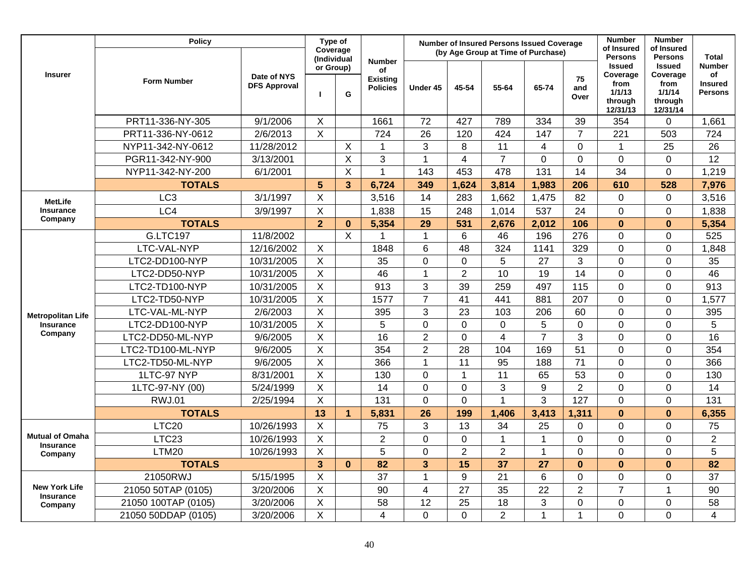|                                            | <b>Policy</b>       |                                    | Type of<br>Coverage       |                         |                                                           |                 |                 | <b>Number of Insured Persons Issued Coverage</b><br>(by Age Group at Time of Purchase) |                         |                   | <b>Number</b><br>of Insured                                                          | <b>Number</b><br>of Insured                                                          |                                                                         |
|--------------------------------------------|---------------------|------------------------------------|---------------------------|-------------------------|-----------------------------------------------------------|-----------------|-----------------|----------------------------------------------------------------------------------------|-------------------------|-------------------|--------------------------------------------------------------------------------------|--------------------------------------------------------------------------------------|-------------------------------------------------------------------------|
| <b>Insurer</b>                             | <b>Form Number</b>  | Date of NYS<br><b>DFS Approval</b> | (Individual<br>or Group)  | G                       | <b>Number</b><br>of<br><b>Existing</b><br><b>Policies</b> | Under 45        | 45-54           | 55-64                                                                                  | 65-74                   | 75<br>and<br>Over | <b>Persons</b><br><b>Issued</b><br>Coverage<br>from<br>1/1/13<br>through<br>12/31/13 | <b>Persons</b><br><b>Issued</b><br>Coverage<br>from<br>1/1/14<br>through<br>12/31/14 | <b>Total</b><br><b>Number</b><br>of<br><b>Insured</b><br><b>Persons</b> |
|                                            | PRT11-336-NY-305    | 9/1/2006                           | $\boldsymbol{\mathsf{X}}$ |                         | 1661                                                      | 72              | 427             | 789                                                                                    | 334                     | 39                | 354                                                                                  | 0                                                                                    | 1,661                                                                   |
|                                            | PRT11-336-NY-0612   | 2/6/2013                           | X                         |                         | 724                                                       | 26              | 120             | 424                                                                                    | 147                     | $\overline{7}$    | 221                                                                                  | 503                                                                                  | 724                                                                     |
|                                            | NYP11-342-NY-0612   | 11/28/2012                         |                           | X                       | 1                                                         | 3               | 8               | 11                                                                                     | $\overline{\mathbf{4}}$ | $\overline{0}$    | 1                                                                                    | 25                                                                                   | 26                                                                      |
|                                            | PGR11-342-NY-900    | 3/13/2001                          |                           | X                       | 3                                                         | 1               | $\overline{4}$  | $\overline{7}$                                                                         | $\Omega$                | $\overline{0}$    | $\mathbf 0$                                                                          | $\mathbf 0$                                                                          | 12                                                                      |
|                                            | NYP11-342-NY-200    | 6/1/2001                           |                           | X                       | 1                                                         | 143             | 453             | 478                                                                                    | 131                     | 14                | 34                                                                                   | $\mathbf 0$                                                                          | 1,219                                                                   |
|                                            | <b>TOTALS</b>       |                                    | 5                         | $\overline{\mathbf{3}}$ | 6,724                                                     | 349             | 1,624           | 3,814                                                                                  | 1,983                   | 206               | 610                                                                                  | 528                                                                                  | 7,976                                                                   |
| <b>MetLife</b>                             | LC <sub>3</sub>     | 3/1/1997                           | $\sf X$                   |                         | 3,516                                                     | 14              | 283             | 1,662                                                                                  | 1,475                   | 82                | 0                                                                                    | 0                                                                                    | 3,516                                                                   |
| Insurance                                  | LC4                 | 3/9/1997                           | X                         |                         | 1,838                                                     | 15              | 248             | 1,014                                                                                  | 537                     | 24                | $\Omega$                                                                             | $\mathbf 0$                                                                          | 1,838                                                                   |
| Company                                    | <b>TOTALS</b>       |                                    | $\overline{2}$            | $\bf{0}$                | 5,354                                                     | $\overline{29}$ | 531             | 2,676                                                                                  | 2,012                   | 106               | $\bf{0}$                                                                             | $\bf{0}$                                                                             | 5,354                                                                   |
|                                            | <b>G.LTC197</b>     | 11/8/2002                          |                           | X                       |                                                           | $\mathbf 1$     | 6               | 46                                                                                     | 196                     | 276               | $\Omega$                                                                             | 0                                                                                    | 525                                                                     |
|                                            | LTC-VAL-NYP         | 12/16/2002                         | X                         |                         | 1848                                                      | $6\phantom{1}$  | 48              | 324                                                                                    | 1141                    | 329               | 0                                                                                    | $\mathbf 0$                                                                          | 1,848                                                                   |
|                                            | LTC2-DD100-NYP      | 10/31/2005                         | X                         |                         | 35                                                        | $\overline{0}$  | $\mathbf 0$     | 5                                                                                      | 27                      | 3                 | $\Omega$                                                                             | $\mathbf 0$                                                                          | 35                                                                      |
|                                            | LTC2-DD50-NYP       | 10/31/2005                         | $\mathsf{X}$              |                         | 46                                                        | $\overline{1}$  | $\overline{2}$  | 10                                                                                     | 19                      | 14                | 0                                                                                    | 0                                                                                    | 46                                                                      |
|                                            | LTC2-TD100-NYP      | 10/31/2005                         | $\sf X$                   |                         | 913                                                       | 3               | 39              | 259                                                                                    | 497                     | 115               | 0                                                                                    | $\overline{0}$                                                                       | 913                                                                     |
|                                            | LTC2-TD50-NYP       | 10/31/2005                         | $\sf X$                   |                         | 1577                                                      | $\overline{7}$  | $\overline{41}$ | 441                                                                                    | 881                     | 207               | $\Omega$                                                                             | 0                                                                                    | 1,577                                                                   |
| <b>Metropolitan Life</b>                   | LTC-VAL-ML-NYP      | 2/6/2003                           | $\sf X$                   |                         | 395                                                       | 3               | 23              | 103                                                                                    | 206                     | 60                | 0                                                                                    | 0                                                                                    | 395                                                                     |
| Insurance                                  | LTC2-DD100-NYP      | 10/31/2005                         | $\sf X$                   |                         | 5                                                         | $\overline{0}$  | $\mathbf 0$     | $\mathbf 0$                                                                            | 5                       | $\overline{0}$    | 0                                                                                    | $\mathbf 0$                                                                          | 5                                                                       |
| Company                                    | LTC2-DD50-ML-NYP    | 9/6/2005                           | $\boldsymbol{\mathsf{X}}$ |                         | 16                                                        | $\overline{2}$  | $\mathbf 0$     | $\overline{\mathbf{4}}$                                                                | $\overline{7}$          | 3                 | $\Omega$                                                                             | 0                                                                                    | 16                                                                      |
|                                            | LTC2-TD100-ML-NYP   | 9/6/2005                           | $\boldsymbol{\mathsf{X}}$ |                         | 354                                                       | $\overline{2}$  | 28              | 104                                                                                    | 169                     | 51                | 0                                                                                    | 0                                                                                    | 354                                                                     |
|                                            | LTC2-TD50-ML-NYP    | 9/6/2005                           | X                         |                         | 366                                                       | $\mathbf 1$     | 11              | 95                                                                                     | 188                     | 71                | $\Omega$                                                                             | 0                                                                                    | 366                                                                     |
|                                            | 1LTC-97 NYP         | 8/31/2001                          | $\mathsf{X}$              |                         | 130                                                       | $\mathbf 0$     | $\mathbf{1}$    | 11                                                                                     | 65                      | 53                | 0                                                                                    | 0                                                                                    | 130                                                                     |
|                                            | 1LTC-97-NY (00)     | 5/24/1999                          | $\sf X$                   |                         | 14                                                        | $\mathbf 0$     | $\overline{0}$  | 3                                                                                      | 9                       | $\overline{2}$    | $\Omega$                                                                             | 0                                                                                    | 14                                                                      |
|                                            | <b>RWJ.01</b>       | 2/25/1994                          | X                         |                         | 131                                                       | $\mathbf 0$     | $\Omega$        | 1                                                                                      | 3                       | 127               | $\overline{0}$                                                                       | 0                                                                                    | 131                                                                     |
|                                            | <b>TOTALS</b>       |                                    | 13                        | $\blacktriangleleft$    | 5,831                                                     | 26              | 199             | 1,406                                                                                  | 3,413                   | 1,311             | $\mathbf{0}$                                                                         | $\mathbf{0}$                                                                         | 6,355                                                                   |
|                                            | LTC <sub>20</sub>   | 10/26/1993                         | X                         |                         | 75                                                        | 3               | 13              | 34                                                                                     | 25                      | 0                 | 0                                                                                    | 0                                                                                    | 75                                                                      |
| <b>Mutual of Omaha</b><br><b>Insurance</b> | LTC <sub>23</sub>   | 10/26/1993                         | X                         |                         | $\overline{2}$                                            | $\overline{0}$  | $\overline{0}$  | $\overline{1}$                                                                         | 1                       | $\overline{0}$    | $\Omega$                                                                             | 0                                                                                    | $\overline{2}$                                                          |
| Company                                    | LTM20               | 10/26/1993                         | $\sf X$                   |                         | 5                                                         | $\overline{0}$  | $\overline{2}$  | $\overline{2}$                                                                         | 1                       | $\overline{0}$    | $\Omega$                                                                             | 0                                                                                    | 5                                                                       |
|                                            | <b>TOTALS</b>       |                                    | $\overline{3}$            | $\bf{0}$                | 82                                                        | 3               | 15              | 37                                                                                     | 27                      | $\mathbf{0}$      | $\mathbf{0}$                                                                         | $\mathbf{0}$                                                                         | 82                                                                      |
|                                            | 21050RWJ            | 5/15/1995                          | $\times$                  |                         | 37                                                        | $\mathbf 1$     | 9               | 21                                                                                     | 6                       | $\mathbf 0$       | 0                                                                                    | 0                                                                                    | 37                                                                      |
| <b>New York Life</b><br>Insurance          | 21050 50TAP (0105)  | 3/20/2006                          | $\sf X$                   |                         | 90                                                        | $\overline{4}$  | $\overline{27}$ | 35                                                                                     | $\overline{22}$         | $\overline{2}$    | $\overline{7}$                                                                       | $\overline{1}$                                                                       | 90                                                                      |
| Company                                    | 21050 100TAP (0105) | 3/20/2006                          | $\mathsf X$               |                         | 58                                                        | 12              | 25              | 18                                                                                     | 3                       | 0                 | 0                                                                                    | 0                                                                                    | 58                                                                      |
|                                            | 21050 50DDAP (0105) | 3/20/2006                          | X                         |                         | 4                                                         | $\Omega$        | $\Omega$        | $\overline{2}$                                                                         | 1                       | $\mathbf{1}$      | $\Omega$                                                                             | $\Omega$                                                                             | 4                                                                       |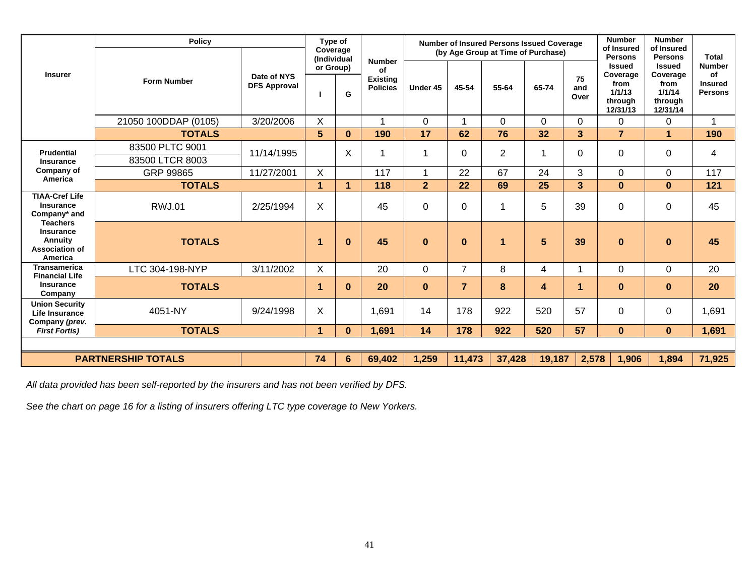| <b>Insurer</b>                                                                                                             | <b>Policy</b>                      |                                    | Type of<br>Coverage<br>(Individual |                         |                                                           |                |                | <b>Number of Insured Persons Issued Coverage</b><br>(by Age Group at Time of Purchase) | <b>Number</b><br>of Insured<br><b>Persons</b> | <b>Number</b><br>of Insured<br><b>Persons</b> | <b>Total</b>                                                       |                                                                    |                                                         |
|----------------------------------------------------------------------------------------------------------------------------|------------------------------------|------------------------------------|------------------------------------|-------------------------|-----------------------------------------------------------|----------------|----------------|----------------------------------------------------------------------------------------|-----------------------------------------------|-----------------------------------------------|--------------------------------------------------------------------|--------------------------------------------------------------------|---------------------------------------------------------|
|                                                                                                                            | <b>Form Number</b>                 | Date of NYS<br><b>DFS Approval</b> | or Group)                          | G                       | <b>Number</b><br>Οf<br><b>Existing</b><br><b>Policies</b> | Under 45       | 45-54          | 55-64                                                                                  | 65-74                                         | 75<br>and<br>Over                             | <b>Issued</b><br>Coverage<br>from<br>1/1/13<br>through<br>12/31/13 | <b>Issued</b><br>Coverage<br>from<br>1/1/14<br>through<br>12/31/14 | <b>Number</b><br>Οf<br><b>Insured</b><br><b>Persons</b> |
|                                                                                                                            | 21050 100DDAP (0105)               | 3/20/2006                          | X                                  |                         |                                                           | $\mathbf 0$    |                | $\mathbf 0$                                                                            | 0                                             | $\mathbf 0$                                   | 0                                                                  | 0                                                                  | 1                                                       |
|                                                                                                                            | <b>TOTALS</b>                      |                                    | 5                                  | $\bf{0}$                | 190                                                       | 17             | 62             | 76                                                                                     | 32                                            | 3                                             | $\overline{7}$                                                     | 1                                                                  | 190                                                     |
| <b>Prudential</b><br><b>Insurance</b><br>Company of<br>America                                                             | 83500 PLTC 9001<br>83500 LTCR 8003 | 11/14/1995                         |                                    | X                       |                                                           |                | 0              | $\overline{2}$                                                                         |                                               | $\Omega$                                      | $\Omega$                                                           | 0                                                                  | 4                                                       |
|                                                                                                                            | GRP 99865                          | 11/27/2001                         | X                                  |                         | 117                                                       |                | 22             | 67                                                                                     | 24                                            | 3                                             | $\Omega$                                                           | 0                                                                  | 117                                                     |
|                                                                                                                            | <b>TOTALS</b>                      |                                    | 1                                  | $\overline{\mathbf{1}}$ | 118                                                       | $\overline{2}$ | 22             | 69                                                                                     | 25                                            | 3                                             | $\mathbf{0}$                                                       | $\bf{0}$                                                           | 121                                                     |
| <b>TIAA-Cref Life</b><br>Insurance<br>Company* and<br><b>Teachers</b><br>Insurance<br>Annuity<br>Association of<br>America | <b>RWJ.01</b>                      | 2/25/1994                          | X                                  |                         | 45                                                        | $\mathbf 0$    | 0              | 1                                                                                      | 5                                             | 39                                            | $\Omega$                                                           | 0                                                                  | 45                                                      |
|                                                                                                                            | <b>TOTALS</b>                      |                                    | 1                                  | $\bf{0}$                | 45                                                        | $\bf{0}$       | $\bf{0}$       | 1                                                                                      | 5                                             | 39                                            | $\bf{0}$                                                           | $\bf{0}$                                                           | 45                                                      |
| <b>Transamerica</b>                                                                                                        | LTC 304-198-NYP                    | 3/11/2002                          | X                                  |                         | 20                                                        | 0              | $\overline{7}$ | 8                                                                                      | 4                                             |                                               | $\mathbf 0$                                                        | 0                                                                  | 20                                                      |
| <b>Financial Life</b><br>Insurance<br>Company                                                                              | <b>TOTALS</b>                      |                                    | 1                                  | $\bf{0}$                | 20                                                        | $\bf{0}$       | $\overline{7}$ | 8                                                                                      | 4                                             | 1                                             | $\bf{0}$                                                           | $\bf{0}$                                                           | 20                                                      |
| <b>Union Security</b><br><b>Life Insurance</b><br>Company (prev.                                                           | 4051-NY                            | 9/24/1998                          | X                                  |                         | 1,691                                                     | 14             | 178            | 922                                                                                    | 520                                           | 57                                            | $\Omega$                                                           | $\Omega$                                                           | 1,691                                                   |
| <b>First Fortis)</b>                                                                                                       | <b>TOTALS</b>                      |                                    | $\blacktriangleleft$               | $\bf{0}$                | 1,691                                                     | 14             | 178            | 922                                                                                    | 520                                           | 57                                            | $\mathbf{0}$                                                       | $\mathbf{0}$                                                       | 1,691                                                   |
|                                                                                                                            |                                    |                                    |                                    |                         |                                                           |                |                |                                                                                        |                                               |                                               |                                                                    |                                                                    |                                                         |
| <b>PARTNERSHIP TOTALS</b>                                                                                                  |                                    |                                    | 74                                 | 6                       | 69,402                                                    | 1,259          | 11,473         | 37,428                                                                                 | 19,187                                        | 2,578                                         | 1,906                                                              | 1,894                                                              | 71,925                                                  |

*All data provided has been self-reported by the insurers and has not been verified by DFS.* 

*See the chart on page 16 for a listing of insurers offering LTC type coverage to New Yorkers.*